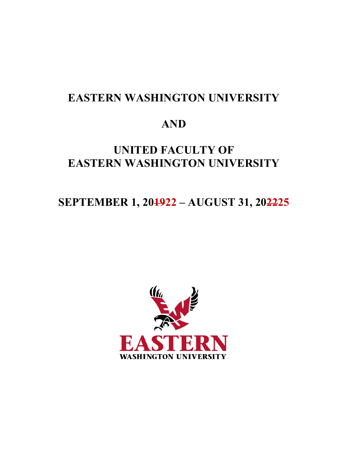# **EASTERN WASHINGTON UNIVERSITY**

# **AND**

# **UNITED FACULTY OF EASTERN WASHINGTON UNIVERSITY**

**SEPTEMBER 1, 201922 – AUGUST 31, 202225**

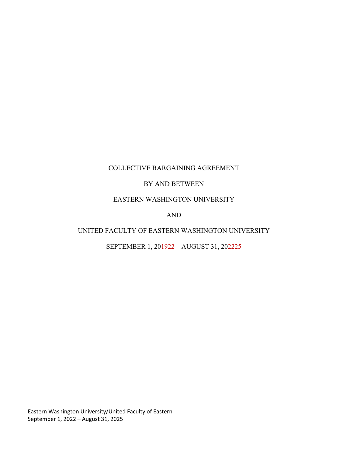# COLLECTIVE BARGAINING AGREEMENT

#### BY AND BETWEEN

## EASTERN WASHINGTON UNIVERSITY

#### AND

## UNITED FACULTY OF EASTERN WASHINGTON UNIVERSITY

## SEPTEMBER 1, 201922 – AUGUST 31, 202225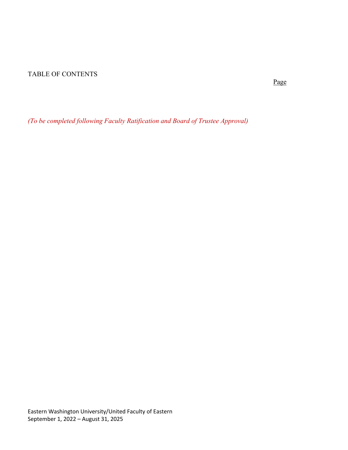# TABLE OF CONTENTS

Page

*(To be completed following Faculty Ratification and Board of Trustee Approval)*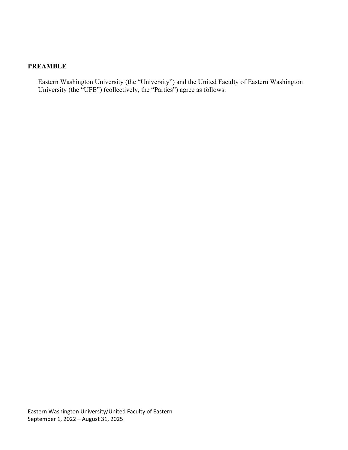#### **PREAMBLE**

Eastern Washington University (the "University") and the United Faculty of Eastern Washington University (the "UFE") (collectively, the "Parties") agree as follows: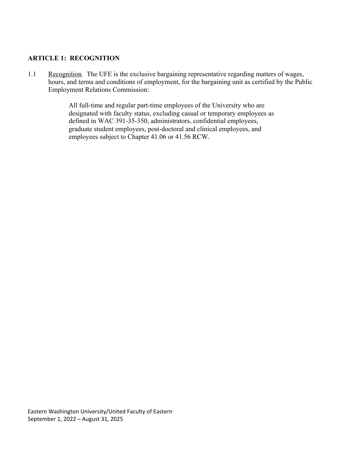## **ARTICLE 1: RECOGNITION**

1.1 Recognition. The UFE is the exclusive bargaining representative regarding matters of wages, hours, and terms and conditions of employment, for the bargaining unit as certified by the Public Employment Relations Commission:

> All full-time and regular part-time employees of the University who are designated with faculty status, excluding casual or temporary employees as defined in WAC 391-35-350, administrators, confidential employees, graduate student employees, post-doctoral and clinical employees, and employees subject to Chapter 41.06 or 41.56 RCW.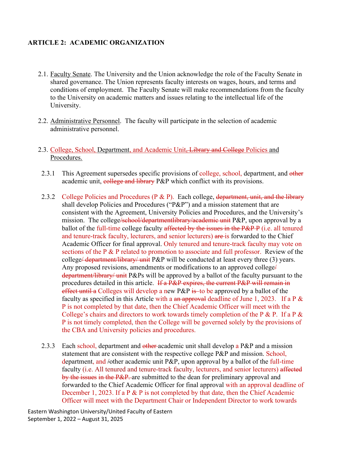# **ARTICLE 2: ACADEMIC ORGANIZATION**

- 2.1. Faculty Senate. The University and the Union acknowledge the role of the Faculty Senate in shared governance. The Union represents faculty interests on wages, hours, and terms and conditions of employment. The Faculty Senate will make recommendations from the faculty to the University on academic matters and issues relating to the intellectual life of the University.
- 2.2. Administrative Personnel. The faculty will participate in the selection of academic administrative personnel.
- 2.3. College, School, Department, and Academic Unit, Library and College Policies and Procedures.
- 2.3.1 This Agreement supersedes specific provisions of college, school, department, and other academic unit, college and library P&P which conflict with its provisions.
- 2.3.2 College Policies and Procedures (P & P). Each college, department, unit, and the library shall develop Policies and Procedures ("P&P") and a mission statement that are consistent with the Agreement, University Policies and Procedures, and the University's mission. The college/school/departmentlibrary/academic unit P&P, upon approval by a ballot of the full-time college faculty affected by the issues in the P&P P (i.e. all tenured and tenure-track faculty, lecturers, and senior lecturers) are is forwarded to the Chief Academic Officer for final approval. Only tenured and tenure-track faculty may vote on sections of the P & P related to promotion to associate and full professor. Review of the college<del>/department/library/ unit</del> P&P will be conducted at least every three (3) years. Any proposed revisions, amendments or modifications to an approved college/ department/library/ unit P&Ps will be approved by a ballot of the faculty pursuant to the procedures detailed in this article. If a P&P expires, the current P&P will remain in effect until a Colleges will develop a new P&P is to be approved by a ballot of the faculty as specified in this Article with a  $\frac{a_n}{b_n}$  and  $\frac{b_n}{c_n}$  deadline of June 1, 2023. If a P & P is not completed by that date, then the Chief Academic Officer will meet with the College's chairs and directors to work towards timely completion of the P & P. If a P  $\&$ P is not timely completed, then the College will be governed solely by the provisions of the CBA and University policies and procedures.
- 2.3.3 Each school, department and other academic unit shall develop a P&P and a mission statement that are consistent with the respective college P&P and mission. School, department, and /other academic unit P&P, upon approval by a ballot of the full-time faculty (i.e. All tenured and tenure-track faculty, lecturers, and senior lecturers) affected by the issues in the P&P. are submitted to the dean for preliminary approval and forwarded to the Chief Academic Officer for final approval with an approval deadline of December 1, 2023. If a P & P is not completed by that date, then the Chief Academic Officer will meet with the Department Chair or Independent Director to work towards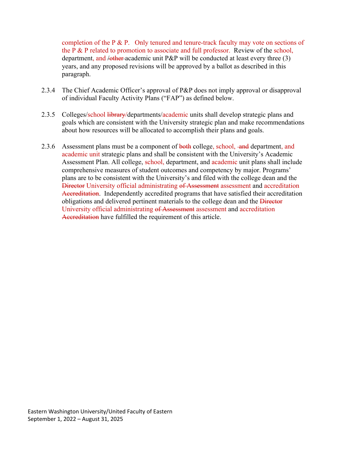completion of the P & P. Only tenured and tenure-track faculty may vote on sections of the P & P related to promotion to associate and full professor. Review of the school, department, and  $/other$  academic unit P&P will be conducted at least every three (3) years, and any proposed revisions will be approved by a ballot as described in this paragraph.

- 2.3.4 The Chief Academic Officer's approval of P&P does not imply approval or disapproval of individual Faculty Activity Plans ("FAP") as defined below.
- 2.3.5 Colleges/school <del>library</del>/departments/academic units shall develop strategic plans and goals which are consistent with the University strategic plan and make recommendations about how resources will be allocated to accomplish their plans and goals.
- 2.3.6 Assessment plans must be a component of both college, school, and department, and academic unit strategic plans and shall be consistent with the University's Academic Assessment Plan. All college, school, department, and academic unit plans shall include comprehensive measures of student outcomes and competency by major. Programs' plans are to be consistent with the University's and filed with the college dean and the Director University official administrating of Assessment assessment and accreditation Accreditation. Independently accredited programs that have satisfied their accreditation obligations and delivered pertinent materials to the college dean and the **Director** University official administrating of Assessment assessment and accreditation Accreditation have fulfilled the requirement of this article.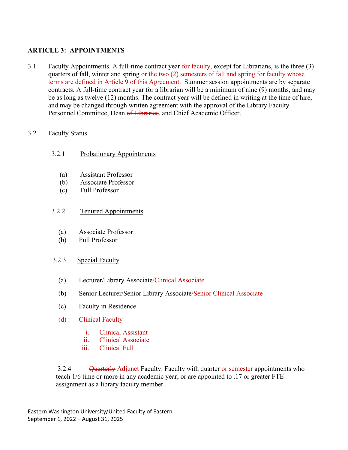# **ARTICLE 3: APPOINTMENTS**

3.1 Faculty Appointments. A full-time contract year for faculty, except for Librarians, is the three (3) quarters of fall, winter and spring or the two (2) semesters of fall and spring for faculty whose terms are defined in Article 9 of this Agreement. Summer session appointments are by separate contracts. A full-time contract year for a librarian will be a minimum of nine (9) months, and may be as long as twelve (12) months. The contract year will be defined in writing at the time of hire, and may be changed through written agreement with the approval of the Library Faculty Personnel Committee, Dean of Libraries, and Chief Academic Officer.

## 3.2 Faculty Status.

#### 3.2.1 Probationary Appointments

- (a) Assistant Professor
- (b) Associate Professor
- (c) Full Professor

#### 3.2.2 Tenured Appointments

- (a) Associate Professor
- (b) Full Professor
- 3.2.3 Special Faculty
	- (a) Lecturer/Library Associate/Clinical Associate
	- (b) Senior Lecturer/Senior Library Associate/Senior Clinical Associate
	- (c) Faculty in Residence
	- (d) Clinical Faculty
		- i. Clinical Assistant
		- ii. Clinical Associate
		- iii. Clinical Full

3.2.4 <del>Quarterly</del> Adjunct Faculty. Faculty with quarter or semester appointments who teach 1/6 time or more in any academic year, or are appointed to .17 or greater FTE assignment as a library faculty member.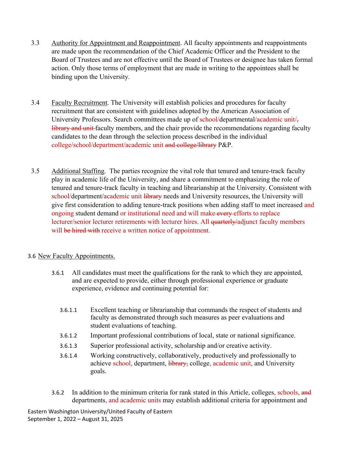- 3.3 Authority for Appointment and Reappointment. All faculty appointments and reappointments are made upon the recommendation of the Chief Academic Officer and the President to the Board of Trustees and are not effective until the Board of Trustees or designee has taken formal action. Only those terms of employment that are made in writing to the appointees shall be binding upon the University.
- 3.4 Faculty Recruitment. The University will establish policies and procedures for faculty recruitment that are consistent with guidelines adopted by the American Association of University Professors. Search committees made up of school/departmental/academic unit/library and unit faculty members, and the chair provide the recommendations regarding faculty candidates to the dean through the selection process described in the individual college/school/department/academic unit and college/library P&P.
- 3.5 Additional Staffing. The parties recognize the vital role that tenured and tenure-track faculty play in academic life of the University, and share a commitment to emphasizing the role of tenured and tenure-track faculty in teaching and librarianship at the University. Consistent with school/department/academic unit library needs and University resources, the University will give first consideration to adding tenure-track positions when adding staff to meet increased and ongoing student demand or institutional need and will make every efforts to replace lecturer/senior lecturer retirements with lecturer hires. All quarterly/adjunct faculty members will be hired with receive a written notice of appointment.

## 3.6 New Faculty Appointments.

- 3.6.1 All candidates must meet the qualifications for the rank to which they are appointed, and are expected to provide, either through professional experience or graduate experience, evidence and continuing potential for:
	- 3.6.1.1 Excellent teaching or librarianship that commands the respect of students and faculty as demonstrated through such measures as peer evaluations and student evaluations of teaching.
	- 3.6.1.2 Important professional contributions of local, state or national significance.
	- 3.6.1.3 Superior professional activity, scholarship and/or creative activity.
	- 3.6.1.4 Working constructively, collaboratively, productively and professionally to achieve school, department, library, college, academic unit, and University goals.
- 3.6.2 In addition to the minimum criteria for rank stated in this Article, colleges, schools, and departments, and academic units may establish additional criteria for appointment and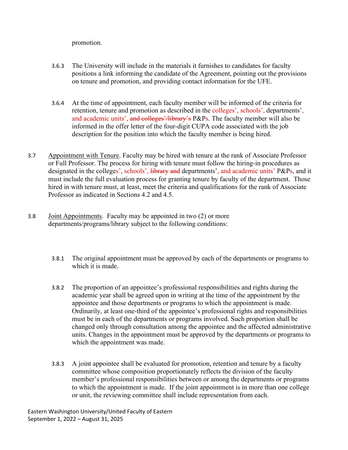promotion.

- 3.6.3 The University will include in the materials it furnishes to candidates for faculty positions a link informing the candidate of the Agreement, pointing out the provisions on tenure and promotion, and providing contact information for the UFE.
- 3.6.4 At the time of appointment, each faculty member will be informed of the criteria for retention, tenure and promotion as described in the colleges', schools', departments', and academic units', and colleges'/library's P&Ps. The faculty member will also be informed in the offer letter of the four-digit CUPA code associated with the job description for the position into which the faculty member is being hired.
- 3.7 Appointment with Tenure. Faculty may be hired with tenure at the rank of Associate Professor or Full Professor. The process for hiring with tenure must follow the hiring-in procedures as designated in the colleges', schools', library and departments', and academic units' P&Ps, and it must include the full evaluation process for granting tenure by faculty of the department. Those hired in with tenure must, at least, meet the criteria and qualifications for the rank of Associate Professor as indicated in Sections 4.2 and 4.5.
- 3.8 Joint Appointments. Faculty may be appointed in two (2) or more departments/programs/library subject to the following conditions:
	- 3.8.1 The original appointment must be approved by each of the departments or programs to which it is made.
	- 3.8.2 The proportion of an appointee's professional responsibilities and rights during the academic year shall be agreed upon in writing at the time of the appointment by the appointee and those departments or programs to which the appointment is made. Ordinarily, at least one-third of the appointee's professional rights and responsibilities must be in each of the departments or programs involved. Such proportion shall be changed only through consultation among the appointee and the affected administrative units. Changes in the appointment must be approved by the departments or programs to which the appointment was made.
	- 3.8.3 A joint appointee shall be evaluated for promotion, retention and tenure by a faculty committee whose composition proportionately reflects the division of the faculty member's professional responsibilities between or among the departments or programs to which the appointment is made. If the joint appointment is in more than one college or unit, the reviewing committee shall include representation from each.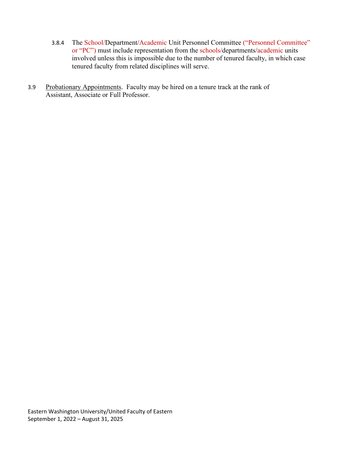- 3.8.4 The School/Department/Academic Unit Personnel Committee ("Personnel Committee" or "PC") must include representation from the schools/departments/academic units involved unless this is impossible due to the number of tenured faculty, in which case tenured faculty from related disciplines will serve.
- 3.9 Probationary Appointments. Faculty may be hired on a tenure track at the rank of Assistant, Associate or Full Professor.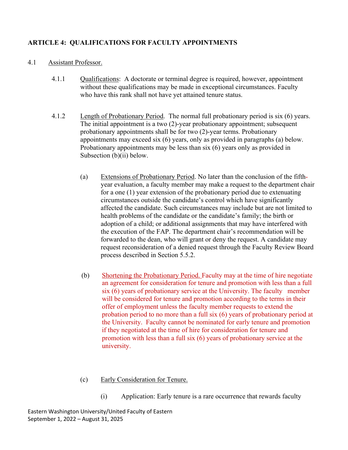# **ARTICLE 4: QUALIFICATIONS FOR FACULTY APPOINTMENTS**

#### 4.1 Assistant Professor.

- 4.1.1 Qualifications: A doctorate or terminal degree is required, however, appointment without these qualifications may be made in exceptional circumstances. Faculty who have this rank shall not have yet attained tenure status.
- 4.1.2 Length of Probationary Period. The normal full probationary period is six (6) years. The initial appointment is a two (2)-year probationary appointment; subsequent probationary appointments shall be for two (2)-year terms. Probationary appointments may exceed six (6) years, only as provided in paragraphs (a) below. Probationary appointments may be less than six (6) years only as provided in Subsection (b)(ii) below.
	- (a) Extensions of Probationary Period. No later than the conclusion of the fifthyear evaluation, a faculty member may make a request to the department chair for a one (1) year extension of the probationary period due to extenuating circumstances outside the candidate's control which have significantly affected the candidate. Such circumstances may include but are not limited to health problems of the candidate or the candidate's family; the birth or adoption of a child; or additional assignments that may have interfered with the execution of the FAP. The department chair's recommendation will be forwarded to the dean, who will grant or deny the request. A candidate may request reconsideration of a denied request through the Faculty Review Board process described in Section 5.5.2.
	- (b) Shortening the Probationary Period. Faculty may at the time of hire negotiate an agreement for consideration for tenure and promotion with less than a full six (6) years of probationary service at the University. The faculty member will be considered for tenure and promotion according to the terms in their offer of employment unless the faculty member requests to extend the probation period to no more than a full six (6) years of probationary period at the University. Faculty cannot be nominated for early tenure and promotion if they negotiated at the time of hire for consideration for tenure and promotion with less than a full six (6) years of probationary service at the university.
	- (c) Early Consideration for Tenure.
		- (i) Application: Early tenure is a rare occurrence that rewards faculty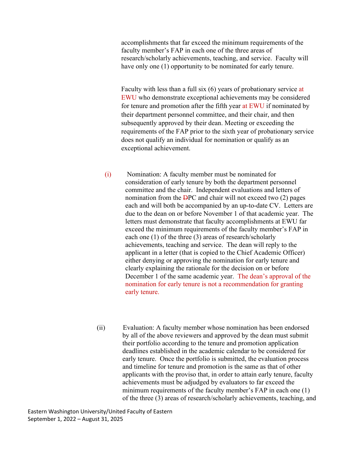accomplishments that far exceed the minimum requirements of the faculty member's FAP in each one of the three areas of research/scholarly achievements, teaching, and service. Faculty will have only one (1) opportunity to be nominated for early tenure.

Faculty with less than a full six (6) years of probationary service at EWU who demonstrate exceptional achievements may be considered for tenure and promotion after the fifth year at EWU if nominated by their department personnel committee, and their chair, and then subsequently approved by their dean. Meeting or exceeding the requirements of the FAP prior to the sixth year of probationary service does not qualify an individual for nomination or qualify as an exceptional achievement.

- (i) Nomination: A faculty member must be nominated for consideration of early tenure by both the department personnel committee and the chair. Independent evaluations and letters of nomination from the  $\overline{BPC}$  and chair will not exceed two (2) pages each and will both be accompanied by an up-to-date CV. Letters are due to the dean on or before November 1 of that academic year. The letters must demonstrate that faculty accomplishments at EWU far exceed the minimum requirements of the faculty member's FAP in each one (1) of the three (3) areas of research/scholarly achievements, teaching and service. The dean will reply to the applicant in a letter (that is copied to the Chief Academic Officer) either denying or approving the nomination for early tenure and clearly explaining the rationale for the decision on or before December 1 of the same academic year. The dean's approval of the nomination for early tenure is not a recommendation for granting early tenure.
- (ii) Evaluation: A faculty member whose nomination has been endorsed by all of the above reviewers and approved by the dean must submit their portfolio according to the tenure and promotion application deadlines established in the academic calendar to be considered for early tenure. Once the portfolio is submitted, the evaluation process and timeline for tenure and promotion is the same as that of other applicants with the proviso that, in order to attain early tenure, faculty achievements must be adjudged by evaluators to far exceed the minimum requirements of the faculty member's FAP in each one (1) of the three (3) areas of research/scholarly achievements, teaching, and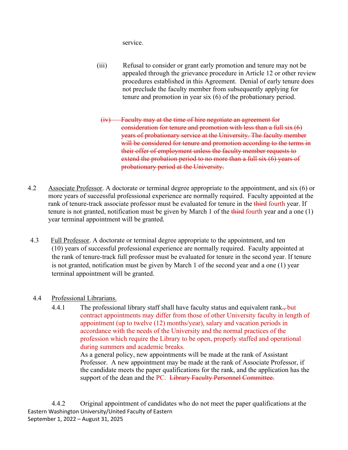service.

- (iii) Refusal to consider or grant early promotion and tenure may not be appealed through the grievance procedure in Article 12 or other review procedures established in this Agreement. Denial of early tenure does not preclude the faculty member from subsequently applying for tenure and promotion in year six (6) of the probationary period.
- (iv) Faculty may at the time of hire negotiate an agreement for consideration for tenure and promotion with less than a full six (6) years of probationary service at the University. The faculty member will be considered for tenure and promotion according to the terms in their offer of employment unless the faculty member requests to extend the probation period to no more than a full six (6) years of probationary period at the University.
- 4.2 Associate Professor. A doctorate or terminal degree appropriate to the appointment, and six (6) or more years of successful professional experience are normally required. Faculty appointed at the rank of tenure-track associate professor must be evaluated for tenure in the third fourth year. If tenure is not granted, notification must be given by March 1 of the third fourth year and a one  $(1)$ year terminal appointment will be granted.
- 4.3 Full Professor. A doctorate or terminal degree appropriate to the appointment, and ten (10) years of successful professional experience are normally required. Faculty appointed at the rank of tenure-track full professor must be evaluated for tenure in the second year. If tenure is not granted, notification must be given by March 1 of the second year and a one (1) year terminal appointment will be granted.

# 4.4 Professional Librarians.

4.4.1 The professional library staff shall have faculty status and equivalent rank $\frac{1}{2}$  but contract appointments may differ from those of other University faculty in length of appointment (up to twelve (12) months/year), salary and vacation periods in accordance with the needs of the University and the normal practices of the profession which require the Library to be open, properly staffed and operational during summers and academic breaks. As a general policy, new appointments will be made at the rank of Assistant

Professor. A new appointment may be made at the rank of Associate Professor, if the candidate meets the paper qualifications for the rank, and the application has the support of the dean and the PC. Library Faculty Personnel Committee.

Eastern Washington University/United Faculty of Eastern September 1, 2022 – August 31, 2025 4.4.2 Original appointment of candidates who do not meet the paper qualifications at the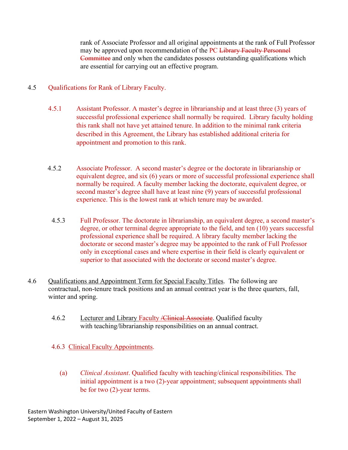rank of Associate Professor and all original appointments at the rank of Full Professor may be approved upon recommendation of the PC Library Faculty Personnel Committee and only when the candidates possess outstanding qualifications which are essential for carrying out an effective program.

# 4.5 Qualifications for Rank of Library Faculty.

- 4.5.1 Assistant Professor. A master's degree in librarianship and at least three (3) years of successful professional experience shall normally be required. Library faculty holding this rank shall not have yet attained tenure. In addition to the minimal rank criteria described in this Agreement, the Library has established additional criteria for appointment and promotion to this rank.
- 4.5.2 Associate Professor. A second master's degree or the doctorate in librarianship or equivalent degree, and six (6) years or more of successful professional experience shall normally be required. A faculty member lacking the doctorate, equivalent degree, or second master's degree shall have at least nine (9) years of successful professional experience. This is the lowest rank at which tenure may be awarded.
	- 4.5.3 Full Professor. The doctorate in librarianship, an equivalent degree, a second master's degree, or other terminal degree appropriate to the field, and ten (10) years successful professional experience shall be required. A library faculty member lacking the doctorate or second master's degree may be appointed to the rank of Full Professor only in exceptional cases and where expertise in their field is clearly equivalent or superior to that associated with the doctorate or second master's degree.
- 4.6 Qualifications and Appointment Term for Special Faculty Titles. The following are contractual, non-tenure track positions and an annual contract year is the three quarters, fall, winter and spring.
	- 4.6.2 Lecturer and Library Faculty / Clinical Associate. Qualified faculty with teaching/librarianship responsibilities on an annual contract.
	- 4.6.3 Clinical Faculty Appointments.
		- (a) *Clinical Assistant*. Qualified faculty with teaching/clinical responsibilities. The initial appointment is a two (2)-year appointment; subsequent appointments shall be for two (2)-year terms.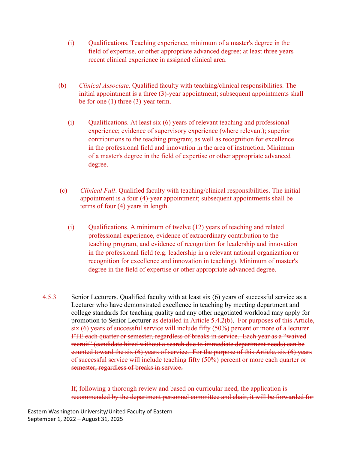- (i) Qualifications. Teaching experience, minimum of a master's degree in the field of expertise, or other appropriate advanced degree; at least three years recent clinical experience in assigned clinical area.
- (b) *Clinical Associate*. Qualified faculty with teaching/clinical responsibilities. The initial appointment is a three (3)-year appointment; subsequent appointments shall be for one (1) three (3)-year term.
	- (i) Qualifications. At least six (6) years of relevant teaching and professional experience; evidence of supervisory experience (where relevant); superior contributions to the teaching program; as well as recognition for excellence in the professional field and innovation in the area of instruction. Minimum of a master's degree in the field of expertise or other appropriate advanced degree.
- (c) *Clinical Full*. Qualified faculty with teaching/clinical responsibilities. The initial appointment is a four (4)-year appointment; subsequent appointments shall be terms of four (4) years in length.
	- (i) Qualifications. A minimum of twelve (12) years of teaching and related professional experience, evidence of extraordinary contribution to the teaching program, and evidence of recognition for leadership and innovation in the professional field (e.g. leadership in a relevant national organization or recognition for excellence and innovation in teaching). Minimum of master's degree in the field of expertise or other appropriate advanced degree.
- 4.5.3 Senior Lecturers. Qualified faculty with at least six (6) years of successful service as a Lecturer who have demonstrated excellence in teaching by meeting department and college standards for teaching quality and any other negotiated workload may apply for promotion to Senior Lecturer as detailed in Article 5.4.2(b). For purposes of this Article, six (6) years of successful service will include fifty (50%) percent or more of a lecturer FTE each quarter or semester, regardless of breaks in service. Each year as a "waived recruit" (candidate hired without a search due to immediate department needs) can be counted toward the six (6) years of service. For the purpose of this Article, six (6) years of successful service will include teaching fifty (50%) percent or more each quarter or semester, regardless of breaks in service.

If, following a thorough review and based on curricular need, the application is recommended by the department personnel committee and chair, it will be forwarded for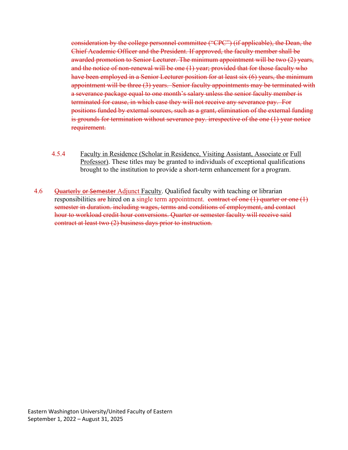consideration by the college personnel committee ("CPC") (if applicable), the Dean, the Chief Academic Officer and the President. If approved, the faculty member shall be awarded promotion to Senior Lecturer. The minimum appointment will be two (2) years, and the notice of non-renewal will be one (1) year; provided that for those faculty who have been employed in a Senior Lecturer position for at least six (6) years, the minimum appointment will be three (3) years. Senior faculty appointments may be terminated with a severance package equal to one month's salary unless the senior faculty member is terminated for cause, in which case they will not receive any severance pay. For positions funded by external sources, such as a grant, elimination of the external funding is grounds for termination without severance pay. irrespective of the one (1) year notice requirement.

- 4.5.4 Faculty in Residence (Scholar in Residence, Visiting Assistant, Associate or Full Professor). These titles may be granted to individuals of exceptional qualifications brought to the institution to provide a short-term enhancement for a program.
- 4.6 <del>Quarterly or Semester</del> Adjunct Faculty. Qualified faculty with teaching or librarian responsibilities  $\frac{d}{dt}$  are hired on a single term appointment. contract of one  $(1)$  quarter or one  $(1)$ semester in duration. including wages, terms and conditions of employment, and contact hour to workload credit hour conversions. Quarter or semester faculty will receive said contract at least two (2) business days prior to instruction.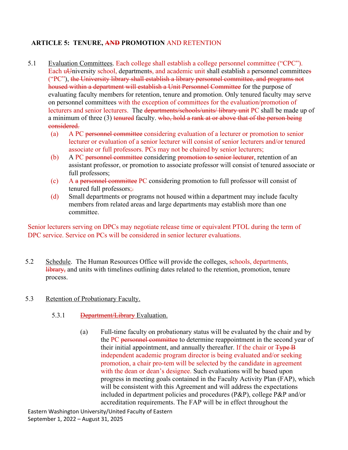# **ARTICLE 5: TENURE, AND PROMOTION** AND RETENTION

- 5.1 Evaluation Committees. Each college shall establish a college personnel committee ("CPC"). Each uUniversity school, departments, and academic unit shall establish a personnel committees ("PC"), the University library shall establish a library personnel committee, and programs not housed within a department will establish a Unit Personnel Committee for the purpose of evaluating faculty members for retention, tenure and promotion. Only tenured faculty may serve on personnel committees with the exception of committees for the evaluation/promotion of lecturers and senior lecturers. The departments/schools/units/ library unit PC shall be made up of a minimum of three (3) tenured faculty. who, hold a rank at or above that of the person being considered.
	- (a) A PC personnel committee considering evaluation of a lecturer or promotion to senior lecturer or evaluation of a senior lecturer will consist of senior lecturers and/or tenured associate or full professors. PCs may not be chaired by senior lecturers;
	- (b) A PC personnel committee considering promotion to senior lecturer, retention of an assistant professor, or promotion to associate professor will consist of tenured associate or full professors;
	- (c) A a personnel committee PC considering promotion to full professor will consist of tenured full professors;.
	- (d) Small departments or programs not housed within a department may include faculty members from related areas and large departments may establish more than one committee.

Senior lecturers serving on DPCs may negotiate release time or equivalent PTOL during the term of DPC service. Service on PCs will be considered in senior lecturer evaluations.

5.2 Schedule. The Human Resources Office will provide the colleges, schools, departments, library, and units with timelines outlining dates related to the retention, promotion, tenure process.

#### 5.3 Retention of Probationary Faculty.

- 5.3.1 Department/Library Evaluation.
	- (a) Full-time faculty on probationary status will be evaluated by the chair and by the PC personnel committee to determine reappointment in the second year of their initial appointment, and annually thereafter. If the chair or Type B independent academic program director is being evaluated and/or seeking promotion, a chair pro-tem will be selected by the candidate in agreement with the dean or dean's designee. Such evaluations will be based upon progress in meeting goals contained in the Faculty Activity Plan (FAP), which will be consistent with this Agreement and will address the expectations included in department policies and procedures (P&P), college P&P and/or accreditation requirements. The FAP will be in effect throughout the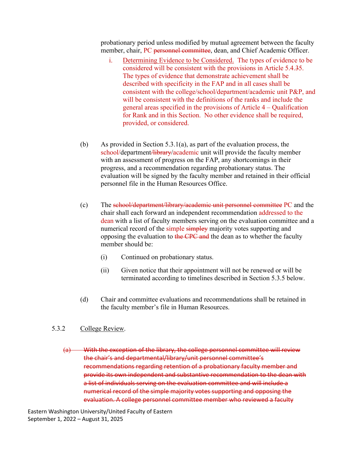probationary period unless modified by mutual agreement between the faculty member, chair, PC personnel committee, dean, and Chief Academic Officer.

- i. Determining Evidence to be Considered. The types of evidence to be considered will be consistent with the provisions in Article 5.4.35. The types of evidence that demonstrate achievement shall be described with specificity in the FAP and in all cases shall be consistent with the college/school/department/academic unit P&P, and will be consistent with the definitions of the ranks and include the general areas specified in the provisions of Article 4 – Qualification for Rank and in this Section. No other evidence shall be required, provided, or considered.
- (b) As provided in Section 5.3.1(a), as part of the evaluation process, the school/department/Hibrary/academic unit will provide the faculty member with an assessment of progress on the FAP, any shortcomings in their progress, and a recommendation regarding probationary status. The evaluation will be signed by the faculty member and retained in their official personnel file in the Human Resources Office.
- (c) The school/department/library/academic unit personnel committee PC and the chair shall each forward an independent recommendation addressed to the dean with a list of faculty members serving on the evaluation committee and a numerical record of the simple simpley majority votes supporting and opposing the evaluation to the CPC and the dean as to whether the faculty member should be:
	- (i) Continued on probationary status.
	- (ii) Given notice that their appointment will not be renewed or will be terminated according to timelines described in Section 5.3.5 below.
- (d) Chair and committee evaluations and recommendations shall be retained in the faculty member's file in Human Resources.

## 5.3.2 College Review.

(a) With the exception of the library, the college personnel committee will review the chair's and departmental/library/unit personnel committee's recommendations regarding retention of a probationary faculty member and provide its own independent and substantive recommendation to the dean with a list of individuals serving on the evaluation committee and will include a numerical record of the simple majority votes supporting and opposing the evaluation. A college personnel committee member who reviewed a faculty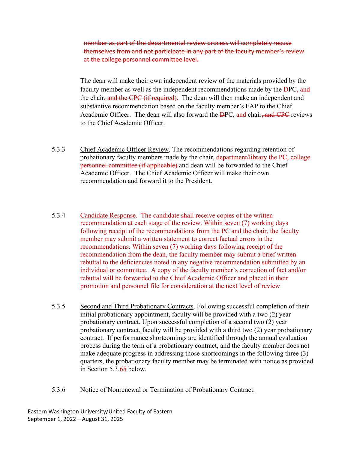member as part of the departmental review process will completely recuse themselves from and not participate in any part of the faculty member's review at the college personnel committee level.

The dean will make their own independent review of the materials provided by the faculty member as well as the independent recommendations made by the  $\text{DPC}_7$  and the chair, and the CPC (if required). The dean will then make an independent and substantive recommendation based on the faculty member's FAP to the Chief Academic Officer. The dean will also forward the DPC, and chair, and CPC reviews to the Chief Academic Officer.

- 5.3.3 Chief Academic Officer Review. The recommendations regarding retention of probationary faculty members made by the chair, department/library the PC, college personnel committee (if applicable) and dean will be forwarded to the Chief Academic Officer. The Chief Academic Officer will make their own recommendation and forward it to the President.
- 5.3.4 Candidate Response. The candidate shall receive copies of the written recommendation at each stage of the review. Within seven (7) working days following receipt of the recommendations from the PC and the chair, the faculty member may submit a written statement to correct factual errors in the recommendations. Within seven (7) working days following receipt of the recommendation from the dean, the faculty member may submit a brief written rebuttal to the deficiencies noted in any negative recommendation submitted by an individual or committee. A copy of the faculty member's correction of fact and/or rebuttal will be forwarded to the Chief Academic Officer and placed in their promotion and personnel file for consideration at the next level of review
- 5.3.5 Second and Third Probationary Contracts. Following successful completion of their initial probationary appointment, faculty will be provided with a two (2) year probationary contract. Upon successful completion of a second two (2) year probationary contract, faculty will be provided with a third two (2) year probationary contract. If performance shortcomings are identified through the annual evaluation process during the term of a probationary contract, and the faculty member does not make adequate progress in addressing those shortcomings in the following three (3) quarters, the probationary faculty member may be terminated with notice as provided in Section 5.3.65 below.
- 5.3.6 Notice of Nonrenewal or Termination of Probationary Contract.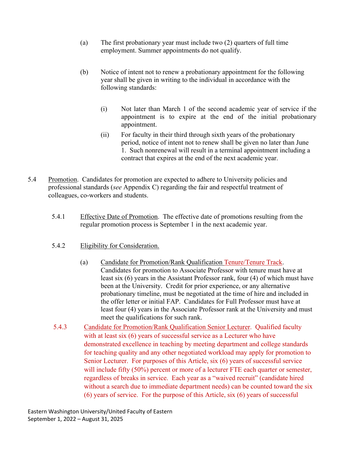- (a) The first probationary year must include two (2) quarters of full time employment. Summer appointments do not qualify.
- (b) Notice of intent not to renew a probationary appointment for the following year shall be given in writing to the individual in accordance with the following standards:
	- (i) Not later than March 1 of the second academic year of service if the appointment is to expire at the end of the initial probationary appointment.
	- (ii) For faculty in their third through sixth years of the probationary period, notice of intent not to renew shall be given no later than June 1. Such nonrenewal will result in a terminal appointment including a contract that expires at the end of the next academic year.
- 5.4 Promotion. Candidates for promotion are expected to adhere to University policies and professional standards (*see* Appendix C) regarding the fair and respectful treatment of colleagues, co-workers and students.
	- 5.4.1 Effective Date of Promotion. The effective date of promotions resulting from the regular promotion process is September 1 in the next academic year.

# 5.4.2 Eligibility for Consideration.

- (a) Candidate for Promotion/Rank Qualification Tenure/Tenure Track. Candidates for promotion to Associate Professor with tenure must have at least six (6) years in the Assistant Professor rank, four (4) of which must have been at the University. Credit for prior experience, or any alternative probationary timeline, must be negotiated at the time of hire and included in the offer letter or initial FAP. Candidates for Full Professor must have at least four (4) years in the Associate Professor rank at the University and must meet the qualifications for such rank.
- 5.4.3 Candidate for Promotion/Rank Qualification Senior Lecturer. Qualified faculty with at least six (6) years of successful service as a Lecturer who have demonstrated excellence in teaching by meeting department and college standards for teaching quality and any other negotiated workload may apply for promotion to Senior Lecturer. For purposes of this Article, six (6) years of successful service will include fifty (50%) percent or more of a lecturer FTE each quarter or semester, regardless of breaks in service. Each year as a "waived recruit" (candidate hired without a search due to immediate department needs) can be counted toward the six (6) years of service. For the purpose of this Article, six (6) years of successful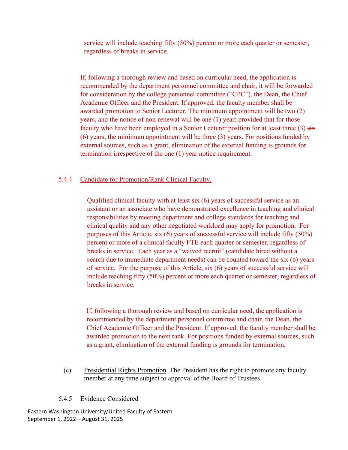service will include teaching fifty (50%) percent or more each quarter or semester, regardless of breaks in service.

If, following a thorough review and based on curricular need, the application is recommended by the department personnel committee and chair, it will be forwarded for consideration by the college personnel committee ("CPC"), the Dean, the Chief Academic Officer and the President. If approved, the faculty member shall be awarded promotion to Senior Lecturer. The minimum appointment will be two (2) years, and the notice of non-renewal will be one (1) year; provided that for those faculty who have been employed in a Senior Lecturer position for at least three  $(3)$  six  $(6)$  years, the minimum appointment will be three (3) years. For positions funded by external sources, such as a grant, elimination of the external funding is grounds for termination irrespective of the one (1) year notice requirement.

## 5.4.4 Candidate for Promotion/Rank Clinical Faculty.

Qualified clinical faculty with at least six (6) years of successful service as an assistant or an associate who have demonstrated excellence in teaching and clinical responsibilities by meeting department and college standards for teaching and clinical quality and any other negotiated workload may apply for promotion. For purposes of this Article, six (6) years of successful service will include fifty (50%) percent or more of a clinical faculty FTE each quarter or semester, regardless of breaks in service. Each year as a "waived recruit" (candidate hired without a search due to immediate department needs) can be counted toward the six (6) years of service. For the purpose of this Article, six (6) years of successful service will include teaching fifty (50%) percent or more each quarter or semester, regardless of breaks in service.

If, following a thorough review and based on curricular need, the application is recommended by the department personnel committee and chair, the Dean, the Chief Academic Officer and the President. If approved, the faculty member shall be awarded promotion to the next rank. For positions funded by external sources, such as a grant, elimination of the external funding is grounds for termination.

(c) Presidential Rights Promotion. The President has the right to promote any faculty member at any time subject to approval of the Board of Trustees.

## 5.4.5 Evidence Considered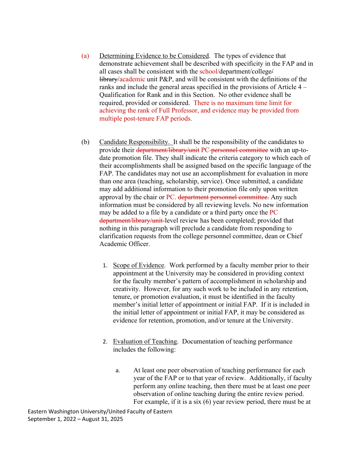- (a) Determining Evidence to be Considered. The types of evidence that demonstrate achievement shall be described with specificity in the FAP and in all cases shall be consistent with the school/department/college/ library/academic unit P&P, and will be consistent with the definitions of the ranks and include the general areas specified in the provisions of Article 4 – Qualification for Rank and in this Section. No other evidence shall be required, provided or considered. There is no maximum time limit for achieving the rank of Full Professor, and evidence may be provided from multiple post-tenure FAP periods.
- (b) Candidate Responsibility. It shall be the responsibility of the candidates to provide their department/library/unit PC personnel committee with an up-todate promotion file. They shall indicate the criteria category to which each of their accomplishments shall be assigned based on the specific language of the FAP. The candidates may not use an accomplishment for evaluation in more than one area (teaching, scholarship, service). Once submitted, a candidate may add additional information to their promotion file only upon written approval by the chair or PC. department personnel committee. Any such information must be considered by all reviewing levels. No new information may be added to a file by a candidate or a third party once the PC department/library/unit-level review has been completed; provided that nothing in this paragraph will preclude a candidate from responding to clarification requests from the college personnel committee, dean or Chief Academic Officer.
	- 1. Scope of Evidence. Work performed by a faculty member prior to their appointment at the University may be considered in providing context for the faculty member's pattern of accomplishment in scholarship and creativity. However, for any such work to be included in any retention, tenure, or promotion evaluation, it must be identified in the faculty member's initial letter of appointment or initial FAP. If it is included in the initial letter of appointment or initial FAP, it may be considered as evidence for retention, promotion, and/or tenure at the University.
	- 2. Evaluation of Teaching. Documentation of teaching performance includes the following:
		- a. At least one peer observation of teaching performance for each year of the FAP or to that year of review. Additionally, if faculty perform any online teaching, then there must be at least one peer observation of online teaching during the entire review period. For example, if it is a six (6) year review period, there must be at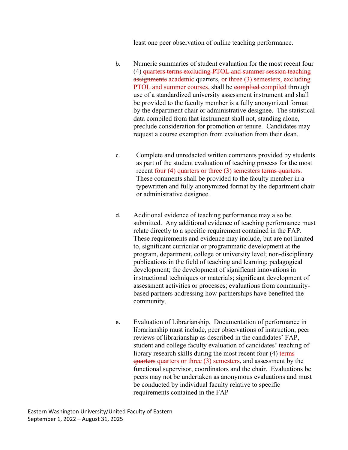least one peer observation of online teaching performance.

- b. Numeric summaries of student evaluation for the most recent four (4) quarters terms excluding PTOL and summer session teaching assignments academic quarters, or three (3) semesters, excluding PTOL and summer courses, shall be complied compiled through use of a standardized university assessment instrument and shall be provided to the faculty member is a fully anonymized format by the department chair or administrative designee. The statistical data compiled from that instrument shall not, standing alone, preclude consideration for promotion or tenure. Candidates may request a course exemption from evaluation from their dean.
- c. Complete and unredacted written comments provided by students as part of the student evaluation of teaching process for the most recent four (4) quarters or three (3) semesters terms quarters. These comments shall be provided to the faculty member in a typewritten and fully anonymized format by the department chair or administrative designee.
- d. Additional evidence of teaching performance may also be submitted. Any additional evidence of teaching performance must relate directly to a specific requirement contained in the FAP. These requirements and evidence may include, but are not limited to, significant curricular or programmatic development at the program, department, college or university level; non-disciplinary publications in the field of teaching and learning; pedagogical development; the development of significant innovations in instructional techniques or materials; significant development of assessment activities or processes; evaluations from communitybased partners addressing how partnerships have benefited the community.
- e. Evaluation of Librarianship. Documentation of performance in librarianship must include, peer observations of instruction, peer reviews of librarianship as described in the candidates' FAP, student and college faculty evaluation of candidates' teaching of library research skills during the most recent four (4)-terms quarters quarters or three (3) semesters, and assessment by the functional supervisor, coordinators and the chair. Evaluations be peers may not be undertaken as anonymous evaluations and must be conducted by individual faculty relative to specific requirements contained in the FAP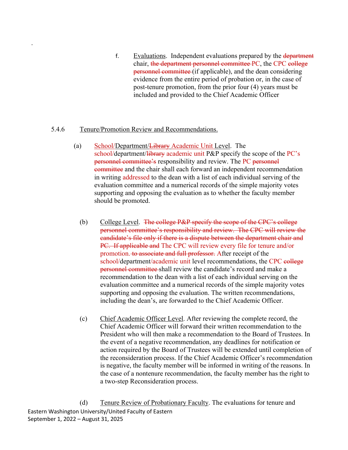f. Evaluations. Independent evaluations prepared by the department chair, the department personnel committee PC, the CPC college **personnel committee** (if applicable), and the dean considering evidence from the entire period of probation or, in the case of post-tenure promotion, from the prior four (4) years must be included and provided to the Chief Academic Officer

## 5.4.6 Tenure/Promotion Review and Recommendations.

.

- (a) School/Department/Library Academic Unit Level. The school/department/library academic unit P&P specify the scope of the PC's personnel committee's responsibility and review. The PC personnel committee and the chair shall each forward an independent recommendation in writing addressed to the dean with a list of each individual serving of the evaluation committee and a numerical records of the simple majority votes supporting and opposing the evaluation as to whether the faculty member should be promoted.
	- (b) College Level. The college P&P specify the scope of the CPC's college personnel committee's responsibility and review. The CPC will review the candidate's file only if there is a dispute between the department chair and PC. If applicable and The CPC will review every file for tenure and/or promotion. to associate and full professor. After receipt of the school/department/academic unit level recommendations, the CPC college personnel committee shall review the candidate's record and make a recommendation to the dean with a list of each individual serving on the evaluation committee and a numerical records of the simple majority votes supporting and opposing the evaluation. The written recommendations, including the dean's, are forwarded to the Chief Academic Officer.
	- (c) Chief Academic Officer Level. After reviewing the complete record, the Chief Academic Officer will forward their written recommendation to the President who will then make a recommendation to the Board of Trustees. In the event of a negative recommendation, any deadlines for notification or action required by the Board of Trustees will be extended until completion of the reconsideration process. If the Chief Academic Officer's recommendation is negative, the faculty member will be informed in writing of the reasons. In the case of a nontenure recommendation, the faculty member has the right to a two-step Reconsideration process.

Eastern Washington University/United Faculty of Eastern September 1, 2022 – August 31, 2025 (d) Tenure Review of Probationary Faculty. The evaluations for tenure and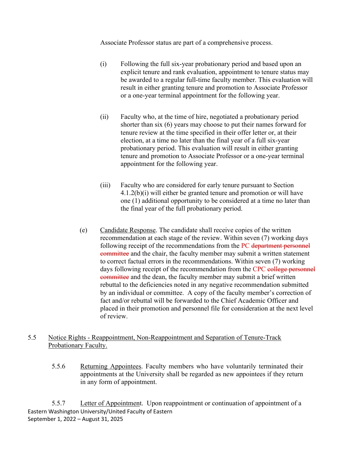Associate Professor status are part of a comprehensive process.

- (i) Following the full six-year probationary period and based upon an explicit tenure and rank evaluation, appointment to tenure status may be awarded to a regular full-time faculty member. This evaluation will result in either granting tenure and promotion to Associate Professor or a one-year terminal appointment for the following year.
- (ii) Faculty who, at the time of hire, negotiated a probationary period shorter than six (6) years may choose to put their names forward for tenure review at the time specified in their offer letter or, at their election, at a time no later than the final year of a full six-year probationary period. This evaluation will result in either granting tenure and promotion to Associate Professor or a one-year terminal appointment for the following year.
- (iii) Faculty who are considered for early tenure pursuant to Section 4.1.2(b)(i) will either be granted tenure and promotion or will have one (1) additional opportunity to be considered at a time no later than the final year of the full probationary period.
- (e) Candidate Response. The candidate shall receive copies of the written recommendation at each stage of the review. Within seven (7) working days following receipt of the recommendations from the PC department personnel committee and the chair, the faculty member may submit a written statement to correct factual errors in the recommendations. Within seven (7) working days following receipt of the recommendation from the CPC college personnel committee and the dean, the faculty member may submit a brief written rebuttal to the deficiencies noted in any negative recommendation submitted by an individual or committee. A copy of the faculty member's correction of fact and/or rebuttal will be forwarded to the Chief Academic Officer and placed in their promotion and personnel file for consideration at the next level of review.

## 5.5 Notice Rights - Reappointment, Non-Reappointment and Separation of Tenure-Track Probationary Faculty.

5.5.6 Returning Appointees. Faculty members who have voluntarily terminated their appointments at the University shall be regarded as new appointees if they return in any form of appointment.

Eastern Washington University/United Faculty of Eastern September 1, 2022 – August 31, 2025 5.5.7 Letter of Appointment. Upon reappointment or continuation of appointment of a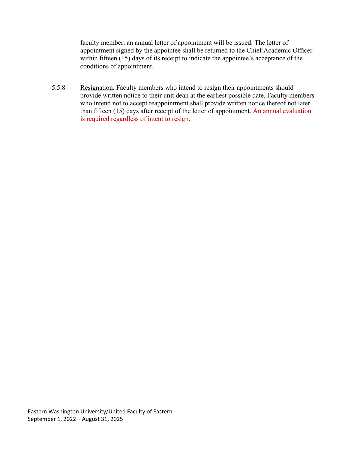faculty member, an annual letter of appointment will be issued. The letter of appointment signed by the appointee shall be returned to the Chief Academic Officer within fifteen (15) days of its receipt to indicate the appointee's acceptance of the conditions of appointment.

5.5.8 Resignation. Faculty members who intend to resign their appointments should provide written notice to their unit dean at the earliest possible date. Faculty members who intend not to accept reappointment shall provide written notice thereof not later than fifteen (15) days after receipt of the letter of appointment. An annual evaluation is required regardless of intent to resign.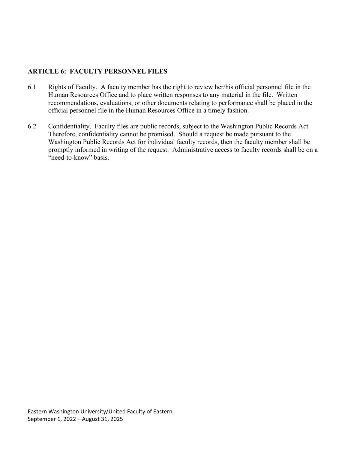## **ARTICLE 6: FACULTY PERSONNEL FILES**

- 6.1 Rights of Faculty. A faculty member has the right to review her/his official personnel file in the Human Resources Office and to place written responses to any material in the file. Written recommendations, evaluations, or other documents relating to performance shall be placed in the official personnel file in the Human Resources Office in a timely fashion.
- 6.2 Confidentiality. Faculty files are public records, subject to the Washington Public Records Act. Therefore, confidentiality cannot be promised. Should a request be made pursuant to the Washington Public Records Act for individual faculty records, then the faculty member shall be promptly informed in writing of the request. Administrative access to faculty records shall be on a "need-to-know" basis.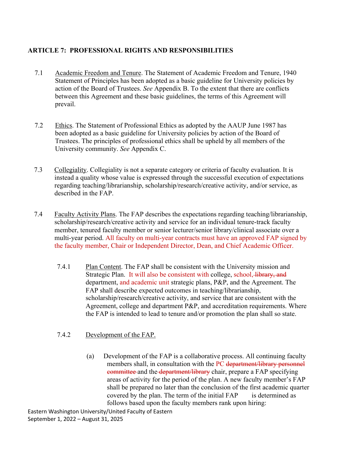# **ARTICLE 7: PROFESSIONAL RIGHTS AND RESPONSIBILITIES**

- 7.1 Academic Freedom and Tenure. The Statement of Academic Freedom and Tenure, 1940 Statement of Principles has been adopted as a basic guideline for University policies by action of the Board of Trustees. *See* Appendix B. To the extent that there are conflicts between this Agreement and these basic guidelines, the terms of this Agreement will prevail.
- 7.2 Ethics. The Statement of Professional Ethics as adopted by the AAUP June 1987 has been adopted as a basic guideline for University policies by action of the Board of Trustees. The principles of professional ethics shall be upheld by all members of the University community. *See* Appendix C.
- 7.3 Collegiality. Collegiality is not a separate category or criteria of faculty evaluation. It is instead a quality whose value is expressed through the successful execution of expectations regarding teaching/librarianship, scholarship/research/creative activity, and/or service, as described in the FAP.
- 7.4 Faculty Activity Plans. The FAP describes the expectations regarding teaching/librarianship, scholarship/research/creative activity and service for an individual tenure-track faculty member, tenured faculty member or senior lecturer/senior library/clinical associate over a multi-year period. All faculty on multi-year contracts must have an approved FAP signed by the faculty member, Chair or Independent Director, Dean, and Chief Academic Officer.
	- 7.4.1 Plan Content. The FAP shall be consistent with the University mission and Strategic Plan. It will also be consistent with college, school, library, and department, and academic unit strategic plans, P&P, and the Agreement. The FAP shall describe expected outcomes in teaching/librarianship, scholarship/research/creative activity, and service that are consistent with the Agreement, college and department P&P, and accreditation requirements. Where the FAP is intended to lead to tenure and/or promotion the plan shall so state.
	- 7.4.2 Development of the FAP.
		- (a) Development of the FAP is a collaborative process. All continuing faculty members shall, in consultation with the PC department/library personnel committee and the department/library chair, prepare a FAP specifying areas of activity for the period of the plan. A new faculty member's FAP shall be prepared no later than the conclusion of the first academic quarter covered by the plan. The term of the initial FAP is determined as follows based upon the faculty members rank upon hiring: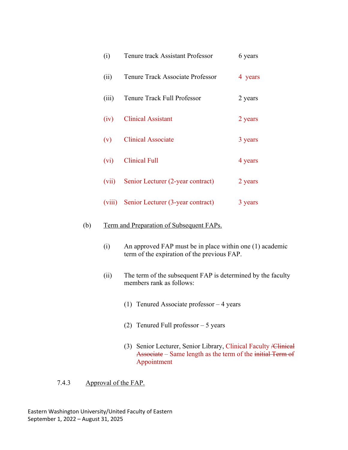| (i)    | Tenure track Assistant Professor  | 6 years |
|--------|-----------------------------------|---------|
| (ii)   | Tenure Track Associate Professor  | 4 years |
| (iii)  | Tenure Track Full Professor       | 2 years |
| (iv)   | <b>Clinical Assistant</b>         | 2 years |
| (v)    | <b>Clinical Associate</b>         | 3 years |
| (vi)   | <b>Clinical Full</b>              | 4 years |
| (vii)  | Senior Lecturer (2-year contract) | 2 years |
| (viii) | Senior Lecturer (3-year contract) | 3 years |

## (b) Term and Preparation of Subsequent FAPs.

- (i) An approved FAP must be in place within one (1) academic term of the expiration of the previous FAP.
- (ii) The term of the subsequent FAP is determined by the faculty members rank as follows:
	- (1) Tenured Associate professor 4 years
	- (2) Tenured Full professor 5 years
	- (3) Senior Lecturer, Senior Library, Clinical Faculty /Clinical Associate – Same length as the term of the initial Term of Appointment

#### 7.4.3 Approval of the FAP.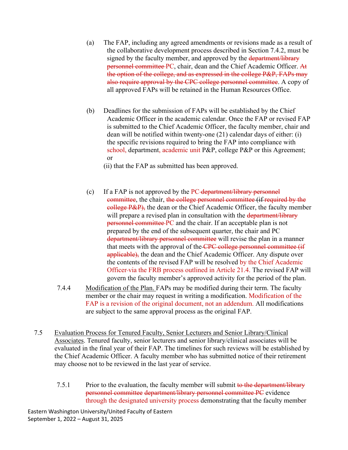- (a) The FAP, including any agreed amendments or revisions made as a result of the collaborative development process described in Section 7.4.2, must be signed by the faculty member, and approved by the department/library personnel committee PC, chair, dean and the Chief Academic Officer. At the option of the college, and as expressed in the college P&P, FAPs may also require approval by the CPC college personnel committee. A copy of all approved FAPs will be retained in the Human Resources Office.
- (b) Deadlines for the submission of FAPs will be established by the Chief Academic Officer in the academic calendar. Once the FAP or revised FAP is submitted to the Chief Academic Officer, the faculty member, chair and dean will be notified within twenty-one (21) calendar days of either: (i) the specific revisions required to bring the FAP into compliance with school, department, academic unit P&P, college P&P or this Agreement; or

(ii) that the FAP as submitted has been approved.

- (c) If a FAP is not approved by the PC department/library personnel committee, the chair, the college personnel committee (if required by the college P&P), the dean or the Chief Academic Officer, the faculty member will prepare a revised plan in consultation with the department/library personnel committee PC and the chair. If an acceptable plan is not prepared by the end of the subsequent quarter, the chair and PC department/library personnel committee will revise the plan in a manner that meets with the approval of the CPC college personnel committee (if applicable), the dean and the Chief Academic Officer. Any dispute over the contents of the revised FAP will be resolved by the Chief Academic Officer via the FRB process outlined in Article 21.4. The revised FAP will govern the faculty member's approved activity for the period of the plan.
- 7.4.4 Modification of the Plan. FAPs may be modified during their term. The faculty member or the chair may request in writing a modification. Modification of the FAP is a revision of the original document, not an addendum. All modifications are subject to the same approval process as the original FAP.
- 7.5 Evaluation Process for Tenured Faculty, Senior Lecturers and Senior Library/Clinical Associates. Tenured faculty, senior lecturers and senior library/clinical associates will be evaluated in the final year of their FAP. The timelines for such reviews will be established by the Chief Academic Officer. A faculty member who has submitted notice of their retirement may choose not to be reviewed in the last year of service.
	- 7.5.1 Prior to the evaluation, the faculty member will submit to the department/library personnel committee department/library personnel committee PC evidence through the designated university process demonstrating that the faculty member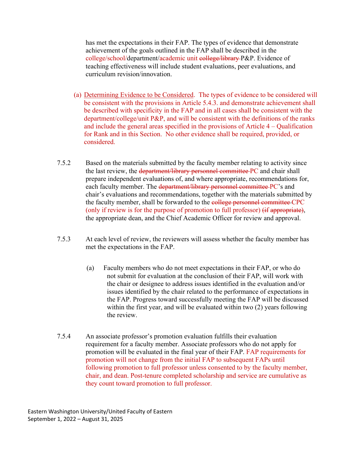has met the expectations in their FAP. The types of evidence that demonstrate achievement of the goals outlined in the FAP shall be described in the college/school/department/academic unit college/library P&P. Evidence of teaching effectiveness will include student evaluations, peer evaluations, and curriculum revision/innovation.

- (a) Determining Evidence to be Considered. The types of evidence to be considered will be consistent with the provisions in Article 5.4.3. and demonstrate achievement shall be described with specificity in the FAP and in all cases shall be consistent with the department/college/unit P&P, and will be consistent with the definitions of the ranks and include the general areas specified in the provisions of Article 4 – Qualification for Rank and in this Section. No other evidence shall be required, provided, or considered.
- 7.5.2 Based on the materials submitted by the faculty member relating to activity since the last review, the department/library personnel committee PC and chair shall prepare independent evaluations of, and where appropriate, recommendations for, each faculty member. The department/library personnel committee PC's and chair's evaluations and recommendations, together with the materials submitted by the faculty member, shall be forwarded to the **college personnel committee** CPC (only if review is for the purpose of promotion to full professor) (if appropriate), the appropriate dean, and the Chief Academic Officer for review and approval.
- 7.5.3 At each level of review, the reviewers will assess whether the faculty member has met the expectations in the FAP.
	- (a) Faculty members who do not meet expectations in their FAP, or who do not submit for evaluation at the conclusion of their FAP, will work with the chair or designee to address issues identified in the evaluation and/or issues identified by the chair related to the performance of expectations in the FAP. Progress toward successfully meeting the FAP will be discussed within the first year, and will be evaluated within two (2) years following the review.
- 7.5.4 An associate professor's promotion evaluation fulfills their evaluation requirement for a faculty member. Associate professors who do not apply for promotion will be evaluated in the final year of their FAP. FAP requirements for promotion will not change from the initial FAP to subsequent FAPs until following promotion to full professor unless consented to by the faculty member, chair, and dean. Post-tenure completed scholarship and service are cumulative as they count toward promotion to full professor.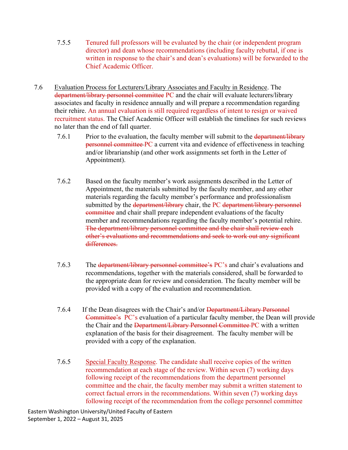- 7.5.5 Tenured full professors will be evaluated by the chair (or independent program director) and dean whose recommendations (including faculty rebuttal, if one is written in response to the chair's and dean's evaluations) will be forwarded to the Chief Academic Officer.
- 7.6 Evaluation Process for Lecturers/Library Associates and Faculty in Residence. The department/library personnel committee PC and the chair will evaluate lecturers/library associates and faculty in residence annually and will prepare a recommendation regarding their rehire. An annual evaluation is still required regardless of intent to resign or waived recruitment status. The Chief Academic Officer will establish the timelines for such reviews no later than the end of fall quarter.
	- 7.6.1 Prior to the evaluation, the faculty member will submit to the department/library personnel committee PC a current vita and evidence of effectiveness in teaching and/or librarianship (and other work assignments set forth in the Letter of Appointment).
	- 7.6.2 Based on the faculty member's work assignments described in the Letter of Appointment, the materials submitted by the faculty member, and any other materials regarding the faculty member's performance and professionalism submitted by the department/library chair, the PC department/library personnel **eommittee** and chair shall prepare independent evaluations of the faculty member and recommendations regarding the faculty member's potential rehire. The department/library personnel committee and the chair shall review each other's evaluations and recommendations and seek to work out any significant differences.
	- 7.6.3 The department/library personnel committee's PC's and chair's evaluations and recommendations, together with the materials considered, shall be forwarded to the appropriate dean for review and consideration. The faculty member will be provided with a copy of the evaluation and recommendation.
	- 7.6.4 If the Dean disagrees with the Chair's and/or <del>Department/Library Personnel</del> Committee's PC's evaluation of a particular faculty member, the Dean will provide the Chair and the Department/Library Personnel Committee PC with a written explanation of the basis for their disagreement. The faculty member will be provided with a copy of the explanation.
	- 7.6.5 Special Faculty Response. The candidate shall receive copies of the written recommendation at each stage of the review. Within seven (7) working days following receipt of the recommendations from the department personnel committee and the chair, the faculty member may submit a written statement to correct factual errors in the recommendations. Within seven (7) working days following receipt of the recommendation from the college personnel committee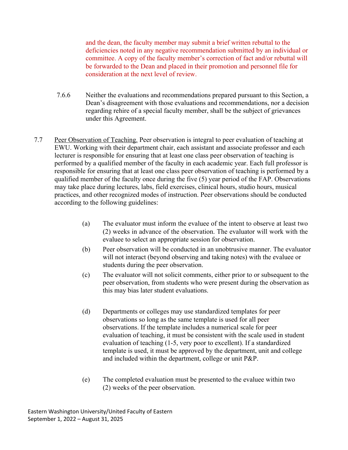and the dean, the faculty member may submit a brief written rebuttal to the deficiencies noted in any negative recommendation submitted by an individual or committee. A copy of the faculty member's correction of fact and/or rebuttal will be forwarded to the Dean and placed in their promotion and personnel file for consideration at the next level of review.

- 7.6.6 Neither the evaluations and recommendations prepared pursuant to this Section, a Dean's disagreement with those evaluations and recommendations, nor a decision regarding rehire of a special faculty member, shall be the subject of grievances under this Agreement.
- 7.7 Peer Observation of Teaching. Peer observation is integral to peer evaluation of teaching at EWU. Working with their department chair, each assistant and associate professor and each lecturer is responsible for ensuring that at least one class peer observation of teaching is performed by a qualified member of the faculty in each academic year. Each full professor is responsible for ensuring that at least one class peer observation of teaching is performed by a qualified member of the faculty once during the five (5) year period of the FAP. Observations may take place during lectures, labs, field exercises, clinical hours, studio hours, musical practices, and other recognized modes of instruction. Peer observations should be conducted according to the following guidelines:
	- (a) The evaluator must inform the evaluee of the intent to observe at least two (2) weeks in advance of the observation. The evaluator will work with the evaluee to select an appropriate session for observation.
	- (b) Peer observation will be conducted in an unobtrusive manner. The evaluator will not interact (beyond observing and taking notes) with the evaluee or students during the peer observation.
	- (c) The evaluator will not solicit comments, either prior to or subsequent to the peer observation, from students who were present during the observation as this may bias later student evaluations.
	- (d) Departments or colleges may use standardized templates for peer observations so long as the same template is used for all peer observations. If the template includes a numerical scale for peer evaluation of teaching, it must be consistent with the scale used in student evaluation of teaching (1-5, very poor to excellent). If a standardized template is used, it must be approved by the department, unit and college and included within the department, college or unit P&P.
	- (e) The completed evaluation must be presented to the evaluee within two (2) weeks of the peer observation.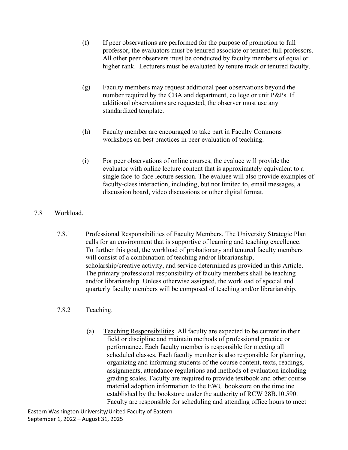- (f) If peer observations are performed for the purpose of promotion to full professor, the evaluators must be tenured associate or tenured full professors. All other peer observers must be conducted by faculty members of equal or higher rank. Lecturers must be evaluated by tenure track or tenured faculty.
- (g) Faculty members may request additional peer observations beyond the number required by the CBA and department, college or unit P&Ps. If additional observations are requested, the observer must use any standardized template.
- (h) Faculty member are encouraged to take part in Faculty Commons workshops on best practices in peer evaluation of teaching.
- (i) For peer observations of online courses, the evaluee will provide the evaluator with online lecture content that is approximately equivalent to a single face-to-face lecture session. The evaluee will also provide examples of faculty-class interaction, including, but not limited to, email messages, a discussion board, video discussions or other digital format.

# 7.8 Workload.

7.8.1 Professional Responsibilities of Faculty Members. The University Strategic Plan calls for an environment that is supportive of learning and teaching excellence. To further this goal, the workload of probationary and tenured faculty members will consist of a combination of teaching and/or librarianship, scholarship/creative activity, and service determined as provided in this Article. The primary professional responsibility of faculty members shall be teaching and/or librarianship. Unless otherwise assigned, the workload of special and quarterly faculty members will be composed of teaching and/or librarianship.

# 7.8.2 Teaching.

(a) Teaching Responsibilities. All faculty are expected to be current in their field or discipline and maintain methods of professional practice or performance. Each faculty member is responsible for meeting all scheduled classes. Each faculty member is also responsible for planning, organizing and informing students of the course content, texts, readings, assignments, attendance regulations and methods of evaluation including grading scales. Faculty are required to provide textbook and other course material adoption information to the EWU bookstore on the timeline established by the bookstore under the authority of RCW 28B.10.590. Faculty are responsible for scheduling and attending office hours to meet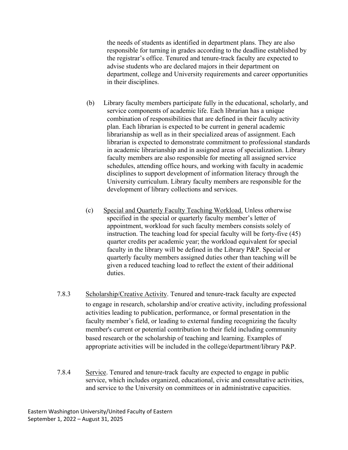the needs of students as identified in department plans. They are also responsible for turning in grades according to the deadline established by the registrar's office. Tenured and tenure-track faculty are expected to advise students who are declared majors in their department on department, college and University requirements and career opportunities in their disciplines.

- (b) Library faculty members participate fully in the educational, scholarly, and service components of academic life. Each librarian has a unique combination of responsibilities that are defined in their faculty activity plan. Each librarian is expected to be current in general academic librarianship as well as in their specialized areas of assignment. Each librarian is expected to demonstrate commitment to professional standards in academic librarianship and in assigned areas of specialization. Library faculty members are also responsible for meeting all assigned service schedules, attending office hours, and working with faculty in academic disciplines to support development of information literacy through the University curriculum. Library faculty members are responsible for the development of library collections and services.
- (c) Special and Quarterly Faculty Teaching Workload. Unless otherwise specified in the special or quarterly faculty member's letter of appointment, workload for such faculty members consists solely of instruction. The teaching load for special faculty will be forty-five (45) quarter credits per academic year; the workload equivalent for special faculty in the library will be defined in the Library P&P. Special or quarterly faculty members assigned duties other than teaching will be given a reduced teaching load to reflect the extent of their additional duties.
- 7.8.3 Scholarship/Creative Activity. Tenured and tenure-track faculty are expected to engage in research, scholarship and/or creative activity, including professional activities leading to publication, performance, or formal presentation in the faculty member's field, or leading to external funding recognizing the faculty member's current or potential contribution to their field including community based research or the scholarship of teaching and learning. Examples of appropriate activities will be included in the college/department/library P&P.
- 7.8.4 Service. Tenured and tenure-track faculty are expected to engage in public service, which includes organized, educational, civic and consultative activities, and service to the University on committees or in administrative capacities.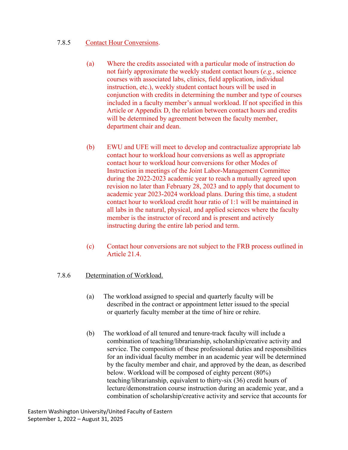## 7.8.5 Contact Hour Conversions.

- (a) Where the credits associated with a particular mode of instruction do not fairly approximate the weekly student contact hours (*e.g.*, science courses with associated labs, clinics, field application, individual instruction, etc.), weekly student contact hours will be used in conjunction with credits in determining the number and type of courses included in a faculty member's annual workload. If not specified in this Article or Appendix D, the relation between contact hours and credits will be determined by agreement between the faculty member, department chair and dean.
- (b) EWU and UFE will meet to develop and contractualize appropriate lab contact hour to workload hour conversions as well as appropriate contact hour to workload hour conversions for other Modes of Instruction in meetings of the Joint Labor-Management Committee during the 2022-2023 academic year to reach a mutually agreed upon revision no later than February 28, 2023 and to apply that document to academic year 2023-2024 workload plans. During this time, a student contact hour to workload credit hour ratio of 1:1 will be maintained in all labs in the natural, physical, and applied sciences where the faculty member is the instructor of record and is present and actively instructing during the entire lab period and term.
- (c) Contact hour conversions are not subject to the FRB process outlined in Article 21.4.

### 7.8.6 Determination of Workload.

- (a) The workload assigned to special and quarterly faculty will be described in the contract or appointment letter issued to the special or quarterly faculty member at the time of hire or rehire.
- (b) The workload of all tenured and tenure-track faculty will include a combination of teaching/librarianship, scholarship/creative activity and service. The composition of these professional duties and responsibilities for an individual faculty member in an academic year will be determined by the faculty member and chair, and approved by the dean, as described below. Workload will be composed of eighty percent (80%) teaching/librarianship, equivalent to thirty-six (36) credit hours of lecture/demonstration course instruction during an academic year, and a combination of scholarship/creative activity and service that accounts for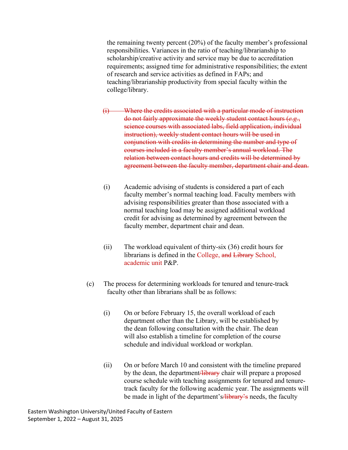the remaining twenty percent (20%) of the faculty member's professional responsibilities. Variances in the ratio of teaching/librarianship to scholarship/creative activity and service may be due to accreditation requirements; assigned time for administrative responsibilities; the extent of research and service activities as defined in FAPs; and teaching/librarianship productivity from special faculty within the college/library.

- (i) Where the credits associated with a particular mode of instruction do not fairly approximate the weekly student contact hours (*e.g.*, science courses with associated labs, field application, individual instruction), weekly student contact hours will be used in conjunction with credits in determining the number and type of courses included in a faculty member's annual workload. The relation between contact hours and credits will be determined by agreement between the faculty member, department chair and dean.
- (i) Academic advising of students is considered a part of each faculty member's normal teaching load. Faculty members with advising responsibilities greater than those associated with a normal teaching load may be assigned additional workload credit for advising as determined by agreement between the faculty member, department chair and dean.
- (ii) The workload equivalent of thirty-six (36) credit hours for librarians is defined in the College, and Library School, academic unit P&P.
- (c) The process for determining workloads for tenured and tenure-track faculty other than librarians shall be as follows:
	- (i) On or before February 15, the overall workload of each department other than the Library, will be established by the dean following consultation with the chair. The dean will also establish a timeline for completion of the course schedule and individual workload or workplan.
	- (ii) On or before March 10 and consistent with the timeline prepared by the dean, the department *Aibrary* chair will prepare a proposed course schedule with teaching assignments for tenured and tenuretrack faculty for the following academic year. The assignments will be made in light of the department's *Aibrary's* needs, the faculty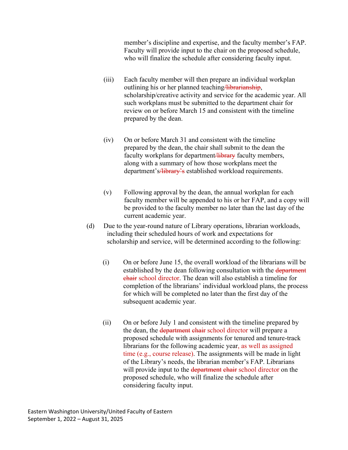member's discipline and expertise, and the faculty member's FAP. Faculty will provide input to the chair on the proposed schedule, who will finalize the schedule after considering faculty input.

- (iii) Each faculty member will then prepare an individual workplan outlining his or her planned teaching Hibrarianship, scholarship/creative activity and service for the academic year. All such workplans must be submitted to the department chair for review on or before March 15 and consistent with the timeline prepared by the dean.
- (iv) On or before March 31 and consistent with the timeline prepared by the dean, the chair shall submit to the dean the faculty workplans for department/library faculty members, along with a summary of how those workplans meet the department's *Aibrary's* established workload requirements.
- (v) Following approval by the dean, the annual workplan for each faculty member will be appended to his or her FAP, and a copy will be provided to the faculty member no later than the last day of the current academic year.
- (d) Due to the year-round nature of Library operations, librarian workloads, including their scheduled hours of work and expectations for scholarship and service, will be determined according to the following:
	- (i) On or before June 15, the overall workload of the librarians will be established by the dean following consultation with the department chair school director. The dean will also establish a timeline for completion of the librarians' individual workload plans, the process for which will be completed no later than the first day of the subsequent academic year.
	- (ii) On or before July 1 and consistent with the timeline prepared by the dean, the department chair school director will prepare a proposed schedule with assignments for tenured and tenure-track librarians for the following academic year, as well as assigned time (e.g., course release). The assignments will be made in light of the Library's needs, the librarian member's FAP. Librarians will provide input to the department chair school director on the proposed schedule, who will finalize the schedule after considering faculty input.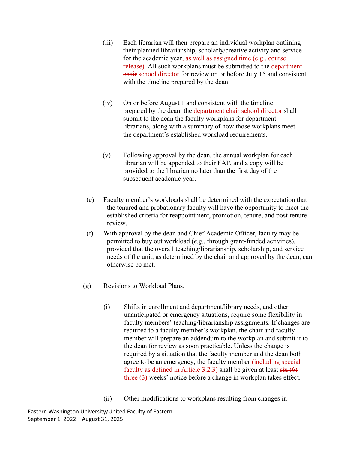- (iii) Each librarian will then prepare an individual workplan outlining their planned librarianship, scholarly/creative activity and service for the academic year, as well as assigned time (e.g., course release). All such workplans must be submitted to the department chair school director for review on or before July 15 and consistent with the timeline prepared by the dean.
- (iv) On or before August 1 and consistent with the timeline prepared by the dean, the department chair school director shall submit to the dean the faculty workplans for department librarians, along with a summary of how those workplans meet the department's established workload requirements.
- (v) Following approval by the dean, the annual workplan for each librarian will be appended to their FAP, and a copy will be provided to the librarian no later than the first day of the subsequent academic year.
- (e) Faculty member's workloads shall be determined with the expectation that the tenured and probationary faculty will have the opportunity to meet the established criteria for reappointment, promotion, tenure, and post-tenure review.
- (f) With approval by the dean and Chief Academic Officer, faculty may be permitted to buy out workload (*e.g.*, through grant-funded activities), provided that the overall teaching/librarianship, scholarship, and service needs of the unit, as determined by the chair and approved by the dean, can otherwise be met.
- (g) Revisions to Workload Plans.
	- (i) Shifts in enrollment and department/library needs, and other unanticipated or emergency situations, require some flexibility in faculty members' teaching/librarianship assignments. If changes are required to a faculty member's workplan, the chair and faculty member will prepare an addendum to the workplan and submit it to the dean for review as soon practicable. Unless the change is required by a situation that the faculty member and the dean both agree to be an emergency, the faculty member *(including special*) faculty as defined in Article 3.2.3) shall be given at least  $\frac{\sin(6)}{6}$ three (3) weeks' notice before a change in workplan takes effect.
	- (ii) Other modifications to workplans resulting from changes in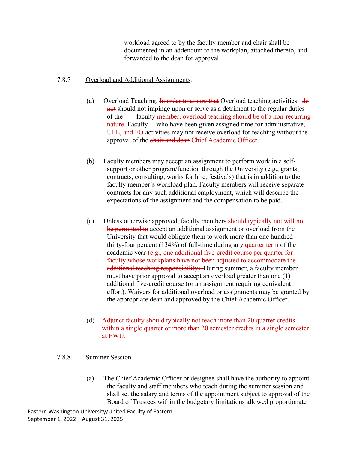workload agreed to by the faculty member and chair shall be documented in an addendum to the workplan, attached thereto, and forwarded to the dean for approval.

### 7.8.7 Overload and Additional Assignments.

- (a) Overload Teaching. In order to assure that Overload teaching activities  $\mathbf{d}\mathbf{\Theta}$ not should not impinge upon or serve as a detriment to the regular duties of the faculty member, overload teaching should be of a non-recurring nature. Faculty who have been given assigned time for administrative, UFE, and FO activities may not receive overload for teaching without the approval of the chair and dean Chief Academic Officer.
- (b) Faculty members may accept an assignment to perform work in a selfsupport or other program/function through the University (e.g., grants, contracts, consulting, works for hire, festivals) that is in addition to the faculty member's workload plan. Faculty members will receive separate contracts for any such additional employment, which will describe the expectations of the assignment and the compensation to be paid.
- (c) Unless otherwise approved, faculty members should typically not will not be permitted to accept an additional assignment or overload from the University that would obligate them to work more than one hundred thirty-four percent  $(134%)$  of full-time during any quarter term of the academic year (e.g., one additional five-credit course per quarter for faculty whose workplans have not been adjusted to accommodate the additional teaching responsibility). During summer, a faculty member must have prior approval to accept an overload greater than one (1) additional five-credit course (or an assignment requiring equivalent effort). Waivers for additional overload or assignments may be granted by the appropriate dean and approved by the Chief Academic Officer.
- (d) Adjunct faculty should typically not teach more than 20 quarter credits within a single quarter or more than 20 semester credits in a single semester at EWU.

### 7.8.8 Summer Session.

(a) The Chief Academic Officer or designee shall have the authority to appoint the faculty and staff members who teach during the summer session and shall set the salary and terms of the appointment subject to approval of the Board of Trustees within the budgetary limitations allowed proportionate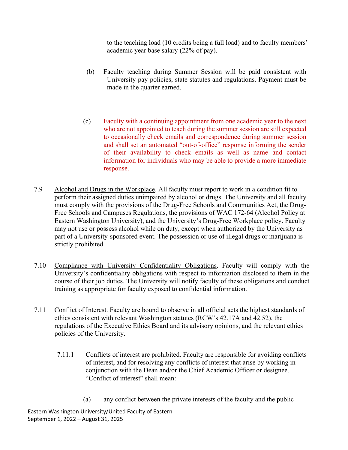to the teaching load (10 credits being a full load) and to faculty members' academic year base salary (22% of pay).

- (b) Faculty teaching during Summer Session will be paid consistent with University pay policies, state statutes and regulations. Payment must be made in the quarter earned.
- (c) Faculty with a continuing appointment from one academic year to the next who are not appointed to teach during the summer session are still expected to occasionally check emails and correspondence during summer session and shall set an automated "out-of-office" response informing the sender of their availability to check emails as well as name and contact information for individuals who may be able to provide a more immediate response.
- 7.9 Alcohol and Drugs in the Workplace. All faculty must report to work in a condition fit to perform their assigned duties unimpaired by alcohol or drugs. The University and all faculty must comply with the provisions of the Drug-Free Schools and Communities Act, the Drug-Free Schools and Campuses Regulations, the provisions of WAC 172-64 (Alcohol Policy at Eastern Washington University), and the University's Drug-Free Workplace policy. Faculty may not use or possess alcohol while on duty, except when authorized by the University as part of a University-sponsored event. The possession or use of illegal drugs or marijuana is strictly prohibited.
- 7.10 Compliance with University Confidentiality Obligations. Faculty will comply with the University's confidentiality obligations with respect to information disclosed to them in the course of their job duties. The University will notify faculty of these obligations and conduct training as appropriate for faculty exposed to confidential information.
- 7.11 Conflict of Interest. Faculty are bound to observe in all official acts the highest standards of ethics consistent with relevant Washington statutes (RCW's 42.17A and 42.52), the regulations of the Executive Ethics Board and its advisory opinions, and the relevant ethics policies of the University.
	- 7.11.1 Conflicts of interest are prohibited. Faculty are responsible for avoiding conflicts of interest, and for resolving any conflicts of interest that arise by working in conjunction with the Dean and/or the Chief Academic Officer or designee. "Conflict of interest" shall mean:
		- (a) any conflict between the private interests of the faculty and the public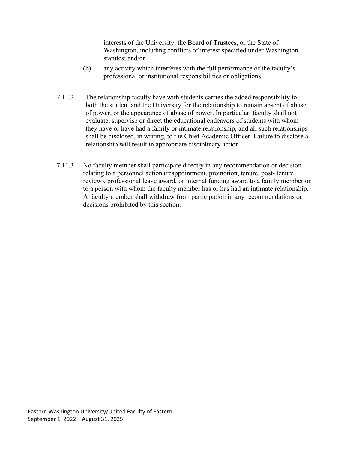interests of the University, the Board of Trustees, or the State of Washington, including conflicts of interest specified under Washington statutes; and/or

- (b) any activity which interferes with the full performance of the faculty's professional or institutional responsibilities or obligations.
- 7.11.2 The relationship faculty have with students carries the added responsibility to both the student and the University for the relationship to remain absent of abuse of power, or the appearance of abuse of power. In particular, faculty shall not evaluate, supervise or direct the educational endeavors of students with whom they have or have had a family or intimate relationship, and all such relationships shall be disclosed, in writing, to the Chief Academic Officer. Failure to disclose a relationship will result in appropriate disciplinary action.
- 7.11.3 No faculty member shall participate directly in any recommendation or decision relating to a personnel action (reappointment, promotion, tenure, post- tenure review), professional leave award, or internal funding award to a family member or to a person with whom the faculty member has or has had an intimate relationship. A faculty member shall withdraw from participation in any recommendations or decisions prohibited by this section.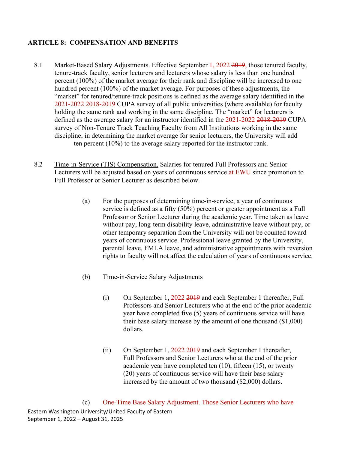## **ARTICLE 8: COMPENSATION AND BENEFITS**

- 8.1 Market-Based Salary Adjustments. Effective September 1, 2022 2019, those tenured faculty, tenure-track faculty, senior lecturers and lecturers whose salary is less than one hundred percent (100%) of the market average for their rank and discipline will be increased to one hundred percent (100%) of the market average. For purposes of these adjustments, the "market" for tenured/tenure-track positions is defined as the average salary identified in the 2021-2022 2018-2019 CUPA survey of all public universities (where available) for faculty holding the same rank and working in the same discipline. The "market" for lecturers is defined as the average salary for an instructor identified in the 2021-2022 2018-2019 CUPA survey of Non-Tenure Track Teaching Faculty from All Institutions working in the same discipline; in determining the market average for senior lecturers, the University will add ten percent (10%) to the average salary reported for the instructor rank.
- 8.2 Time-in-Service (TIS) Compensation. Salaries for tenured Full Professors and Senior Lecturers will be adjusted based on years of continuous service at EWU since promotion to Full Professor or Senior Lecturer as described below.
	- (a) For the purposes of determining time-in-service, a year of continuous service is defined as a fifty (50%) percent or greater appointment as a Full Professor or Senior Lecturer during the academic year. Time taken as leave without pay, long-term disability leave, administrative leave without pay, or other temporary separation from the University will not be counted toward years of continuous service. Professional leave granted by the University, parental leave, FMLA leave, and administrative appointments with reversion rights to faculty will not affect the calculation of years of continuous service.
	- (b) Time-in-Service Salary Adjustments
		- (i) On September 1, 2022 2019 and each September 1 thereafter, Full Professors and Senior Lecturers who at the end of the prior academic year have completed five (5) years of continuous service will have their base salary increase by the amount of one thousand (\$1,000) dollars.
		- (ii) On September 1, 2022 2019 and each September 1 thereafter, Full Professors and Senior Lecturers who at the end of the prior academic year have completed ten (10), fifteen (15), or twenty (20) years of continuous service will have their base salary increased by the amount of two thousand (\$2,000) dollars.

Eastern Washington University/United Faculty of Eastern September 1, 2022 – August 31, 2025 (c) One-Time Base Salary Adjustment. Those Senior Lecturers who have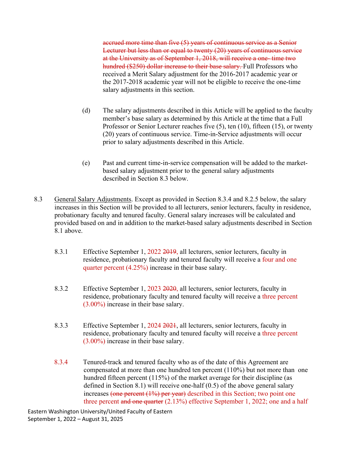accrued more time than five (5) years of continuous service as a Senior Lecturer but less than or equal to twenty (20) years of continuous service at the University as of September 1, 2018, will receive a one- time two hundred (\$250) dollar increase to their base salary. Full Professors who received a Merit Salary adjustment for the 2016-2017 academic year or the 2017-2018 academic year will not be eligible to receive the one-time salary adjustments in this section.

- (d) The salary adjustments described in this Article will be applied to the faculty member's base salary as determined by this Article at the time that a Full Professor or Senior Lecturer reaches five (5), ten (10), fifteen (15), or twenty (20) years of continuous service. Time-in-Service adjustments will occur prior to salary adjustments described in this Article.
- (e) Past and current time-in-service compensation will be added to the marketbased salary adjustment prior to the general salary adjustments described in Section 8.3 below.
- 8.3 General Salary Adjustments. Except as provided in Section 8.3.4 and 8.2.5 below, the salary increases in this Section will be provided to all lecturers, senior lecturers, faculty in residence, probationary faculty and tenured faculty. General salary increases will be calculated and provided based on and in addition to the market-based salary adjustments described in Section 8.1 above.
	- 8.3.1 Effective September 1, 2022 2019, all lecturers, senior lecturers, faculty in residence, probationary faculty and tenured faculty will receive a four and one quarter percent (4.25%) increase in their base salary.
	- 8.3.2 Effective September 1, 2023 2020, all lecturers, senior lecturers, faculty in residence, probationary faculty and tenured faculty will receive a three percent (3.00%) increase in their base salary.
	- 8.3.3 Effective September 1, 2024 2021, all lecturers, senior lecturers, faculty in residence, probationary faculty and tenured faculty will receive a three percent (3.00%) increase in their base salary.
	- 8.3.4 Tenured-track and tenured faculty who as of the date of this Agreement are compensated at more than one hundred ten percent (110%) but not more than one hundred fifteen percent (115%) of the market average for their discipline (as defined in Section 8.1) will receive one-half (0.5) of the above general salary increases (one percent (1%) per year) described in this Section; two point one three percent and one quarter  $(2.13\%)$  effective September 1, 2022; one and a half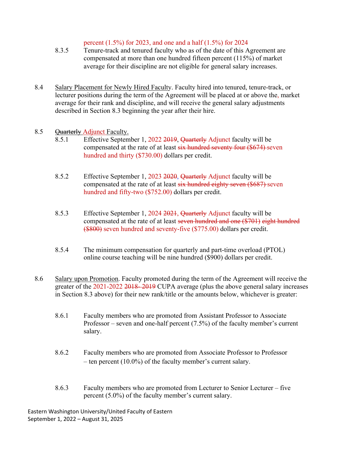### percent (1.5%) for 2023, and one and a half (1.5%) for 2024

- 8.3.5 Tenure-track and tenured faculty who as of the date of this Agreement are compensated at more than one hundred fifteen percent (115%) of market average for their discipline are not eligible for general salary increases.
- 8.4 Salary Placement for Newly Hired Faculty. Faculty hired into tenured, tenure-track, or lecturer positions during the term of the Agreement will be placed at or above the, market average for their rank and discipline, and will receive the general salary adjustments described in Section 8.3 beginning the year after their hire.

### 8.5 Ouarterly Adjunct Faculty.

- 8.5.1 Effective September 1, 2022 2019, Quarterly Adjunct faculty will be compensated at the rate of at least six hundred seventy four (\$674) seven hundred and thirty (\$730.00) dollars per credit.
- 8.5.2 Effective September 1, 2023 2020, Quarterly Adjunct faculty will be compensated at the rate of at least six hundred eighty seven (\$687) seven hundred and fifty-two (\$752.00) dollars per credit.
- 8.5.3 Effective September 1, 2024 2021, Quarterly Adjunct faculty will be compensated at the rate of at least seven hundred and one (\$701) eight hundred (\$800) seven hundred and seventy-five (\$775.00) dollars per credit.
- 8.5.4 The minimum compensation for quarterly and part-time overload (PTOL) online course teaching will be nine hundred (\$900) dollars per credit.
- 8.6 Salary upon Promotion. Faculty promoted during the term of the Agreement will receive the greater of the 2021-2022 2018- 2019 CUPA average (plus the above general salary increases in Section 8.3 above) for their new rank/title or the amounts below, whichever is greater:
	- 8.6.1 Faculty members who are promoted from Assistant Professor to Associate Professor – seven and one-half percent (7.5%) of the faculty member's current salary.
	- 8.6.2 Faculty members who are promoted from Associate Professor to Professor – ten percent (10.0%) of the faculty member's current salary.
	- 8.6.3 Faculty members who are promoted from Lecturer to Senior Lecturer five percent (5.0%) of the faculty member's current salary.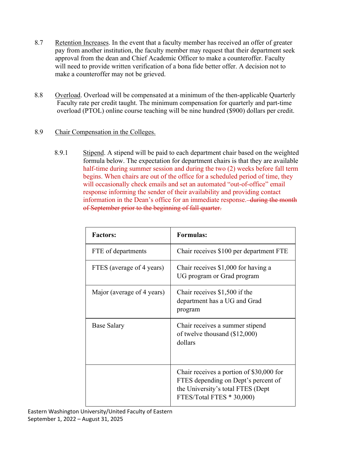- 8.7 Retention Increases. In the event that a faculty member has received an offer of greater pay from another institution, the faculty member may request that their department seek approval from the dean and Chief Academic Officer to make a counteroffer. Faculty will need to provide written verification of a bona fide better offer. A decision not to make a counteroffer may not be grieved.
- 8.8 Overload. Overload will be compensated at a minimum of the then-applicable Quarterly Faculty rate per credit taught. The minimum compensation for quarterly and part-time overload (PTOL) online course teaching will be nine hundred (\$900) dollars per credit.

# 8.9 Chair Compensation in the Colleges.

8.9.1 Stipend. A stipend will be paid to each department chair based on the weighted formula below. The expectation for department chairs is that they are available half-time during summer session and during the two (2) weeks before fall term begins. When chairs are out of the office for a scheduled period of time, they will occasionally check emails and set an automated "out-of-office" email response informing the sender of their availability and providing contact information in the Dean's office for an immediate response.—during the month of September prior to the beginning of fall quarter.

| <b>Factors:</b>            | <b>Formulas:</b>                                                                                                                                  |
|----------------------------|---------------------------------------------------------------------------------------------------------------------------------------------------|
| FTE of departments         | Chair receives \$100 per department FTE                                                                                                           |
| FTES (average of 4 years)  | Chair receives $$1,000$ for having a<br>UG program or Grad program                                                                                |
| Major (average of 4 years) | Chair receives $$1,500$ if the<br>department has a UG and Grad<br>program                                                                         |
| <b>Base Salary</b>         | Chair receives a summer stipend<br>of twelve thousand (\$12,000)<br>dollars                                                                       |
|                            | Chair receives a portion of \$30,000 for<br>FTES depending on Dept's percent of<br>the University's total FTES (Dept<br>FTES/Total FTES * 30,000) |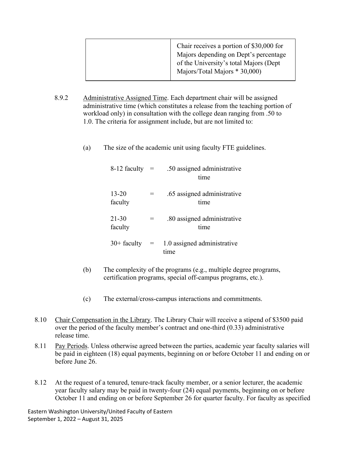|  | Chair receives a portion of \$30,000 for<br>Majors depending on Dept's percentage<br>of the University's total Majors (Dept<br>Majors/Total Majors * 30,000) |
|--|--------------------------------------------------------------------------------------------------------------------------------------------------------------|
|--|--------------------------------------------------------------------------------------------------------------------------------------------------------------|

- 8.9.2 Administrative Assigned Time. Each department chair will be assigned administrative time (which constitutes a release from the teaching portion of workload only) in consultation with the college dean ranging from .50 to 1.0. The criteria for assignment include, but are not limited to:
	- (a) The size of the academic unit using faculty FTE guidelines.

| $8-12$ faculty =     |                   | .50 assigned administrative<br>time |
|----------------------|-------------------|-------------------------------------|
| 13-20<br>faculty     | $=$               | .65 assigned administrative<br>time |
| $21 - 30$<br>faculty | $=$               | .80 assigned administrative<br>time |
| $30+$ faculty        | $\qquad \qquad =$ | 1.0 assigned administrative<br>time |

- (b) The complexity of the programs (e.g., multiple degree programs, certification programs, special off-campus programs, etc.).
- (c) The external/cross-campus interactions and commitments.
- 8.10 Chair Compensation in the Library. The Library Chair will receive a stipend of \$3500 paid over the period of the faculty member's contract and one-third (0.33) administrative release time.
- 8.11 Pay Periods. Unless otherwise agreed between the parties, academic year faculty salaries will be paid in eighteen (18) equal payments, beginning on or before October 11 and ending on or before June 26.
- 8.12 At the request of a tenured, tenure-track faculty member, or a senior lecturer, the academic year faculty salary may be paid in twenty-four (24) equal payments, beginning on or before October 11 and ending on or before September 26 for quarter faculty. For faculty as specified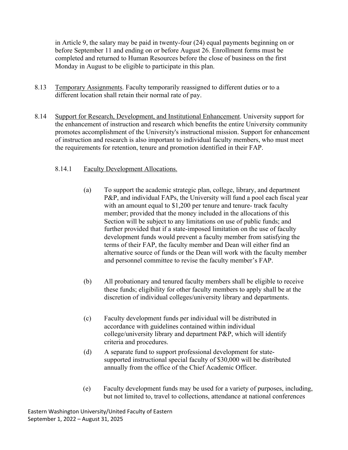in Article 9, the salary may be paid in twenty-four (24) equal payments beginning on or before September 11 and ending on or before August 26. Enrollment forms must be completed and returned to Human Resources before the close of business on the first Monday in August to be eligible to participate in this plan.

- 8.13 Temporary Assignments. Faculty temporarily reassigned to different duties or to a different location shall retain their normal rate of pay.
- 8.14 Support for Research, Development, and Institutional Enhancement. University support for the enhancement of instruction and research which benefits the entire University community promotes accomplishment of the University's instructional mission. Support for enhancement of instruction and research is also important to individual faculty members, who must meet the requirements for retention, tenure and promotion identified in their FAP.

# 8.14.1 Faculty Development Allocations.

- (a) To support the academic strategic plan, college, library, and department P&P, and individual FAPs, the University will fund a pool each fiscal year with an amount equal to \$1,200 per tenure and tenure- track faculty member; provided that the money included in the allocations of this Section will be subject to any limitations on use of public funds; and further provided that if a state-imposed limitation on the use of faculty development funds would prevent a faculty member from satisfying the terms of their FAP, the faculty member and Dean will either find an alternative source of funds or the Dean will work with the faculty member and personnel committee to revise the faculty member's FAP.
- (b) All probationary and tenured faculty members shall be eligible to receive these funds; eligibility for other faculty members to apply shall be at the discretion of individual colleges/university library and departments.
- (c) Faculty development funds per individual will be distributed in accordance with guidelines contained within individual college/university library and department P&P, which will identify criteria and procedures.
- (d) A separate fund to support professional development for statesupported instructional special faculty of \$30,000 will be distributed annually from the office of the Chief Academic Officer.
- (e) Faculty development funds may be used for a variety of purposes, including, but not limited to, travel to collections, attendance at national conferences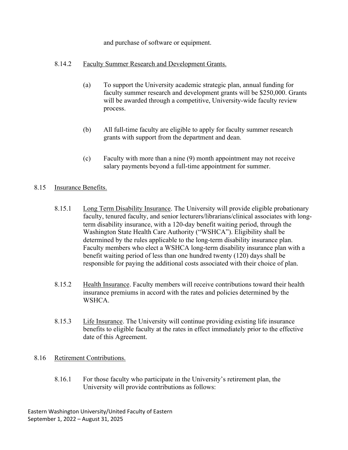and purchase of software or equipment.

## 8.14.2 Faculty Summer Research and Development Grants.

- (a) To support the University academic strategic plan, annual funding for faculty summer research and development grants will be \$250,000. Grants will be awarded through a competitive, University-wide faculty review process.
- (b) All full-time faculty are eligible to apply for faculty summer research grants with support from the department and dean.
- (c) Faculty with more than a nine (9) month appointment may not receive salary payments beyond a full-time appointment for summer.

# 8.15 Insurance Benefits.

- 8.15.1 Long Term Disability Insurance. The University will provide eligible probationary faculty, tenured faculty, and senior lecturers/librarians/clinical associates with longterm disability insurance, with a 120-day benefit waiting period, through the Washington State Health Care Authority ("WSHCA"). Eligibility shall be determined by the rules applicable to the long-term disability insurance plan. Faculty members who elect a WSHCA long-term disability insurance plan with a benefit waiting period of less than one hundred twenty (120) days shall be responsible for paying the additional costs associated with their choice of plan.
- 8.15.2 Health Insurance. Faculty members will receive contributions toward their health insurance premiums in accord with the rates and policies determined by the WSHCA.
- 8.15.3 Life Insurance. The University will continue providing existing life insurance benefits to eligible faculty at the rates in effect immediately prior to the effective date of this Agreement.
- 8.16 Retirement Contributions.
	- 8.16.1 For those faculty who participate in the University's retirement plan, the University will provide contributions as follows: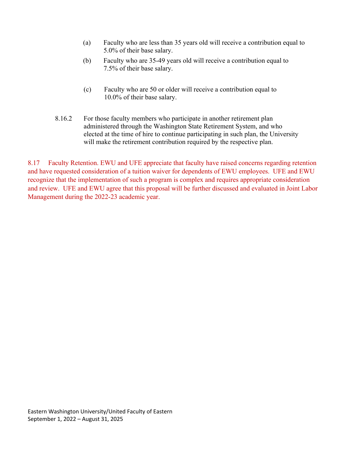- (a) Faculty who are less than 35 years old will receive a contribution equal to 5.0% of their base salary.
- (b) Faculty who are 35-49 years old will receive a contribution equal to 7.5% of their base salary.
- (c) Faculty who are 50 or older will receive a contribution equal to 10.0% of their base salary.
- 8.16.2 For those faculty members who participate in another retirement plan administered through the Washington State Retirement System, and who elected at the time of hire to continue participating in such plan, the University will make the retirement contribution required by the respective plan.

8.17 Faculty Retention. EWU and UFE appreciate that faculty have raised concerns regarding retention and have requested consideration of a tuition waiver for dependents of EWU employees. UFE and EWU recognize that the implementation of such a program is complex and requires appropriate consideration and review. UFE and EWU agree that this proposal will be further discussed and evaluated in Joint Labor Management during the 2022-23 academic year.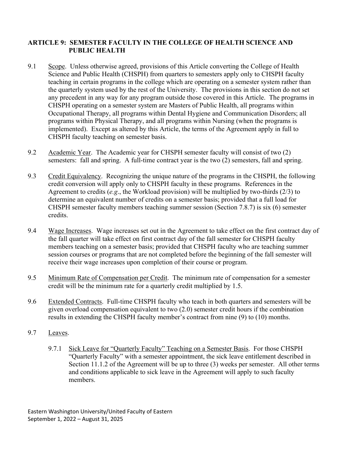## **ARTICLE 9: SEMESTER FACULTY IN THE COLLEGE OF HEALTH SCIENCE AND PUBLIC HEALTH**

- 9.1 Scope. Unless otherwise agreed, provisions of this Article converting the College of Health Science and Public Health (CHSPH) from quarters to semesters apply only to CHSPH faculty teaching in certain programs in the college which are operating on a semester system rather than the quarterly system used by the rest of the University. The provisions in this section do not set any precedent in any way for any program outside those covered in this Article. The programs in CHSPH operating on a semester system are Masters of Public Health, all programs within Occupational Therapy, all programs within Dental Hygiene and Communication Disorders; all programs within Physical Therapy, and all programs within Nursing (when the programs is implemented). Except as altered by this Article, the terms of the Agreement apply in full to CHSPH faculty teaching on semester basis.
- 9.2 Academic Year. The Academic year for CHSPH semester faculty will consist of two (2) semesters: fall and spring. A full-time contract year is the two (2) semesters, fall and spring.
- 9.3 Credit Equivalency. Recognizing the unique nature of the programs in the CHSPH, the following credit conversion will apply only to CHSPH faculty in these programs. References in the Agreement to credits (*e.g*., the Workload provision) will be multiplied by two-thirds (2/3) to determine an equivalent number of credits on a semester basis; provided that a full load for CHSPH semester faculty members teaching summer session (Section 7.8.7) is six (6) semester credits.
- 9.4 Wage Increases. Wage increases set out in the Agreement to take effect on the first contract day of the fall quarter will take effect on first contract day of the fall semester for CHSPH faculty members teaching on a semester basis; provided that CHSPH faculty who are teaching summer session courses or programs that are not completed before the beginning of the fall semester will receive their wage increases upon completion of their course or program.
- 9.5 Minimum Rate of Compensation per Credit. The minimum rate of compensation for a semester credit will be the minimum rate for a quarterly credit multiplied by 1.5.
- 9.6 Extended Contracts. Full-time CHSPH faculty who teach in both quarters and semesters will be given overload compensation equivalent to two (2.0) semester credit hours if the combination results in extending the CHSPH faculty member's contract from nine (9) to (10) months.
- 9.7 Leaves.
	- 9.7.1 Sick Leave for "Quarterly Faculty" Teaching on a Semester Basis. For those CHSPH "Quarterly Faculty" with a semester appointment, the sick leave entitlement described in Section 11.1.2 of the Agreement will be up to three (3) weeks per semester. All other terms and conditions applicable to sick leave in the Agreement will apply to such faculty members.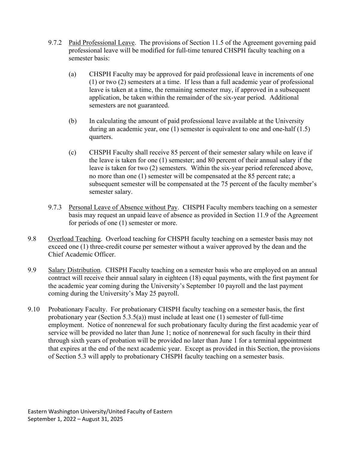- 9.7.2 Paid Professional Leave. The provisions of Section 11.5 of the Agreement governing paid professional leave will be modified for full-time tenured CHSPH faculty teaching on a semester basis:
	- (a) CHSPH Faculty may be approved for paid professional leave in increments of one (1) or two (2) semesters at a time. If less than a full academic year of professional leave is taken at a time, the remaining semester may, if approved in a subsequent application, be taken within the remainder of the six-year period. Additional semesters are not guaranteed.
	- (b) In calculating the amount of paid professional leave available at the University during an academic year, one (1) semester is equivalent to one and one-half (1.5) quarters.
	- (c) CHSPH Faculty shall receive 85 percent of their semester salary while on leave if the leave is taken for one (1) semester; and 80 percent of their annual salary if the leave is taken for two (2) semesters. Within the six-year period referenced above, no more than one (1) semester will be compensated at the 85 percent rate; a subsequent semester will be compensated at the 75 percent of the faculty member's semester salary.
- 9.7.3 Personal Leave of Absence without Pay. CHSPH Faculty members teaching on a semester basis may request an unpaid leave of absence as provided in Section 11.9 of the Agreement for periods of one (1) semester or more.
- 9.8 Overload Teaching. Overload teaching for CHSPH faculty teaching on a semester basis may not exceed one (1) three-credit course per semester without a waiver approved by the dean and the Chief Academic Officer.
- 9.9 Salary Distribution. CHSPH Faculty teaching on a semester basis who are employed on an annual contract will receive their annual salary in eighteen (18) equal payments, with the first payment for the academic year coming during the University's September 10 payroll and the last payment coming during the University's May 25 payroll.
- 9.10 Probationary Faculty. For probationary CHSPH faculty teaching on a semester basis, the first probationary year (Section 5.3.5(a)) must include at least one (1) semester of full-time employment. Notice of nonrenewal for such probationary faculty during the first academic year of service will be provided no later than June 1; notice of nonrenewal for such faculty in their third through sixth years of probation will be provided no later than June 1 for a terminal appointment that expires at the end of the next academic year. Except as provided in this Section, the provisions of Section 5.3 will apply to probationary CHSPH faculty teaching on a semester basis.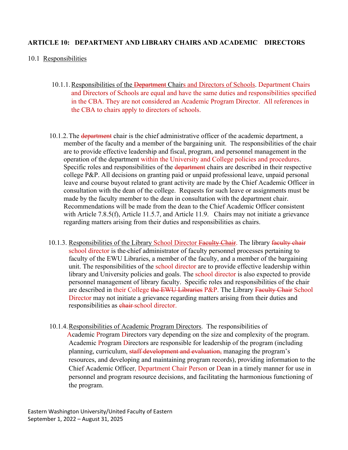## **ARTICLE 10: DEPARTMENT AND LIBRARY CHAIRS AND ACADEMIC DIRECTORS**

#### 10.1 Responsibilities

- 10.1.1. Responsibilities of the **Department** Chairs and Directors of Schools. Department Chairs and Directors of Schools are equal and have the same duties and responsibilities specified in the CBA. They are not considered an Academic Program Director. All references in the CBA to chairs apply to directors of schools.
- 10.1.2. The department chair is the chief administrative officer of the academic department, a member of the faculty and a member of the bargaining unit. The responsibilities of the chair are to provide effective leadership and fiscal, program, and personnel management in the operation of the department within the University and College policies and procedures. Specific roles and responsibilities of the department chairs are described in their respective college P&P. All decisions on granting paid or unpaid professional leave, unpaid personal leave and course buyout related to grant activity are made by the Chief Academic Officer in consultation with the dean of the college. Requests for such leave or assignments must be made by the faculty member to the dean in consultation with the department chair. Recommendations will be made from the dean to the Chief Academic Officer consistent with Article 7.8.5(f), Article 11.5.7, and Article 11.9. Chairs may not initiate a grievance regarding matters arising from their duties and responsibilities as chairs.
- 10.1.3. Responsibilities of the Library School Director Faculty Chair. The library faculty chair school director is the chief administrator of faculty personnel processes pertaining to faculty of the EWU Libraries, a member of the faculty, and a member of the bargaining unit. The responsibilities of the school director are to provide effective leadership within library and University policies and goals. The school director is also expected to provide personnel management of library faculty. Specific roles and responsibilities of the chair are described in their College the EWU Libraries P&P. The Library Faculty Chair School Director may not initiate a grievance regarding matters arising from their duties and responsibilities as chair-school director.
- 10.1.4.Responsibilities of Academic Program Directors. The responsibilities of Academic Program Directors vary depending on the size and complexity of the program. Academic Program Directors are responsible for leadership of the program (including planning, curriculum, staff development and evaluation, managing the program's resources, and developing and maintaining program records), providing information to the Chief Academic Officer, Department Chair Person or Dean in a timely manner for use in personnel and program resource decisions, and facilitating the harmonious functioning of the program.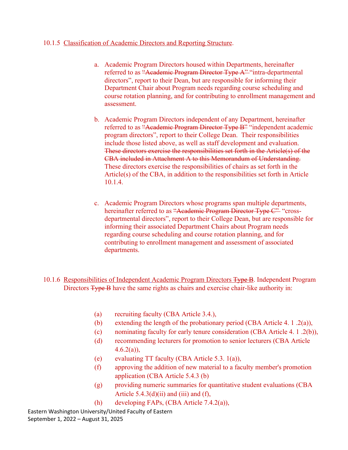### 10.1.5 Classification of Academic Directors and Reporting Structure.

- a. Academic Program Directors housed within Departments, hereinafter referred to as "Academic Program Director Type A" "intra-departmental directors", report to their Dean, but are responsible for informing their Department Chair about Program needs regarding course scheduling and course rotation planning, and for contributing to enrollment management and assessment.
- b. Academic Program Directors independent of any Department, hereinafter referred to as "Academic Program Director Type B" "independent academic program directors", report to their College Dean. Their responsibilities include those listed above, as well as staff development and evaluation. These directors exercise the responsibilities set forth in the Article(s) of the CBA included in Attachment A to this Memorandum of Understanding. These directors exercise the responsibilities of chairs as set forth in the Article(s) of the CBA, in addition to the responsibilities set forth in Article 10.1.4.
- c. Academic Program Directors whose programs span multiple departments, hereinafter referred to as "Academic Program Director Type C" "crossdepartmental directors", report to their College Dean, but are responsible for informing their associated Department Chairs about Program needs regarding course scheduling and course rotation planning, and for contributing to enrollment management and assessment of associated departments.
- 10.1.6 Responsibilities of Independent Academic Program Directors Type B. Independent Program Directors Type B have the same rights as chairs and exercise chair-like authority in:
	- (a) recruiting faculty (CBA Article 3.4.),
	- (b) extending the length of the probationary period (CBA Article 4. 1 .2(a)),
	- (c) nominating faculty for early tenure consideration (CBA Article 4. 1 .2(b)),
	- (d) recommending lecturers for promotion to senior lecturers (CBA Article  $4.6.2(a)$ ),
	- (e) evaluating TT faculty (CBA Article 5.3. 1(a)),
	- (f) approving the addition of new material to a faculty member's promotion application (CBA Article 5.4.3 (b)
	- (g) providing numeric summaries for quantitative student evaluations (CBA Article  $5.4.3(d)(ii)$  and (iii) and (f),
	- (h) developing FAPs, (CBA Article 7.4.2(a)),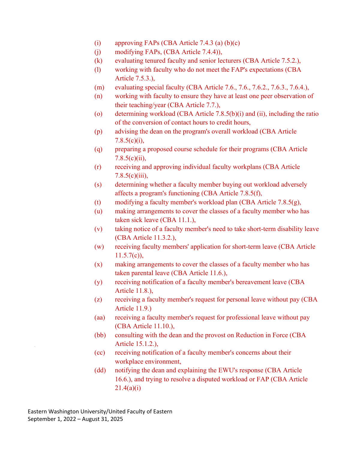- (i) approving FAPs (CBA Article 7.4.3 (a)  $(b)(c)$
- (j) modifying FAPs, (CBA Article 7.4.4)),
- (k) evaluating tenured faculty and senior lecturers (CBA Article 7.5.2.),
- (l) working with faculty who do not meet the FAP's expectations (CBA Article 7.5.3.),
- (m) evaluating special faculty (CBA Article 7.6., 7.6., 7.6.2., 7.6.3., 7.6.4.),
- (n) working with faculty to ensure they have at least one peer observation of their teaching/year (CBA Article 7.7.),
- (o) determining workload (CBA Article 7.8.5(b)(i) and (ii), including the ratio of the conversion of contact hours to credit hours,
- (p) advising the dean on the program's overall workload (CBA Article 7.8.5(c)(i),
- (q) preparing a proposed course schedule for their programs (CBA Article  $7.8.5(c)(ii)$ ,
- (r) receiving and approving individual faculty workplans (CBA Article  $7.8.5(c)(iii)$ ,
- (s) determining whether a faculty member buying out workload adversely affects a program's functioning (CBA Article 7.8.5(f),
- (t) modifying a faculty member's workload plan (CBA Article 7.8.5(g),
- (u) making arrangements to cover the classes of a faculty member who has taken sick leave (CBA 11.1.),
- (v) taking notice of a faculty member's need to take short-term disability leave (CBA Article 11.3.2.),
- (w) receiving faculty members' application for short-term leave (CBA Article  $11.5.7(c)$ ),
- (x) making arrangements to cover the classes of a faculty member who has taken parental leave (CBA Article 11.6.),
- (y) receiving notification of a faculty member's bereavement leave (CBA Article 11.8.),
- (z) receiving a faculty member's request for personal leave without pay (CBA Article 11.9.)
- (aa) receiving a faculty member's request for professional leave without pay (CBA Article 11.10.),
- (bb) consulting with the dean and the provost on Reduction in Force (CBA Article 15.1.2.),
- (cc) receiving notification of a faculty member's concerns about their workplace environment,
- (dd) notifying the dean and explaining the EWU's response (CBA Article 16.6.), and trying to resolve a disputed workload or FAP (CBA Article  $21.4(a)(i)$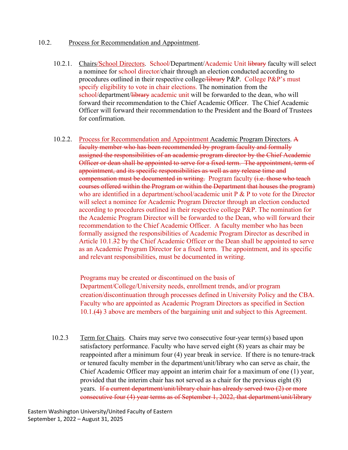### 10.2. Process for Recommendation and Appointment.

- 10.2.1. Chairs/School Directors. School/Department/Academic Unit library faculty will select a nominee for school director/chair through an election conducted according to procedures outlined in their respective college Aibrary P&P. College P&P's must specify eligibility to vote in chair elections. The nomination from the school/department/library academic unit will be forwarded to the dean, who will forward their recommendation to the Chief Academic Officer. The Chief Academic Officer will forward their recommendation to the President and the Board of Trustees for confirmation.
- 10.2.2. Process for Recommendation and Appointment Academic Program Directors. A faculty member who has been recommended by program faculty and formally assigned the responsibilities of an academic program director by the Chief Academic Officer or dean shall be appointed to serve for a fixed term. The appointment, term of appointment, and its specific responsibilities as well as any release time and compensation must be documented in writing. Program faculty (i.e. those who teach courses offered within the Program or within the Department that houses the program) who are identified in a department/school/academic unit P & P to vote for the Director will select a nominee for Academic Program Director through an election conducted according to procedures outlined in their respective college P&P. The nomination for the Academic Program Director will be forwarded to the Dean, who will forward their recommendation to the Chief Academic Officer. A faculty member who has been formally assigned the responsibilities of Academic Program Director as described in Article 10.1.32 by the Chief Academic Officer or the Dean shall be appointed to serve as an Academic Program Director for a fixed term. The appointment, and its specific and relevant responsibilities, must be documented in writing.

Programs may be created or discontinued on the basis of Department/College/University needs, enrollment trends, and/or program creation/discontinuation through processes defined in University Policy and the CBA. Faculty who are appointed as Academic Program Directors as specified in Section 10.1.(4) 3 above are members of the bargaining unit and subject to this Agreement.

10.2.3 Term for Chairs. Chairs may serve two consecutive four-year term(s) based upon satisfactory performance. Faculty who have served eight (8) years as chair may be reappointed after a minimum four (4) year break in service. If there is no tenure-track or tenured faculty member in the department/unit/library who can serve as chair, the Chief Academic Officer may appoint an interim chair for a maximum of one (1) year, provided that the interim chair has not served as a chair for the previous eight (8) years. If a current department/unit/library chair has already served two (2) or more consecutive four (4) year terms as of September 1, 2022, that department/unit/library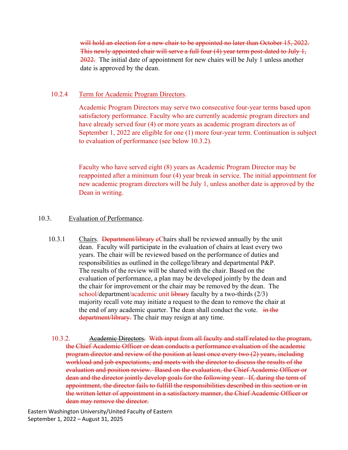will hold an election for a new chair to be appointed no later than October 15, 2022. This newly appointed chair will serve a full four (4) year term post-dated to July 1, 2022. The initial date of appointment for new chairs will be July 1 unless another date is approved by the dean.

### 10.2.4 Term for Academic Program Directors.

Academic Program Directors may serve two consecutive four-year terms based upon satisfactory performance. Faculty who are currently academic program directors and have already served four (4) or more years as academic program directors as of September 1, 2022 are eligible for one (1) more four-year term. Continuation is subject to evaluation of performance (see below 10.3.2).

Faculty who have served eight (8) years as Academic Program Director may be reappointed after a minimum four (4) year break in service. The initial appointment for new academic program directors will be July 1, unless another date is approved by the Dean in writing.

### 10.3. Evaluation of Performance.

- 10.3.1 Chairs. Department/library eChairs shall be reviewed annually by the unit dean. Faculty will participate in the evaluation of chairs at least every two years. The chair will be reviewed based on the performance of duties and responsibilities as outlined in the college/library and departmental P&P. The results of the review will be shared with the chair. Based on the evaluation of performance, a plan may be developed jointly by the dean and the chair for improvement or the chair may be removed by the dean. The school/department/academic unit  $\frac{1}{1}$  aculty by a two-thirds (2/3) majority recall vote may initiate a request to the dean to remove the chair at the end of any academic quarter. The dean shall conduct the vote. in the department/library. The chair may resign at any time.
- 10.3.2. Academic Directors. With input from all faculty and staff related to the program, the Chief Academic Officer or dean conducts a performance evaluation of the academic program director and review of the position at least once every two (2) years, including workload and job expectations, and meets with the director to discuss the results of the evaluation and position review. Based on the evaluation, the Chief Academic Officer or dean and the director jointly develop goals for the following year. If, during the term of appointment, the director fails to fulfill the responsibilities described in this section or in the written letter of appointment in a satisfactory manner, the Chief Academic Officer or dean may remove the director.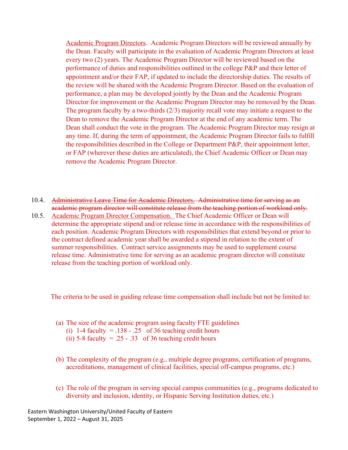Academic Program Directors. Academic Program Directors will be reviewed annually by the Dean. Faculty will participate in the evaluation of Academic Program Directors at least every two (2) years. The Academic Program Director will be reviewed based on the performance of duties and responsibilities outlined in the college P&P and their letter of appointment and/or their FAP, if updated to include the directorship duties. The results of the review will be shared with the Academic Program Director. Based on the evaluation of performance, a plan may be developed jointly by the Dean and the Academic Program Director for improvement or the Academic Program Director may be removed by the Dean. The program faculty by a two-thirds (2/3) majority recall vote may initiate a request to the Dean to remove the Academic Program Director at the end of any academic term. The Dean shall conduct the vote in the program. The Academic Program Director may resign at any time. If, during the term of appointment, the Academic Program Director fails to fulfill the responsibilities described in the College or Department P&P, their appointment letter, or FAP (wherever these duties are articulated), the Chief Academic Officer or Dean may remove the Academic Program Director.

- 10.4. Administrative Leave Time for Academic Directors. Administrative time for serving as an academic program director will constitute release from the teaching portion of workload only.
- 10.5. Academic Program Director Compensation. The Chief Academic Officer or Dean will determine the appropriate stipend and/or release time in accordance with the responsibilities of each position. Academic Program Directors with responsibilities that extend beyond or prior to the contract defined academic year shall be awarded a stipend in relation to the extent of summer responsibilities. Contract service assignments may be used to supplement course release time. Administrative time for serving as an academic program director will constitute release from the teaching portion of workload only.

The criteria to be used in guiding release time compensation shall include but not be limited to:

- (a) The size of the academic program using faculty FTE guidelines (i) 1-4 faculty =  $.138 - .25$  of 36 teaching credit hours (ii) 5-8 faculty =  $.25 - .33$  of 36 teaching credit hours
- (b) The complexity of the program (e.g., multiple degree programs, certification of programs, accreditations, management of clinical facilities, special off-campus programs, etc.)
- (c) The role of the program in serving special campus communities (e.g., programs dedicated to diversity and inclusion, identity, or Hispanic Serving Institution duties, etc.)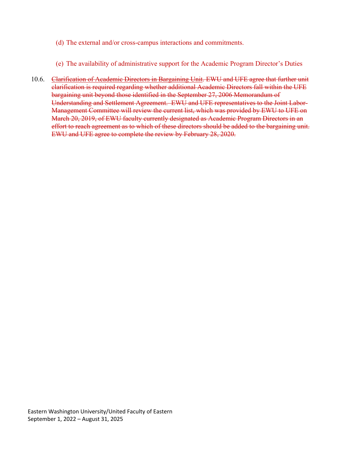- (d) The external and/or cross-campus interactions and commitments.
- (e) The availability of administrative support for the Academic Program Director's Duties
- 10.6. Clarification of Academic Directors in Bargaining Unit. EWU and UFE agree that further unit clarification is required regarding whether additional Academic Directors fall within the UFE bargaining unit beyond those identified in the September 27, 2006 Memorandum of Understanding and Settlement Agreement. EWU and UFE representatives to the Joint Labor-Management Committee will review the current list, which was provided by EWU to UFE on March 20, 2019, of EWU faculty currently designated as Academic Program Directors in an effort to reach agreement as to which of these directors should be added to the bargaining unit. EWU and UFE agree to complete the review by February 28, 2020.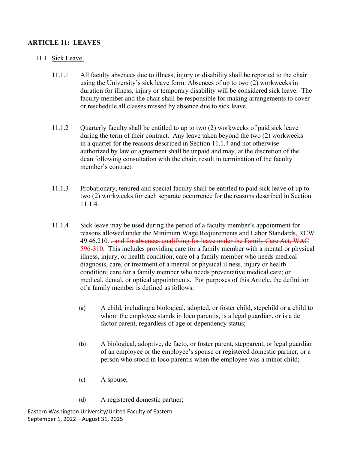## **ARTICLE 11: LEAVES**

### 11.1 Sick Leave.

- 11.1.1 All faculty absences due to illness, injury or disability shall be reported to the chair using the University's sick leave form. Absences of up to two (2) workweeks in duration for illness, injury or temporary disability will be considered sick leave. The faculty member and the chair shall be responsible for making arrangements to cover or reschedule all classes missed by absence due to sick leave.
- 11.1.2 Quarterly faculty shall be entitled to up to two (2) workweeks of paid sick leave during the term of their contract. Any leave taken beyond the two (2) workweeks in a quarter for the reasons described in Section 11.1.4 and not otherwise authorized by law or agreement shall be unpaid and may, at the discretion of the dean following consultation with the chair, result in termination of the faculty member's contract.
- 11.1.3 Probationary, tenured and special faculty shall be entitled to paid sick leave of up to two (2) workweeks for each separate occurrence for the reasons described in Section 11.1.4.
- 11.1.4 Sick leave may be used during the period of a faculty member's appointment for reasons allowed under the Minimum Wage Requirements and Labor Standards, RCW 49.46.210. , and for absences qualifying for leave under the Family Care Act, WAC 596-310. This includes providing care for a family member with a mental or physical illness, injury, or health condition; care of a family member who needs medical diagnosis, care, or treatment of a mental or physical illness, injury or health condition; care for a family member who needs preventative medical care; or medical, dental, or optical appointments. For purposes of this Article, the definition of a family member is defined as follows:
	- (a) A child, including a biological, adopted, or foster child, stepchild or a child to whom the employee stands in loco parentis, is a legal guardian, or is a de factor parent, regardless of age or dependency status;
	- (b) A biological, adoptive, de facto, or foster parent, stepparent, or legal guardian of an employee or the employee's spouse or registered domestic partner, or a person who stood in loco parentis when the employee was a minor child;
	- (c) A spouse;
	- (d) A registered domestic partner;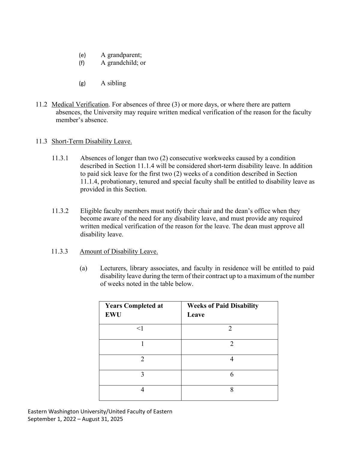- (e) A grandparent;
- (f) A grandchild; or
- (g) A sibling
- 11.2 Medical Verification. For absences of three (3) or more days, or where there are pattern absences, the University may require written medical verification of the reason for the faculty member's absence.

### 11.3 Short-Term Disability Leave.

- 11.3.1 Absences of longer than two (2) consecutive workweeks caused by a condition described in Section 11.1.4 will be considered short-term disability leave. In addition to paid sick leave for the first two (2) weeks of a condition described in Section 11.1.4, probationary, tenured and special faculty shall be entitled to disability leave as provided in this Section.
- 11.3.2 Eligible faculty members must notify their chair and the dean's office when they become aware of the need for any disability leave, and must provide any required written medical verification of the reason for the leave. The dean must approve all disability leave.
- 11.3.3 Amount of Disability Leave.
	- (a) Lecturers, library associates, and faculty in residence will be entitled to paid disability leave during the term of their contract up to a maximum of the number of weeks noted in the table below.

| <b>Years Completed at</b><br><b>EWU</b> | <b>Weeks of Paid Disability</b><br>Leave |
|-----------------------------------------|------------------------------------------|
| $<$ 1                                   | 2                                        |
|                                         | $\mathfrak{D}$                           |
| $\overline{2}$                          | 4                                        |
| 3                                       | 6                                        |
|                                         | 8                                        |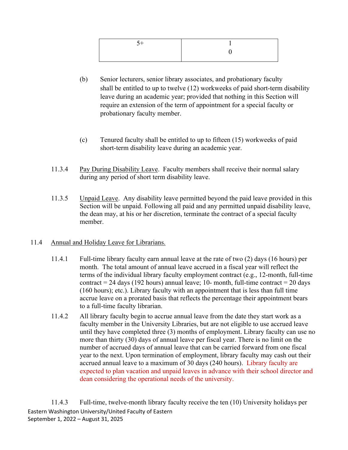- (b) Senior lecturers, senior library associates, and probationary faculty shall be entitled to up to twelve (12) workweeks of paid short-term disability leave during an academic year; provided that nothing in this Section will require an extension of the term of appointment for a special faculty or probationary faculty member.
- (c) Tenured faculty shall be entitled to up to fifteen (15) workweeks of paid short-term disability leave during an academic year.
- 11.3.4 Pay During Disability Leave. Faculty members shall receive their normal salary during any period of short term disability leave.
- 11.3.5 Unpaid Leave. Any disability leave permitted beyond the paid leave provided in this Section will be unpaid. Following all paid and any permitted unpaid disability leave, the dean may, at his or her discretion, terminate the contract of a special faculty member.

### 11.4 Annual and Holiday Leave for Librarians.

- 11.4.1 Full-time library faculty earn annual leave at the rate of two (2) days (16 hours) per month. The total amount of annual leave accrued in a fiscal year will reflect the terms of the individual library faculty employment contract (e.g., 12-month, full-time contract = 24 days (192 hours) annual leave; 10- month, full-time contract = 20 days (160 hours); etc.). Library faculty with an appointment that is less than full time accrue leave on a prorated basis that reflects the percentage their appointment bears to a full-time faculty librarian.
- 11.4.2 All library faculty begin to accrue annual leave from the date they start work as a faculty member in the University Libraries, but are not eligible to use accrued leave until they have completed three (3) months of employment. Library faculty can use no more than thirty (30) days of annual leave per fiscal year. There is no limit on the number of accrued days of annual leave that can be carried forward from one fiscal year to the next. Upon termination of employment, library faculty may cash out their accrued annual leave to a maximum of 30 days (240 hours). Library faculty are expected to plan vacation and unpaid leaves in advance with their school director and dean considering the operational needs of the university.

Eastern Washington University/United Faculty of Eastern September 1, 2022 – August 31, 2025 11.4.3 Full-time, twelve-month library faculty receive the ten (10) University holidays per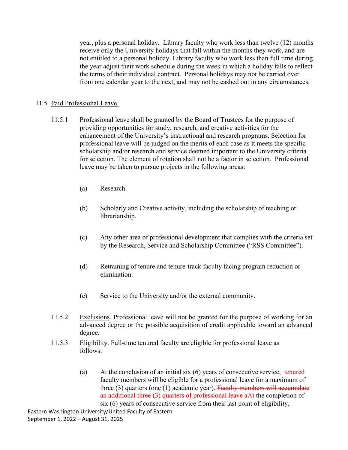year, plus a personal holiday. Library faculty who work less than twelve (12) months receive only the University holidays that fall within the months they work, and are not entitled to a personal holiday. Library faculty who work less than full time during the year adjust their work schedule during the week in which a holiday falls to reflect the terms of their individual contract. Personal holidays may not be carried over from one calendar year to the next, and may not be cashed out in any circumstances.

#### 11.5 Paid Professional Leave.

- 11.5.1 Professional leave shall be granted by the Board of Trustees for the purpose of providing opportunities for study, research, and creative activities for the enhancement of the University's instructional and research programs. Selection for professional leave will be judged on the merits of each case as it meets the specific scholarship and/or research and service deemed important to the University criteria for selection. The element of rotation shall not be a factor in selection. Professional leave may be taken to pursue projects in the following areas:
	- (a) Research.
	- (b) Scholarly and Creative activity, including the scholarship of teaching or librarianship.
	- (c) Any other area of professional development that complies with the criteria set by the Research, Service and Scholarship Committee ("RSS Committee").
	- (d) Retraining of tenure and tenure-track faculty facing program reduction or elimination.
	- (e) Service to the University and/or the external community.
- 11.5.2 Exclusions. Professional leave will not be granted for the purpose of working for an advanced degree or the possible acquisition of credit applicable toward an advanced degree.
- 11.5.3 Eligibility. Full-time tenured faculty are eligible for professional leave as follows:
	- (a) At the conclusion of an initial six (6) years of consecutive service, tenured faculty members will be eligible for a professional leave for a maximum of three  $(3)$  quarters (one  $(1)$  academic year). Faculty members will accumulate an additional three (3) quarters of professional leave aAt the completion of six (6) years of consecutive service from their last point of eligibility,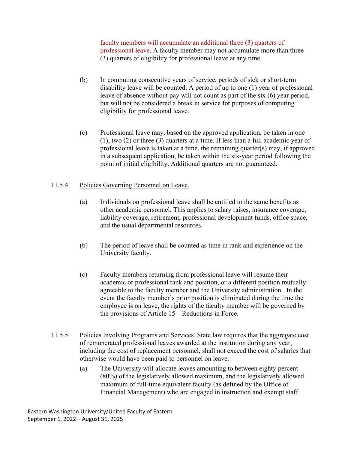faculty members will accumulate an additional three (3) quarters of professional leave. A faculty member may not accumulate more than three (3) quarters of eligibility for professional leave at any time.

- (b) In computing consecutive years of service, periods of sick or short-term disability leave will be counted. A period of up to one (1) year of professional leave of absence without pay will not count as part of the six (6) year period, but will not be considered a break in service for purposes of computing eligibility for professional leave.
- (c) Professional leave may, based on the approved application, be taken in one (1), two (2) or three (3) quarters at a time. If less than a full academic year of professional leave is taken at a time, the remaining quarter(s) may, if approved in a subsequent application, be taken within the six-year period following the point of initial eligibility. Additional quarters are not guaranteed.

### 11.5.4 Policies Governing Personnel on Leave.

- (a) Individuals on professional leave shall be entitled to the same benefits as other academic personnel. This applies to salary raises, insurance coverage, liability coverage, retirement, professional development funds, office space, and the usual departmental resources.
- (b) The period of leave shall be counted as time in rank and experience on the University faculty.
- (c) Faculty members returning from professional leave will resume their academic or professional rank and position, or a different position mutually agreeable to the faculty member and the University administration. In the event the faculty member's prior position is eliminated during the time the employee is on leave, the rights of the faculty member will be governed by the provisions of Article 15 – Reductions in Force.
- 11.5.5 Policies Involving Programs and Services. State law requires that the aggregate cost of remunerated professional leaves awarded at the institution during any year, including the cost of replacement personnel, shall not exceed the cost of salaries that otherwise would have been paid to personnel on leave.
	- (a) The University will allocate leaves amounting to between eighty percent (80%) of the legislatively allowed maximum, and the legislatively allowed maximum of full-time equivalent faculty (as defined by the Office of Financial Management) who are engaged in instruction and exempt staff.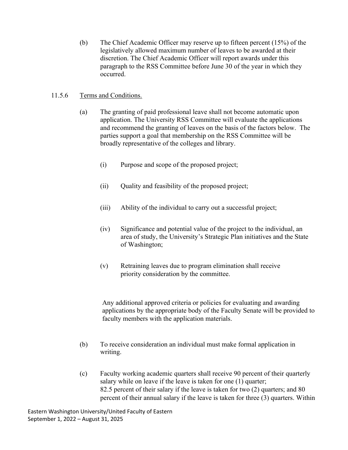(b) The Chief Academic Officer may reserve up to fifteen percent (15%) of the legislatively allowed maximum number of leaves to be awarded at their discretion. The Chief Academic Officer will report awards under this paragraph to the RSS Committee before June 30 of the year in which they occurred.

## 11.5.6 Terms and Conditions.

- (a) The granting of paid professional leave shall not become automatic upon application. The University RSS Committee will evaluate the applications and recommend the granting of leaves on the basis of the factors below. The parties support a goal that membership on the RSS Committee will be broadly representative of the colleges and library.
	- (i) Purpose and scope of the proposed project;
	- (ii) Quality and feasibility of the proposed project;
	- (iii) Ability of the individual to carry out a successful project;
	- (iv) Significance and potential value of the project to the individual, an area of study, the University's Strategic Plan initiatives and the State of Washington;
	- (v) Retraining leaves due to program elimination shall receive priority consideration by the committee.

Any additional approved criteria or policies for evaluating and awarding applications by the appropriate body of the Faculty Senate will be provided to faculty members with the application materials.

- (b) To receive consideration an individual must make formal application in writing.
- (c) Faculty working academic quarters shall receive 90 percent of their quarterly salary while on leave if the leave is taken for one (1) quarter; 82.5 percent of their salary if the leave is taken for two (2) quarters; and 80 percent of their annual salary if the leave is taken for three (3) quarters. Within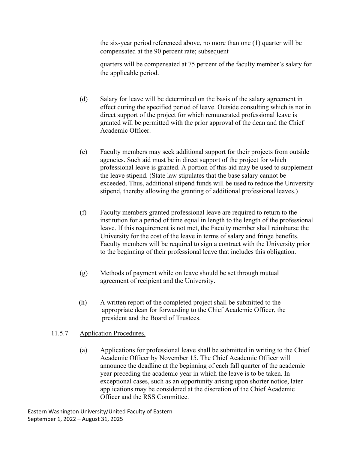the six-year period referenced above, no more than one (1) quarter will be compensated at the 90 percent rate; subsequent

quarters will be compensated at 75 percent of the faculty member's salary for the applicable period.

- (d) Salary for leave will be determined on the basis of the salary agreement in effect during the specified period of leave. Outside consulting which is not in direct support of the project for which remunerated professional leave is granted will be permitted with the prior approval of the dean and the Chief Academic Officer.
- (e) Faculty members may seek additional support for their projects from outside agencies. Such aid must be in direct support of the project for which professional leave is granted. A portion of this aid may be used to supplement the leave stipend. (State law stipulates that the base salary cannot be exceeded. Thus, additional stipend funds will be used to reduce the University stipend, thereby allowing the granting of additional professional leaves.)
- (f) Faculty members granted professional leave are required to return to the institution for a period of time equal in length to the length of the professional leave. If this requirement is not met, the Faculty member shall reimburse the University for the cost of the leave in terms of salary and fringe benefits. Faculty members will be required to sign a contract with the University prior to the beginning of their professional leave that includes this obligation.
- (g) Methods of payment while on leave should be set through mutual agreement of recipient and the University.
- (h) A written report of the completed project shall be submitted to the appropriate dean for forwarding to the Chief Academic Officer, the president and the Board of Trustees.

# 11.5.7 Application Procedures.

(a) Applications for professional leave shall be submitted in writing to the Chief Academic Officer by November 15. The Chief Academic Officer will announce the deadline at the beginning of each fall quarter of the academic year preceding the academic year in which the leave is to be taken. In exceptional cases, such as an opportunity arising upon shorter notice, later applications may be considered at the discretion of the Chief Academic Officer and the RSS Committee.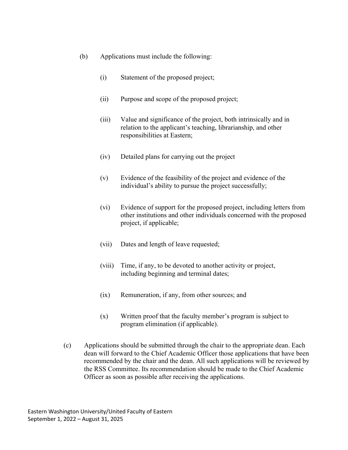- (b) Applications must include the following:
	- (i) Statement of the proposed project;
	- (ii) Purpose and scope of the proposed project;
	- (iii) Value and significance of the project, both intrinsically and in relation to the applicant's teaching, librarianship, and other responsibilities at Eastern;
	- (iv) Detailed plans for carrying out the project
	- (v) Evidence of the feasibility of the project and evidence of the individual's ability to pursue the project successfully;
	- (vi) Evidence of support for the proposed project, including letters from other institutions and other individuals concerned with the proposed project, if applicable;
	- (vii) Dates and length of leave requested;
	- (viii) Time, if any, to be devoted to another activity or project, including beginning and terminal dates;
	- (ix) Remuneration, if any, from other sources; and
	- (x) Written proof that the faculty member's program is subject to program elimination (if applicable).
- (c) Applications should be submitted through the chair to the appropriate dean. Each dean will forward to the Chief Academic Officer those applications that have been recommended by the chair and the dean. All such applications will be reviewed by the RSS Committee. Its recommendation should be made to the Chief Academic Officer as soon as possible after receiving the applications.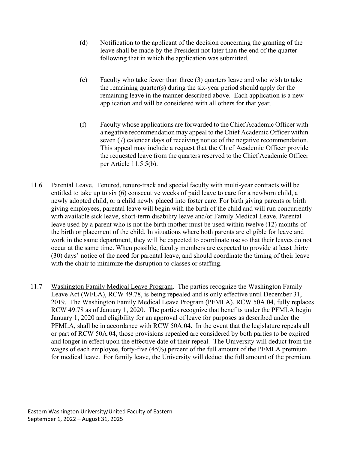- (d) Notification to the applicant of the decision concerning the granting of the leave shall be made by the President not later than the end of the quarter following that in which the application was submitted.
- (e) Faculty who take fewer than three (3) quarters leave and who wish to take the remaining quarter(s) during the six-year period should apply for the remaining leave in the manner described above. Each application is a new application and will be considered with all others for that year.
- (f) Faculty whose applications are forwarded to the Chief Academic Officer with a negative recommendation may appeal to the Chief Academic Officer within seven (7) calendar days of receiving notice of the negative recommendation. This appeal may include a request that the Chief Academic Officer provide the requested leave from the quarters reserved to the Chief Academic Officer per Article 11.5.5(b).
- 11.6 Parental Leave. Tenured, tenure-track and special faculty with multi-year contracts will be entitled to take up to six (6) consecutive weeks of paid leave to care for a newborn child, a newly adopted child, or a child newly placed into foster care. For birth giving parents or birth giving employees, parental leave will begin with the birth of the child and will run concurrently with available sick leave, short-term disability leave and/or Family Medical Leave. Parental leave used by a parent who is not the birth mother must be used within twelve (12) months of the birth or placement of the child. In situations where both parents are eligible for leave and work in the same department, they will be expected to coordinate use so that their leaves do not occur at the same time. When possible, faculty members are expected to provide at least thirty (30) days' notice of the need for parental leave, and should coordinate the timing of their leave with the chair to minimize the disruption to classes or staffing.
- 11.7 Washington Family Medical Leave Program. The parties recognize the Washington Family Leave Act (WFLA), RCW 49.78, is being repealed and is only effective until December 31, 2019. The Washington Family Medical Leave Program (PFMLA), RCW 50A.04, fully replaces RCW 49.78 as of January 1, 2020. The parties recognize that benefits under the PFMLA begin January 1, 2020 and eligibility for an approval of leave for purposes as described under the PFMLA, shall be in accordance with RCW 50A.04. In the event that the legislature repeals all or part of RCW 50A.04, those provisions repealed are considered by both parties to be expired and longer in effect upon the effective date of their repeal. The University will deduct from the wages of each employee, forty-five (45%) percent of the full amount of the PFMLA premium for medical leave. For family leave, the University will deduct the full amount of the premium.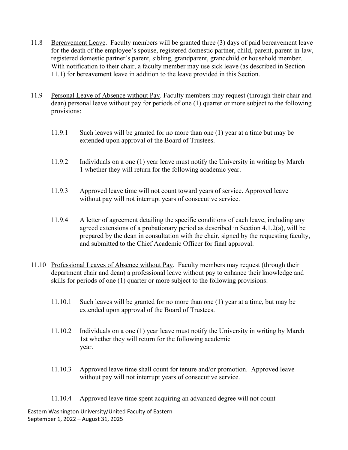- 11.8 Bereavement Leave. Faculty members will be granted three (3) days of paid bereavement leave for the death of the employee's spouse, registered domestic partner, child, parent, parent-in-law, registered domestic partner's parent, sibling, grandparent, grandchild or household member. With notification to their chair, a faculty member may use sick leave (as described in Section 11.1) for bereavement leave in addition to the leave provided in this Section.
- 11.9 Personal Leave of Absence without Pay. Faculty members may request (through their chair and dean) personal leave without pay for periods of one (1) quarter or more subject to the following provisions:
	- 11.9.1 Such leaves will be granted for no more than one (1) year at a time but may be extended upon approval of the Board of Trustees.
	- 11.9.2 Individuals on a one (1) year leave must notify the University in writing by March 1 whether they will return for the following academic year.
	- 11.9.3 Approved leave time will not count toward years of service. Approved leave without pay will not interrupt years of consecutive service.
	- 11.9.4 A letter of agreement detailing the specific conditions of each leave, including any agreed extensions of a probationary period as described in Section 4.1.2(a), will be prepared by the dean in consultation with the chair, signed by the requesting faculty, and submitted to the Chief Academic Officer for final approval.
- 11.10 Professional Leaves of Absence without Pay. Faculty members may request (through their department chair and dean) a professional leave without pay to enhance their knowledge and skills for periods of one (1) quarter or more subject to the following provisions:
	- 11.10.1 Such leaves will be granted for no more than one (1) year at a time, but may be extended upon approval of the Board of Trustees.
	- 11.10.2 Individuals on a one (1) year leave must notify the University in writing by March 1st whether they will return for the following academic year.
	- 11.10.3 Approved leave time shall count for tenure and/or promotion. Approved leave without pay will not interrupt years of consecutive service.
	- 11.10.4 Approved leave time spent acquiring an advanced degree will not count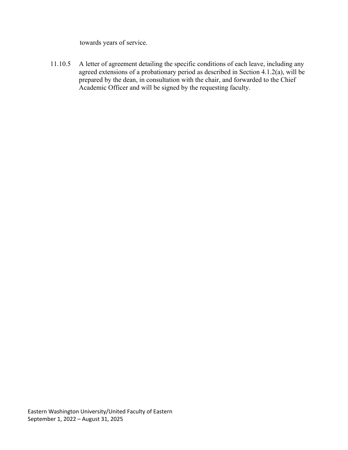towards years of service.

11.10.5 A letter of agreement detailing the specific conditions of each leave, including any agreed extensions of a probationary period as described in Section 4.1.2(a), will be prepared by the dean, in consultation with the chair, and forwarded to the Chief Academic Officer and will be signed by the requesting faculty.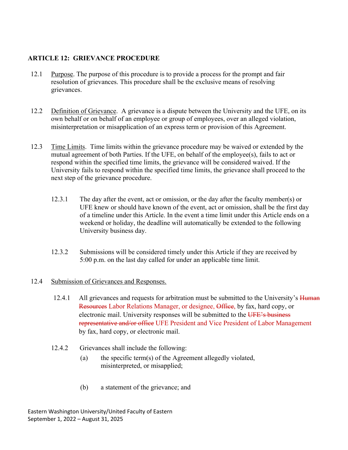## **ARTICLE 12: GRIEVANCE PROCEDURE**

- 12.1 Purpose. The purpose of this procedure is to provide a process for the prompt and fair resolution of grievances. This procedure shall be the exclusive means of resolving grievances.
- 12.2 Definition of Grievance. A grievance is a dispute between the University and the UFE, on its own behalf or on behalf of an employee or group of employees, over an alleged violation, misinterpretation or misapplication of an express term or provision of this Agreement.
- 12.3 Time Limits. Time limits within the grievance procedure may be waived or extended by the mutual agreement of both Parties. If the UFE, on behalf of the employee(s), fails to act or respond within the specified time limits, the grievance will be considered waived. If the University fails to respond within the specified time limits, the grievance shall proceed to the next step of the grievance procedure.
	- 12.3.1 The day after the event, act or omission, or the day after the faculty member(s) or UFE knew or should have known of the event, act or omission, shall be the first day of a timeline under this Article. In the event a time limit under this Article ends on a weekend or holiday, the deadline will automatically be extended to the following University business day.
	- 12.3.2 Submissions will be considered timely under this Article if they are received by 5:00 p.m. on the last day called for under an applicable time limit.

# 12.4 Submission of Grievances and Responses.

- 12.4.1 All grievances and requests for arbitration must be submitted to the University's Human Resources Labor Relations Manager, or designee, Office, by fax, hard copy, or electronic mail. University responses will be submitted to the UFE's business representative and/or office UFE President and Vice President of Labor Management by fax, hard copy, or electronic mail.
- 12.4.2 Grievances shall include the following:
	- (a) the specific term(s) of the Agreement allegedly violated, misinterpreted, or misapplied;
	- (b) a statement of the grievance; and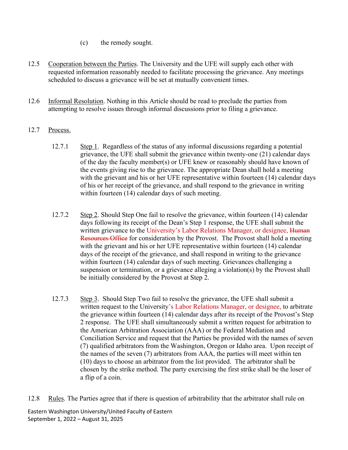- (c) the remedy sought.
- 12.5 Cooperation between the Parties. The University and the UFE will supply each other with requested information reasonably needed to facilitate processing the grievance. Any meetings scheduled to discuss a grievance will be set at mutually convenient times.
- 12.6 Informal Resolution. Nothing in this Article should be read to preclude the parties from attempting to resolve issues through informal discussions prior to filing a grievance.

### 12.7 Process.

- 12.7.1 Step 1. Regardless of the status of any informal discussions regarding a potential grievance, the UFE shall submit the grievance within twenty-one (21) calendar days of the day the faculty member(s) or UFE knew or reasonably should have known of the events giving rise to the grievance. The appropriate Dean shall hold a meeting with the grievant and his or her UFE representative within fourteen (14) calendar days of his or her receipt of the grievance, and shall respond to the grievance in writing within fourteen (14) calendar days of such meeting.
- 12.7.2 Step 2. Should Step One fail to resolve the grievance, within fourteen (14) calendar days following its receipt of the Dean's Step 1 response, the UFE shall submit the written grievance to the University's Labor Relations Manager, or designee, Human Resources Office for consideration by the Provost. The Provost shall hold a meeting with the grievant and his or her UFE representative within fourteen (14) calendar days of the receipt of the grievance, and shall respond in writing to the grievance within fourteen (14) calendar days of such meeting. Grievances challenging a suspension or termination, or a grievance alleging a violation(s) by the Provost shall be initially considered by the Provost at Step 2.
- 12.7.3 Step 3. Should Step Two fail to resolve the grievance, the UFE shall submit a written request to the University's Labor Relations Manager, or designee, to arbitrate the grievance within fourteen (14) calendar days after its receipt of the Provost's Step 2 response. The UFE shall simultaneously submit a written request for arbitration to the American Arbitration Association (AAA) or the Federal Mediation and Conciliation Service and request that the Parties be provided with the names of seven (7) qualified arbitrators from the Washington, Oregon or Idaho area. Upon receipt of the names of the seven (7) arbitrators from AAA, the parties will meet within ten (10) days to choose an arbitrator from the list provided. The arbitrator shall be chosen by the strike method. The party exercising the first strike shall be the loser of a flip of a coin.
- 12.8 Rules. The Parties agree that if there is question of arbitrability that the arbitrator shall rule on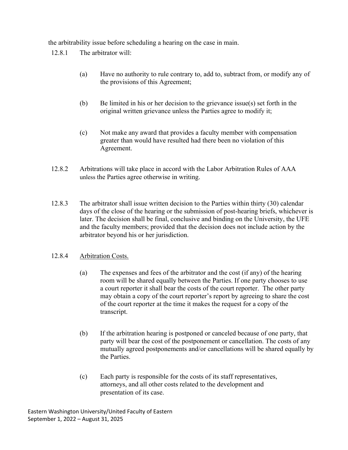the arbitrability issue before scheduling a hearing on the case in main.

12.8.1 The arbitrator will:

- (a) Have no authority to rule contrary to, add to, subtract from, or modify any of the provisions of this Agreement;
- (b) Be limited in his or her decision to the grievance issue(s) set forth in the original written grievance unless the Parties agree to modify it;
- (c) Not make any award that provides a faculty member with compensation greater than would have resulted had there been no violation of this Agreement.
- 12.8.2 Arbitrations will take place in accord with the Labor Arbitration Rules of AAA unless the Parties agree otherwise in writing.
- 12.8.3 The arbitrator shall issue written decision to the Parties within thirty (30) calendar days of the close of the hearing or the submission of post-hearing briefs, whichever is later. The decision shall be final, conclusive and binding on the University, the UFE and the faculty members; provided that the decision does not include action by the arbitrator beyond his or her jurisdiction.

### 12.8.4 Arbitration Costs.

- (a) The expenses and fees of the arbitrator and the cost (if any) of the hearing room will be shared equally between the Parties. If one party chooses to use a court reporter it shall bear the costs of the court reporter. The other party may obtain a copy of the court reporter's report by agreeing to share the cost of the court reporter at the time it makes the request for a copy of the transcript.
- (b) If the arbitration hearing is postponed or canceled because of one party, that party will bear the cost of the postponement or cancellation. The costs of any mutually agreed postponements and/or cancellations will be shared equally by the Parties.
- (c) Each party is responsible for the costs of its staff representatives, attorneys, and all other costs related to the development and presentation of its case.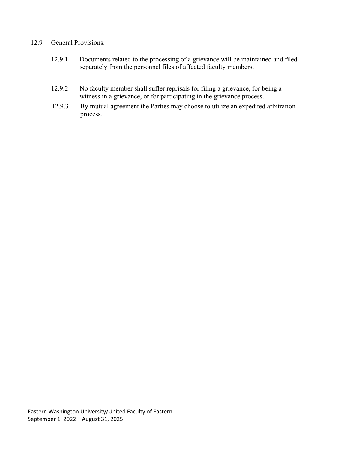#### 12.9 General Provisions.

- 12.9.1 Documents related to the processing of a grievance will be maintained and filed separately from the personnel files of affected faculty members.
- 12.9.2 No faculty member shall suffer reprisals for filing a grievance, for being a witness in a grievance, or for participating in the grievance process.
- 12.9.3 By mutual agreement the Parties may choose to utilize an expedited arbitration process.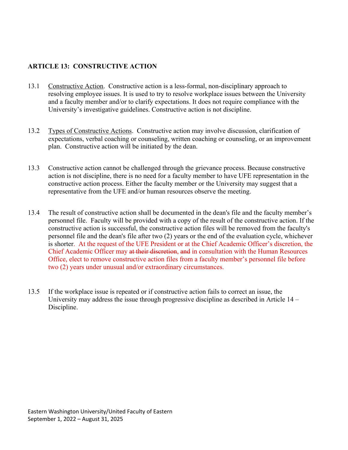## **ARTICLE 13: CONSTRUCTIVE ACTION**

- 13.1 Constructive Action. Constructive action is a less-formal, non-disciplinary approach to resolving employee issues. It is used to try to resolve workplace issues between the University and a faculty member and/or to clarify expectations. It does not require compliance with the University's investigative guidelines. Constructive action is not discipline.
- 13.2 Types of Constructive Actions. Constructive action may involve discussion, clarification of expectations, verbal coaching or counseling, written coaching or counseling, or an improvement plan. Constructive action will be initiated by the dean.
- 13.3 Constructive action cannot be challenged through the grievance process. Because constructive action is not discipline, there is no need for a faculty member to have UFE representation in the constructive action process. Either the faculty member or the University may suggest that a representative from the UFE and/or human resources observe the meeting.
- 13.4 The result of constructive action shall be documented in the dean's file and the faculty member's personnel file. Faculty will be provided with a copy of the result of the constructive action. If the constructive action is successful, the constructive action files will be removed from the faculty's personnel file and the dean's file after two (2) years or the end of the evaluation cycle, whichever is shorter. At the request of the UFE President or at the Chief Academic Officer's discretion, the Chief Academic Officer may at their discretion, and in consultation with the Human Resources Office, elect to remove constructive action files from a faculty member's personnel file before two (2) years under unusual and/or extraordinary circumstances.
- 13.5 If the workplace issue is repeated or if constructive action fails to correct an issue, the University may address the issue through progressive discipline as described in Article 14 – Discipline.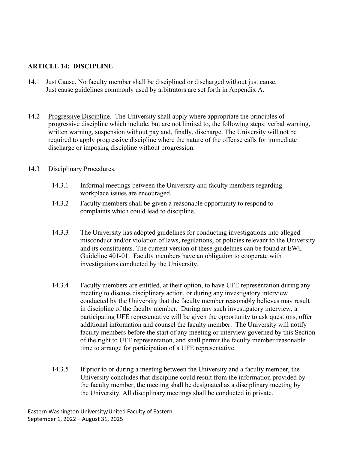### **ARTICLE 14: DISCIPLINE**

- 14.1 Just Cause. No faculty member shall be disciplined or discharged without just cause. Just cause guidelines commonly used by arbitrators are set forth in Appendix A.
- 14.2 Progressive Discipline. The University shall apply where appropriate the principles of progressive discipline which include, but are not limited to, the following steps: verbal warning, written warning, suspension without pay and, finally, discharge. The University will not be required to apply progressive discipline where the nature of the offense calls for immediate discharge or imposing discipline without progression.

#### 14.3 Disciplinary Procedures.

- 14.3.1 Informal meetings between the University and faculty members regarding workplace issues are encouraged.
- 14.3.2 Faculty members shall be given a reasonable opportunity to respond to complaints which could lead to discipline.
- 14.3.3 The University has adopted guidelines for conducting investigations into alleged misconduct and/or violation of laws, regulations, or policies relevant to the University and its constituents. The current version of these guidelines can be found at EWU Guideline 401-01. Faculty members have an obligation to cooperate with investigations conducted by the University.
- 14.3.4 Faculty members are entitled, at their option, to have UFE representation during any meeting to discuss disciplinary action, or during any investigatory interview conducted by the University that the faculty member reasonably believes may result in discipline of the faculty member. During any such investigatory interview, a participating UFE representative will be given the opportunity to ask questions, offer additional information and counsel the faculty member. The University will notify faculty members before the start of any meeting or interview governed by this Section of the right to UFE representation, and shall permit the faculty member reasonable time to arrange for participation of a UFE representative.
- 14.3.5 If prior to or during a meeting between the University and a faculty member, the University concludes that discipline could result from the information provided by the faculty member, the meeting shall be designated as a disciplinary meeting by the University. All disciplinary meetings shall be conducted in private.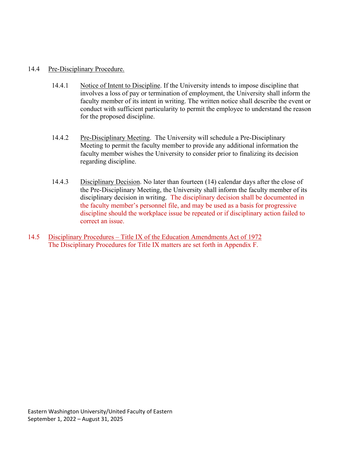#### 14.4 Pre-Disciplinary Procedure.

- 14.4.1 Notice of Intent to Discipline. If the University intends to impose discipline that involves a loss of pay or termination of employment, the University shall inform the faculty member of its intent in writing. The written notice shall describe the event or conduct with sufficient particularity to permit the employee to understand the reason for the proposed discipline.
- 14.4.2 Pre-Disciplinary Meeting. The University will schedule a Pre-Disciplinary Meeting to permit the faculty member to provide any additional information the faculty member wishes the University to consider prior to finalizing its decision regarding discipline.
- 14.4.3 Disciplinary Decision. No later than fourteen (14) calendar days after the close of the Pre-Disciplinary Meeting, the University shall inform the faculty member of its disciplinary decision in writing. The disciplinary decision shall be documented in the faculty member's personnel file, and may be used as a basis for progressive discipline should the workplace issue be repeated or if disciplinary action failed to correct an issue.
- 14.5 Disciplinary Procedures Title IX of the Education Amendments Act of 1972 The Disciplinary Procedures for Title IX matters are set forth in Appendix F.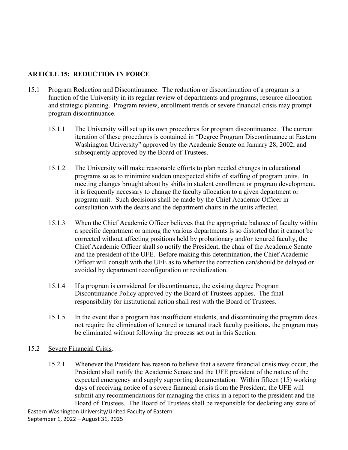## **ARTICLE 15: REDUCTION IN FORCE**

- 15.1 Program Reduction and Discontinuance. The reduction or discontinuation of a program is a function of the University in its regular review of departments and programs, resource allocation and strategic planning. Program review, enrollment trends or severe financial crisis may prompt program discontinuance.
	- 15.1.1 The University will set up its own procedures for program discontinuance. The current iteration of these procedures is contained in "Degree Program Discontinuance at Eastern Washington University" approved by the Academic Senate on January 28, 2002, and subsequently approved by the Board of Trustees.
	- 15.1.2 The University will make reasonable efforts to plan needed changes in educational programs so as to minimize sudden unexpected shifts of staffing of program units. In meeting changes brought about by shifts in student enrollment or program development, it is frequently necessary to change the faculty allocation to a given department or program unit. Such decisions shall be made by the Chief Academic Officer in consultation with the deans and the department chairs in the units affected.
	- 15.1.3 When the Chief Academic Officer believes that the appropriate balance of faculty within a specific department or among the various departments is so distorted that it cannot be corrected without affecting positions held by probationary and/or tenured faculty, the Chief Academic Officer shall so notify the President, the chair of the Academic Senate and the president of the UFE. Before making this determination, the Chief Academic Officer will consult with the UFE as to whether the correction can/should be delayed or avoided by department reconfiguration or revitalization.
	- 15.1.4 If a program is considered for discontinuance, the existing degree Program Discontinuance Policy approved by the Board of Trustees applies. The final responsibility for institutional action shall rest with the Board of Trustees.
	- 15.1.5 In the event that a program has insufficient students, and discontinuing the program does not require the elimination of tenured or tenured track faculty positions, the program may be eliminated without following the process set out in this Section.

### 15.2 Severe Financial Crisis.

15.2.1 Whenever the President has reason to believe that a severe financial crisis may occur, the President shall notify the Academic Senate and the UFE president of the nature of the expected emergency and supply supporting documentation. Within fifteen (15) working days of receiving notice of a severe financial crisis from the President, the UFE will submit any recommendations for managing the crisis in a report to the president and the Board of Trustees. The Board of Trustees shall be responsible for declaring any state of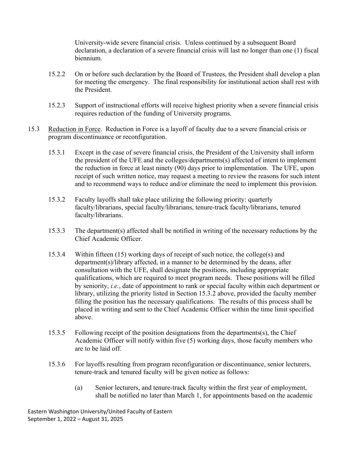University-wide severe financial crisis. Unless continued by a subsequent Board declaration, a declaration of a severe financial crisis will last no longer than one (1) fiscal biennium.

- 15.2.2 On or before such declaration by the Board of Trustees, the President shall develop a plan for meeting the emergency. The final responsibility for institutional action shall rest with the President.
- 15.2.3 Support of instructional efforts will receive highest priority when a severe financial crisis requires reduction of the funding of University programs.
- 15.3 Reduction in Force. Reduction in Force is a layoff of faculty due to a severe financial crisis or program discontinuance or reconfiguration.
	- 15.3.1 Except in the case of severe financial crisis, the President of the University shall inform the president of the UFE and the colleges/departments(s) affected of intent to implement the reduction in force at least ninety (90) days prior to implementation. The UFE, upon receipt of such written notice, may request a meeting to review the reasons for such intent and to recommend ways to reduce and/or eliminate the need to implement this provision.
	- 15.3.2 Faculty layoffs shall take place utilizing the following priority: quarterly faculty/librarians, special faculty/librarians, tenure-track faculty/librarians, tenured faculty/librarians.
	- 15.3.3 The department(s) affected shall be notified in writing of the necessary reductions by the Chief Academic Officer.
	- 15.3.4 Within fifteen (15) working days of receipt of such notice, the college(s) and department(s)/library affected, in a manner to be determined by the deans, after consultation with the UFE, shall designate the positions, including appropriate qualifications, which are required to meet program needs. These positions will be filled by seniority, *i.e.*, date of appointment to rank or special faculty within each department or library, utilizing the priority listed in Section 15.3.2 above, provided the faculty member filling the position has the necessary qualifications. The results of this process shall be placed in writing and sent to the Chief Academic Officer within the time limit specified above.
	- 15.3.5 Following receipt of the position designations from the departments(s), the Chief Academic Officer will notify within five (5) working days, those faculty members who are to be laid off.
	- 15.3.6 For layoffs resulting from program reconfiguration or discontinuance, senior lecturers, tenure-track and tenured faculty will be given notice as follows:
		- (a) Senior lecturers, and tenure-track faculty within the first year of employment, shall be notified no later than March 1, for appointments based on the academic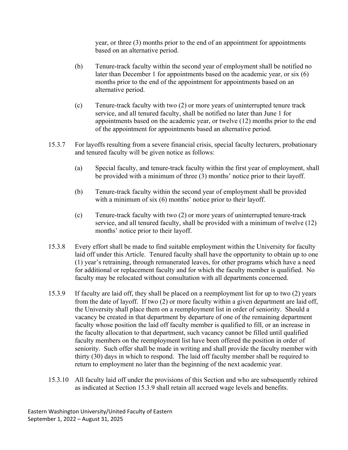year, or three (3) months prior to the end of an appointment for appointments based on an alternative period.

- (b) Tenure-track faculty within the second year of employment shall be notified no later than December 1 for appointments based on the academic year, or six (6) months prior to the end of the appointment for appointments based on an alternative period.
- (c) Tenure-track faculty with two (2) or more years of uninterrupted tenure track service, and all tenured faculty, shall be notified no later than June 1 for appointments based on the academic year, or twelve (12) months prior to the end of the appointment for appointments based an alternative period.
- 15.3.7 For layoffs resulting from a severe financial crisis, special faculty lecturers, probationary and tenured faculty will be given notice as follows:
	- (a) Special faculty, and tenure-track faculty within the first year of employment, shall be provided with a minimum of three (3) months' notice prior to their layoff.
	- (b) Tenure-track faculty within the second year of employment shall be provided with a minimum of six (6) months' notice prior to their layoff.
	- (c) Tenure-track faculty with two (2) or more years of uninterrupted tenure-track service, and all tenured faculty, shall be provided with a minimum of twelve (12) months' notice prior to their layoff.
- 15.3.8 Every effort shall be made to find suitable employment within the University for faculty laid off under this Article. Tenured faculty shall have the opportunity to obtain up to one (1) year's retraining, through remunerated leaves, for other programs which have a need for additional or replacement faculty and for which the faculty member is qualified. No faculty may be relocated without consultation with all departments concerned.
- 15.3.9 If faculty are laid off, they shall be placed on a reemployment list for up to two (2) years from the date of layoff. If two (2) or more faculty within a given department are laid off, the University shall place them on a reemployment list in order of seniority. Should a vacancy be created in that department by departure of one of the remaining department faculty whose position the laid off faculty member is qualified to fill, or an increase in the faculty allocation to that department, such vacancy cannot be filled until qualified faculty members on the reemployment list have been offered the position in order of seniority. Such offer shall be made in writing and shall provide the faculty member with thirty (30) days in which to respond. The laid off faculty member shall be required to return to employment no later than the beginning of the next academic year.
- 15.3.10 All faculty laid off under the provisions of this Section and who are subsequently rehired as indicated at Section 15.3.9 shall retain all accrued wage levels and benefits.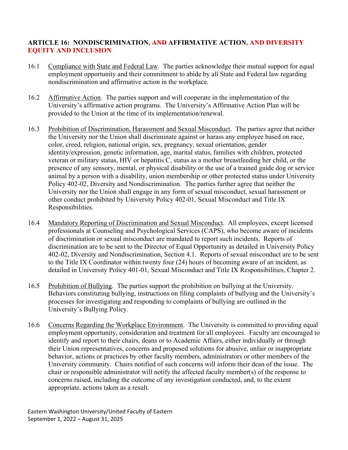### **ARTICLE 16: NONDISCRIMINATION, AND AFFIRMATIVE ACTION, AND DIVERSITY EQUITY AND INCLUSION**

- 16.1 Compliance with State and Federal Law. The parties acknowledge their mutual support for equal employment opportunity and their commitment to abide by all State and Federal law regarding nondiscrimination and affirmative action in the workplace.
- 16.2 Affirmative Action. The parties support and will cooperate in the implementation of the University's affirmative action programs. The University's Affirmative Action Plan will be provided to the Union at the time of its implementation/renewal.
- 16.3 Prohibition of Discrimination, Harassment and Sexual Misconduct. The parties agree that neither the University nor the Union shall discriminate against or harass any employee based on race, color, creed, religion, national origin, sex, pregnancy, sexual orientation, gender identity/expression, genetic information, age, marital status, families with children, protected veteran or military status, HIV or hepatitis C, status as a mother breastfeeding her child, or the presence of any sensory, mental, or physical disability or the use of a trained guide dog or service animal by a person with a disability, union membership or other protected status under University Policy 402-02, Diversity and Nondiscrimination. The parties further agree that neither the University nor the Union shall engage in any form of sexual misconduct, sexual harassment or other conduct prohibited by University Policy 402-01, Sexual Misconduct and Title IX Responsibilities.
- 16.4 Mandatory Reporting of Discrimination and Sexual Misconduct. All employees, except licensed professionals at Counseling and Psychological Services (CAPS), who become aware of incidents of discrimination or sexual misconduct are mandated to report such incidents. Reports of discrimination are to be sent to the Director of Equal Opportunity as detailed in University Policy 402-02, Diversity and Nondiscrimination, Section 4.1. Reports of sexual misconduct are to be sent to the Title IX Coordinator within twenty four (24) hours of becoming aware of an incident, as detailed in University Policy 401-01, Sexual Misconduct and Title IX Responsibilities, Chapter 2.
- 16.5 Prohibition of Bullying. The parties support the prohibition on bullying at the University. Behaviors constituting bullying, instructions on filing complaints of bullying and the University's processes for investigating and responding to complaints of bullying are outlined in the University's Bullying Policy.
- 16.6 Concerns Regarding the Workplace Environment. The University is committed to providing equal employment opportunity, consideration and treatment for all employees. Faculty are encouraged to identify and report to their chairs, deans or to Academic Affairs, either individually or through their Union representatives, concerns and proposed solutions for abusive, unfair or inappropriate behavior, actions or practices by other faculty members, administrators or other members of the University community. Chairs notified of such concerns will inform their dean of the issue. The chair or responsible administrator will notify the affected faculty member(s) of the response to concerns raised, including the outcome of any investigation conducted, and, to the extent appropriate, actions taken as a result.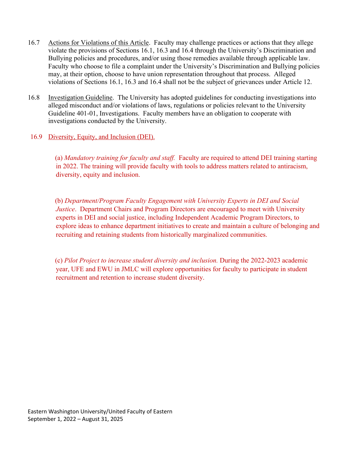- 16.7 Actions for Violations of this Article. Faculty may challenge practices or actions that they allege violate the provisions of Sections 16.1, 16.3 and 16.4 through the University's Discrimination and Bullying policies and procedures, and/or using those remedies available through applicable law. Faculty who choose to file a complaint under the University's Discrimination and Bullying policies may, at their option, choose to have union representation throughout that process. Alleged violations of Sections 16.1, 16.3 and 16.4 shall not be the subject of grievances under Article 12.
- 16.8 Investigation Guideline. The University has adopted guidelines for conducting investigations into alleged misconduct and/or violations of laws, regulations or policies relevant to the University Guideline 401-01, Investigations. Faculty members have an obligation to cooperate with investigations conducted by the University.
- 16.9 Diversity, Equity, and Inclusion (DEI).

(a) *Mandatory training for faculty and staff.* Faculty are required to attend DEI training starting in 2022. The training will provide faculty with tools to address matters related to antiracism, diversity, equity and inclusion.

(b) *Department/Program Faculty Engagement with University Experts in DEI and Social Justice*. Department Chairs and Program Directors are encouraged to meet with University experts in DEI and social justice, including Independent Academic Program Directors, to explore ideas to enhance department initiatives to create and maintain a culture of belonging and recruiting and retaining students from historically marginalized communities.

(c) *Pilot Project to increase student diversity and inclusion.* During the 2022-2023 academic year, UFE and EWU in JMLC will explore opportunities for faculty to participate in student recruitment and retention to increase student diversity.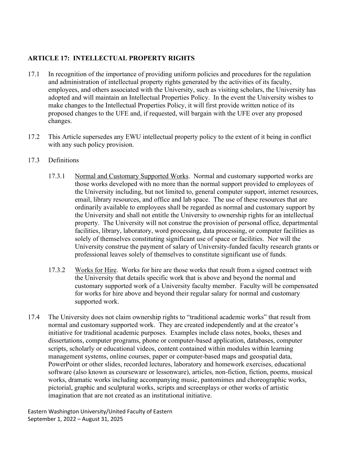## **ARTICLE 17: INTELLECTUAL PROPERTY RIGHTS**

- 17.1 In recognition of the importance of providing uniform policies and procedures for the regulation and administration of intellectual property rights generated by the activities of its faculty, employees, and others associated with the University, such as visiting scholars, the University has adopted and will maintain an Intellectual Properties Policy. In the event the University wishes to make changes to the Intellectual Properties Policy, it will first provide written notice of its proposed changes to the UFE and, if requested, will bargain with the UFE over any proposed changes.
- 17.2 This Article supersedes any EWU intellectual property policy to the extent of it being in conflict with any such policy provision.
- 17.3 Definitions
	- 17.3.1 Normal and Customary Supported Works. Normal and customary supported works are those works developed with no more than the normal support provided to employees of the University including, but not limited to, general computer support, internet resources, email, library resources, and office and lab space. The use of these resources that are ordinarily available to employees shall be regarded as normal and customary support by the University and shall not entitle the University to ownership rights for an intellectual property. The University will not construe the provision of personal office, departmental facilities, library, laboratory, word processing, data processing, or computer facilities as solely of themselves constituting significant use of space or facilities. Nor will the University construe the payment of salary of University-funded faculty research grants or professional leaves solely of themselves to constitute significant use of funds.
	- 17.3.2 Works for Hire. Works for hire are those works that result from a signed contract with the University that details specific work that is above and beyond the normal and customary supported work of a University faculty member. Faculty will be compensated for works for hire above and beyond their regular salary for normal and customary supported work.
- 17.4 The University does not claim ownership rights to "traditional academic works" that result from normal and customary supported work. They are created independently and at the creator's initiative for traditional academic purposes. Examples include class notes, books, theses and dissertations, computer programs, phone or computer-based application, databases, computer scripts, scholarly or educational videos, content contained within modules within learning management systems, online courses, paper or computer-based maps and geospatial data, PowerPoint or other slides, recorded lectures, laboratory and homework exercises, educational software (also known as courseware or lessonware), articles, non-fiction, fiction, poems, musical works, dramatic works including accompanying music, pantomimes and choreographic works, pictorial, graphic and sculptural works, scripts and screenplays or other works of artistic imagination that are not created as an institutional initiative.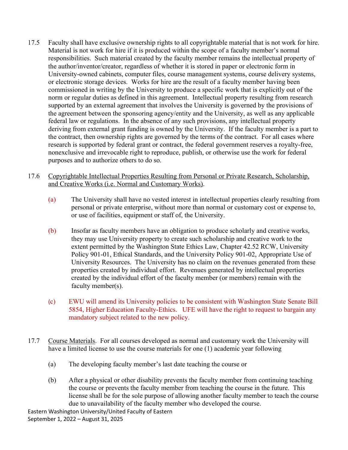- 17.5 Faculty shall have exclusive ownership rights to all copyrightable material that is not work for hire. Material is not work for hire if it is produced within the scope of a faculty member's normal responsibilities. Such material created by the faculty member remains the intellectual property of the author/inventor/creator, regardless of whether it is stored in paper or electronic form in University-owned cabinets, computer files, course management systems, course delivery systems, or electronic storage devices. Works for hire are the result of a faculty member having been commissioned in writing by the University to produce a specific work that is explicitly out of the norm or regular duties as defined in this agreement. Intellectual property resulting from research supported by an external agreement that involves the University is governed by the provisions of the agreement between the sponsoring agency/entity and the University, as well as any applicable federal law or regulations. In the absence of any such provisions, any intellectual property deriving from external grant funding is owned by the University. If the faculty member is a part to the contract, then ownership rights are governed by the terms of the contract. For all cases where research is supported by federal grant or contract, the federal government reserves a royalty-free, nonexclusive and irrevocable right to reproduce, publish, or otherwise use the work for federal purposes and to authorize others to do so.
- 17.6 Copyrightable Intellectual Properties Resulting from Personal or Private Research, Scholarship, and Creative Works (i.e. Normal and Customary Works).
	- (a) The University shall have no vested interest in intellectual properties clearly resulting from personal or private enterprise, without more than normal or customary cost or expense to, or use of facilities, equipment or staff of, the University.
	- (b) Insofar as faculty members have an obligation to produce scholarly and creative works, they may use University property to create such scholarship and creative work to the extent permitted by the Washington State Ethics Law, Chapter 42.52 RCW, University Policy 901-01, Ethical Standards, and the University Policy 901-02, Appropriate Use of University Resources. The University has no claim on the revenues generated from these properties created by individual effort. Revenues generated by intellectual properties created by the individual effort of the faculty member (or members) remain with the faculty member(s).
	- (c) EWU will amend its University policies to be consistent with Washington State Senate Bill 5854, Higher Education Faculty-Ethics. UFE will have the right to request to bargain any mandatory subject related to the new policy.
- 17.7 Course Materials. For all courses developed as normal and customary work the University will have a limited license to use the course materials for one (1) academic year following
	- (a) The developing faculty member's last date teaching the course or
	- (b) After a physical or other disability prevents the faculty member from continuing teaching the course or prevents the faculty member from teaching the course in the future. This license shall be for the sole purpose of allowing another faculty member to teach the course due to unavailability of the faculty member who developed the course.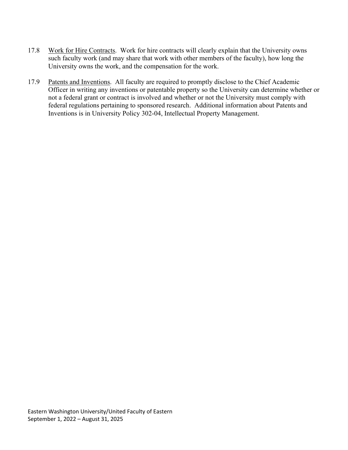- 17.8 Work for Hire Contracts. Work for hire contracts will clearly explain that the University owns such faculty work (and may share that work with other members of the faculty), how long the University owns the work, and the compensation for the work.
- 17.9 Patents and Inventions. All faculty are required to promptly disclose to the Chief Academic Officer in writing any inventions or patentable property so the University can determine whether or not a federal grant or contract is involved and whether or not the University must comply with federal regulations pertaining to sponsored research. Additional information about Patents and Inventions is in University Policy 302-04, Intellectual Property Management.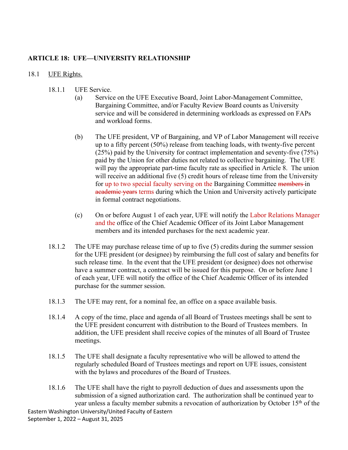## **ARTICLE 18: UFE—UNIVERSITY RELATIONSHIP**

## 18.1 UFE Rights.

- 18.1.1 UFE Service.
	- (a) Service on the UFE Executive Board, Joint Labor-Management Committee, Bargaining Committee, and/or Faculty Review Board counts as University service and will be considered in determining workloads as expressed on FAPs and workload forms.
		- (b) The UFE president, VP of Bargaining, and VP of Labor Management will receive up to a fifty percent (50%) release from teaching loads, with twenty-five percent (25%) paid by the University for contract implementation and seventy-five (75%) paid by the Union for other duties not related to collective bargaining. The UFE will pay the appropriate part-time faculty rate as specified in Article 8. The union will receive an additional five (5) credit hours of release time from the University for up to two special faculty serving on the Bargaining Committee members in academic years terms during which the Union and University actively participate in formal contract negotiations.
		- (c) On or before August 1 of each year, UFE will notify the Labor Relations Manager and the office of the Chief Academic Officer of its Joint Labor Management members and its intended purchases for the next academic year.
- 18.1.2 The UFE may purchase release time of up to five (5) credits during the summer session for the UFE president (or designee) by reimbursing the full cost of salary and benefits for such release time. In the event that the UFE president (or designee) does not otherwise have a summer contract, a contract will be issued for this purpose. On or before June 1 of each year, UFE will notify the office of the Chief Academic Officer of its intended purchase for the summer session.
- 18.1.3 The UFE may rent, for a nominal fee, an office on a space available basis.
- 18.1.4 A copy of the time, place and agenda of all Board of Trustees meetings shall be sent to the UFE president concurrent with distribution to the Board of Trustees members. In addition, the UFE president shall receive copies of the minutes of all Board of Trustee meetings.
- 18.1.5 The UFE shall designate a faculty representative who will be allowed to attend the regularly scheduled Board of Trustees meetings and report on UFE issues, consistent with the bylaws and procedures of the Board of Trustees.
- Eastern Washington University/United Faculty of Eastern 18.1.6 The UFE shall have the right to payroll deduction of dues and assessments upon the submission of a signed authorization card. The authorization shall be continued year to year unless a faculty member submits a revocation of authorization by October 15<sup>th</sup> of the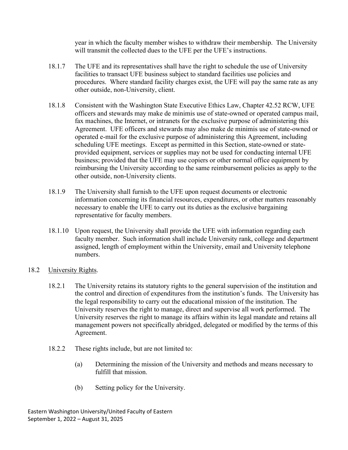year in which the faculty member wishes to withdraw their membership. The University will transmit the collected dues to the UFE per the UFE's instructions.

- 18.1.7 The UFE and its representatives shall have the right to schedule the use of University facilities to transact UFE business subject to standard facilities use policies and procedures. Where standard facility charges exist, the UFE will pay the same rate as any other outside, non-University, client.
- 18.1.8 Consistent with the Washington State Executive Ethics Law, Chapter 42.52 RCW, UFE officers and stewards may make de minimis use of state-owned or operated campus mail, fax machines, the Internet, or intranets for the exclusive purpose of administering this Agreement. UFE officers and stewards may also make de minimis use of state-owned or operated e-mail for the exclusive purpose of administering this Agreement, including scheduling UFE meetings. Except as permitted in this Section, state-owned or stateprovided equipment, services or supplies may not be used for conducting internal UFE business; provided that the UFE may use copiers or other normal office equipment by reimbursing the University according to the same reimbursement policies as apply to the other outside, non-University clients.
- 18.1.9 The University shall furnish to the UFE upon request documents or electronic information concerning its financial resources, expenditures, or other matters reasonably necessary to enable the UFE to carry out its duties as the exclusive bargaining representative for faculty members.
- 18.1.10 Upon request, the University shall provide the UFE with information regarding each faculty member. Such information shall include University rank, college and department assigned, length of employment within the University, email and University telephone numbers.
- 18.2 University Rights.
	- 18.2.1 The University retains its statutory rights to the general supervision of the institution and the control and direction of expenditures from the institution's funds. The University has the legal responsibility to carry out the educational mission of the institution. The University reserves the right to manage, direct and supervise all work performed. The University reserves the right to manage its affairs within its legal mandate and retains all management powers not specifically abridged, delegated or modified by the terms of this Agreement.
	- 18.2.2 These rights include, but are not limited to:
		- (a) Determining the mission of the University and methods and means necessary to fulfill that mission.
		- (b) Setting policy for the University.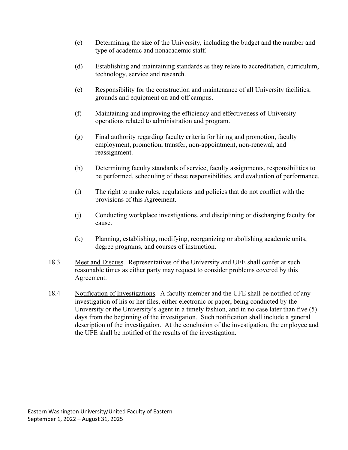- (c) Determining the size of the University, including the budget and the number and type of academic and nonacademic staff.
- (d) Establishing and maintaining standards as they relate to accreditation, curriculum, technology, service and research.
- (e) Responsibility for the construction and maintenance of all University facilities, grounds and equipment on and off campus.
- (f) Maintaining and improving the efficiency and effectiveness of University operations related to administration and program.
- (g) Final authority regarding faculty criteria for hiring and promotion, faculty employment, promotion, transfer, non-appointment, non-renewal, and reassignment.
- (h) Determining faculty standards of service, faculty assignments, responsibilities to be performed, scheduling of these responsibilities, and evaluation of performance.
- (i) The right to make rules, regulations and policies that do not conflict with the provisions of this Agreement.
- (j) Conducting workplace investigations, and disciplining or discharging faculty for cause.
- (k) Planning, establishing, modifying, reorganizing or abolishing academic units, degree programs, and courses of instruction.
- 18.3 Meet and Discuss. Representatives of the University and UFE shall confer at such reasonable times as either party may request to consider problems covered by this Agreement.
- 18.4 Notification of Investigations. A faculty member and the UFE shall be notified of any investigation of his or her files, either electronic or paper, being conducted by the University or the University's agent in a timely fashion, and in no case later than five (5) days from the beginning of the investigation. Such notification shall include a general description of the investigation. At the conclusion of the investigation, the employee and the UFE shall be notified of the results of the investigation.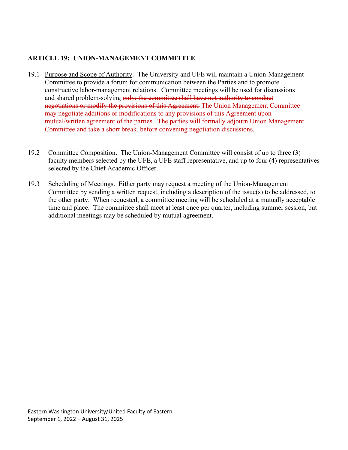### **ARTICLE 19: UNION-MANAGEMENT COMMITTEE**

- 19.1 Purpose and Scope of Authority. The University and UFE will maintain a Union-Management Committee to provide a forum for communication between the Parties and to promote constructive labor-management relations. Committee meetings will be used for discussions and shared problem-solving only; the committee shall have not authority to conduct negotiations or modify the provisions of this Agreement. The Union Management Committee may negotiate additions or modifications to any provisions of this Agreement upon mutual/written agreement of the parties. The parties will formally adjourn Union Management Committee and take a short break, before convening negotiation discussions.
- 19.2 Committee Composition. The Union-Management Committee will consist of up to three (3) faculty members selected by the UFE, a UFE staff representative, and up to four (4) representatives selected by the Chief Academic Officer.
- 19.3 Scheduling of Meetings. Either party may request a meeting of the Union-Management Committee by sending a written request, including a description of the issue(s) to be addressed, to the other party. When requested, a committee meeting will be scheduled at a mutually acceptable time and place. The committee shall meet at least once per quarter, including summer session, but additional meetings may be scheduled by mutual agreement.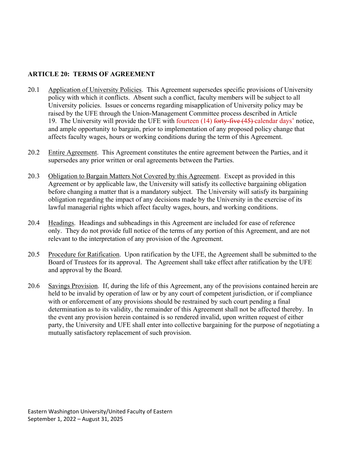### **ARTICLE 20: TERMS OF AGREEMENT**

- 20.1 Application of University Policies. This Agreement supersedes specific provisions of University policy with which it conflicts. Absent such a conflict, faculty members will be subject to all University policies. Issues or concerns regarding misapplication of University policy may be raised by the UFE through the Union-Management Committee process described in Article 19. The University will provide the UFE with fourteen (14) forty-five (45) calendar days' notice, and ample opportunity to bargain, prior to implementation of any proposed policy change that affects faculty wages, hours or working conditions during the term of this Agreement.
- 20.2 Entire Agreement. This Agreement constitutes the entire agreement between the Parties, and it supersedes any prior written or oral agreements between the Parties.
- 20.3 Obligation to Bargain Matters Not Covered by this Agreement. Except as provided in this Agreement or by applicable law, the University will satisfy its collective bargaining obligation before changing a matter that is a mandatory subject. The University will satisfy its bargaining obligation regarding the impact of any decisions made by the University in the exercise of its lawful managerial rights which affect faculty wages, hours, and working conditions.
- 20.4 Headings. Headings and subheadings in this Agreement are included for ease of reference only. They do not provide full notice of the terms of any portion of this Agreement, and are not relevant to the interpretation of any provision of the Agreement.
- 20.5 Procedure for Ratification. Upon ratification by the UFE, the Agreement shall be submitted to the Board of Trustees for its approval. The Agreement shall take effect after ratification by the UFE and approval by the Board.
- 20.6 Savings Provision. If, during the life of this Agreement, any of the provisions contained herein are held to be invalid by operation of law or by any court of competent jurisdiction, or if compliance with or enforcement of any provisions should be restrained by such court pending a final determination as to its validity, the remainder of this Agreement shall not be affected thereby. In the event any provision herein contained is so rendered invalid, upon written request of either party, the University and UFE shall enter into collective bargaining for the purpose of negotiating a mutually satisfactory replacement of such provision.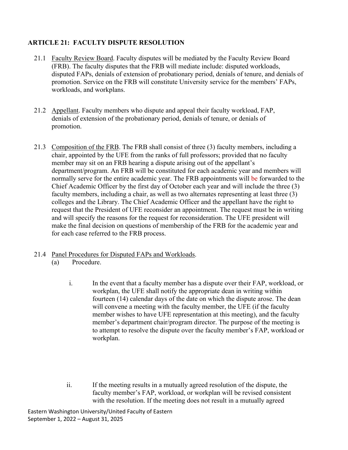# **ARTICLE 21: FACULTY DISPUTE RESOLUTION**

- 21.1 Faculty Review Board. Faculty disputes will be mediated by the Faculty Review Board (FRB). The faculty disputes that the FRB will mediate include: disputed workloads, disputed FAPs, denials of extension of probationary period, denials of tenure, and denials of promotion. Service on the FRB will constitute University service for the members' FAPs, workloads, and workplans.
- 21.2 Appellant. Faculty members who dispute and appeal their faculty workload, FAP, denials of extension of the probationary period, denials of tenure, or denials of promotion.
- 21.3 Composition of the FRB. The FRB shall consist of three (3) faculty members, including a chair, appointed by the UFE from the ranks of full professors; provided that no faculty member may sit on an FRB hearing a dispute arising out of the appellant's department/program. An FRB will be constituted for each academic year and members will normally serve for the entire academic year. The FRB appointments will be forwarded to the Chief Academic Officer by the first day of October each year and will include the three (3) faculty members, including a chair, as well as two alternates representing at least three (3) colleges and the Library. The Chief Academic Officer and the appellant have the right to request that the President of UFE reconsider an appointment. The request must be in writing and will specify the reasons for the request for reconsideration. The UFE president will make the final decision on questions of membership of the FRB for the academic year and for each case referred to the FRB process.
- 21.4 Panel Procedures for Disputed FAPs and Workloads.
	- (a) Procedure.
		- i. In the event that a faculty member has a dispute over their FAP, workload, or workplan, the UFE shall notify the appropriate dean in writing within fourteen (14) calendar days of the date on which the dispute arose. The dean will convene a meeting with the faculty member, the UFE (if the faculty member wishes to have UFE representation at this meeting), and the faculty member's department chair/program director. The purpose of the meeting is to attempt to resolve the dispute over the faculty member's FAP, workload or workplan.
		- ii. If the meeting results in a mutually agreed resolution of the dispute, the faculty member's FAP, workload, or workplan will be revised consistent with the resolution. If the meeting does not result in a mutually agreed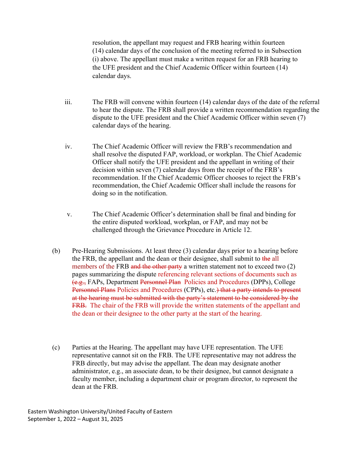resolution, the appellant may request and FRB hearing within fourteen (14) calendar days of the conclusion of the meeting referred to in Subsection (i) above. The appellant must make a written request for an FRB hearing to the UFE president and the Chief Academic Officer within fourteen (14) calendar days.

- iii. The FRB will convene within fourteen (14) calendar days of the date of the referral to hear the dispute. The FRB shall provide a written recommendation regarding the dispute to the UFE president and the Chief Academic Officer within seven (7) calendar days of the hearing.
- iv. The Chief Academic Officer will review the FRB's recommendation and shall resolve the disputed FAP, workload, or workplan. The Chief Academic Officer shall notify the UFE president and the appellant in writing of their decision within seven (7) calendar days from the receipt of the FRB's recommendation. If the Chief Academic Officer chooses to reject the FRB's recommendation, the Chief Academic Officer shall include the reasons for doing so in the notification.
- v. The Chief Academic Officer's determination shall be final and binding for the entire disputed workload, workplan, or FAP, and may not be challenged through the Grievance Procedure in Article 12.
- (b) Pre-Hearing Submissions. At least three (3) calendar days prior to a hearing before the FRB, the appellant and the dean or their designee, shall submit to the all members of the FRB and the other party a written statement not to exceed two (2) pages summarizing the dispute referencing relevant sections of documents such as (e.g., FAPs, Department Personnel Plan Policies and Procedures (DPPs), College Personnel Plans Policies and Procedures (CPPs), etc.) that a party intends to present at the hearing must be submitted with the party's statement to be considered by the FRB. The chair of the FRB will provide the written statements of the appellant and the dean or their designee to the other party at the start of the hearing.
- (c) Parties at the Hearing. The appellant may have UFE representation. The UFE representative cannot sit on the FRB. The UFE representative may not address the FRB directly, but may advise the appellant. The dean may designate another administrator, e.g., an associate dean, to be their designee, but cannot designate a faculty member, including a department chair or program director, to represent the dean at the FRB.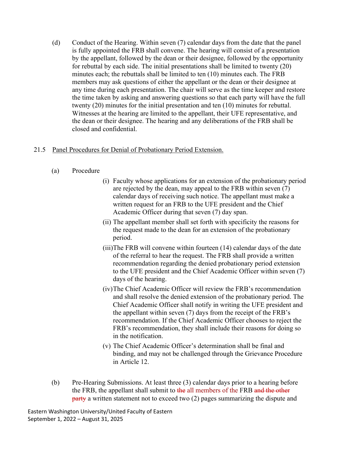(d) Conduct of the Hearing. Within seven (7) calendar days from the date that the panel is fully appointed the FRB shall convene. The hearing will consist of a presentation by the appellant, followed by the dean or their designee, followed by the opportunity for rebuttal by each side. The initial presentations shall be limited to twenty (20) minutes each; the rebuttals shall be limited to ten (10) minutes each. The FRB members may ask questions of either the appellant or the dean or their designee at any time during each presentation. The chair will serve as the time keeper and restore the time taken by asking and answering questions so that each party will have the full twenty (20) minutes for the initial presentation and ten (10) minutes for rebuttal. Witnesses at the hearing are limited to the appellant, their UFE representative, and the dean or their designee. The hearing and any deliberations of the FRB shall be closed and confidential.

### 21.5 Panel Procedures for Denial of Probationary Period Extension.

- (a) Procedure
- (i) Faculty whose applications for an extension of the probationary period are rejected by the dean, may appeal to the FRB within seven (7) calendar days of receiving such notice. The appellant must make a written request for an FRB to the UFE president and the Chief Academic Officer during that seven (7) day span.
- (ii) The appellant member shall set forth with specificity the reasons for the request made to the dean for an extension of the probationary period.
- (iii)The FRB will convene within fourteen (14) calendar days of the date of the referral to hear the request. The FRB shall provide a written recommendation regarding the denied probationary period extension to the UFE president and the Chief Academic Officer within seven (7) days of the hearing.
- (iv)The Chief Academic Officer will review the FRB's recommendation and shall resolve the denied extension of the probationary period. The Chief Academic Officer shall notify in writing the UFE president and the appellant within seven (7) days from the receipt of the FRB's recommendation. If the Chief Academic Officer chooses to reject the FRB's recommendation, they shall include their reasons for doing so in the notification.
- (v) The Chief Academic Officer's determination shall be final and binding, and may not be challenged through the Grievance Procedure in Article 12.
- (b) Pre-Hearing Submissions. At least three (3) calendar days prior to a hearing before the FRB, the appellant shall submit to the all members of the FRB and the other party a written statement not to exceed two (2) pages summarizing the dispute and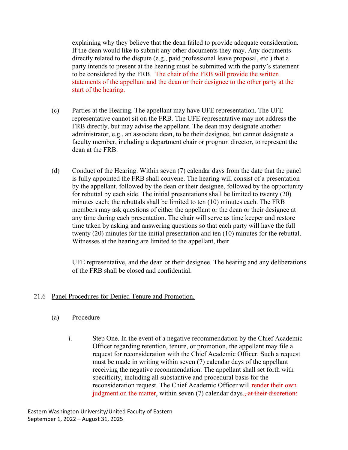explaining why they believe that the dean failed to provide adequate consideration. If the dean would like to submit any other documents they may. Any documents directly related to the dispute (e.g., paid professional leave proposal, etc.) that a party intends to present at the hearing must be submitted with the party's statement to be considered by the FRB. The chair of the FRB will provide the written statements of the appellant and the dean or their designee to the other party at the start of the hearing.

- (c) Parties at the Hearing. The appellant may have UFE representation. The UFE representative cannot sit on the FRB. The UFE representative may not address the FRB directly, but may advise the appellant. The dean may designate another administrator, e.g., an associate dean, to be their designee, but cannot designate a faculty member, including a department chair or program director, to represent the dean at the FRB.
- (d) Conduct of the Hearing. Within seven (7) calendar days from the date that the panel is fully appointed the FRB shall convene. The hearing will consist of a presentation by the appellant, followed by the dean or their designee, followed by the opportunity for rebuttal by each side. The initial presentations shall be limited to twenty (20) minutes each; the rebuttals shall be limited to ten (10) minutes each. The FRB members may ask questions of either the appellant or the dean or their designee at any time during each presentation. The chair will serve as time keeper and restore time taken by asking and answering questions so that each party will have the full twenty (20) minutes for the initial presentation and ten (10) minutes for the rebuttal. Witnesses at the hearing are limited to the appellant, their

UFE representative, and the dean or their designee. The hearing and any deliberations of the FRB shall be closed and confidential.

### 21.6 Panel Procedures for Denied Tenure and Promotion.

- (a) Procedure
	- i. Step One. In the event of a negative recommendation by the Chief Academic Officer regarding retention, tenure, or promotion, the appellant may file a request for reconsideration with the Chief Academic Officer. Such a request must be made in writing within seven (7) calendar days of the appellant receiving the negative recommendation. The appellant shall set forth with specificity, including all substantive and procedural basis for the reconsideration request. The Chief Academic Officer will render their own judgment on the matter, within seven  $(7)$  calendar days., at their discretion: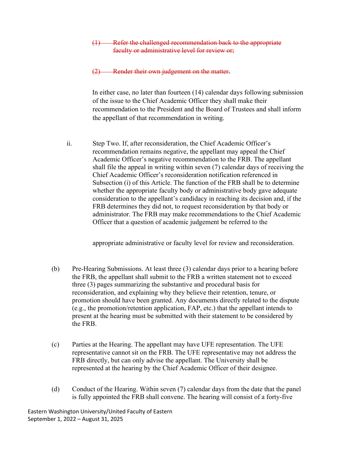### (1) Refer the challenged recommendation back to the appropriate faculty or administrative level for review or;

### (2) Render their own judgement on the matter.

In either case, no later than fourteen (14) calendar days following submission of the issue to the Chief Academic Officer they shall make their recommendation to the President and the Board of Trustees and shall inform the appellant of that recommendation in writing.

ii. Step Two. If, after reconsideration, the Chief Academic Officer's recommendation remains negative, the appellant may appeal the Chief Academic Officer's negative recommendation to the FRB. The appellant shall file the appeal in writing within seven (7) calendar days of receiving the Chief Academic Officer's reconsideration notification referenced in Subsection (i) of this Article. The function of the FRB shall be to determine whether the appropriate faculty body or administrative body gave adequate consideration to the appellant's candidacy in reaching its decision and, if the FRB determines they did not, to request reconsideration by that body or administrator. The FRB may make recommendations to the Chief Academic Officer that a question of academic judgement be referred to the

appropriate administrative or faculty level for review and reconsideration.

- (b) Pre-Hearing Submissions. At least three (3) calendar days prior to a hearing before the FRB, the appellant shall submit to the FRB a written statement not to exceed three (3) pages summarizing the substantive and procedural basis for reconsideration, and explaining why they believe their retention, tenure, or promotion should have been granted. Any documents directly related to the dispute (e.g., the promotion/retention application, FAP, etc.) that the appellant intends to present at the hearing must be submitted with their statement to be considered by the FRB.
- (c) Parties at the Hearing. The appellant may have UFE representation. The UFE representative cannot sit on the FRB. The UFE representative may not address the FRB directly, but can only advise the appellant. The University shall be represented at the hearing by the Chief Academic Officer of their designee.
- (d) Conduct of the Hearing. Within seven (7) calendar days from the date that the panel is fully appointed the FRB shall convene. The hearing will consist of a forty-five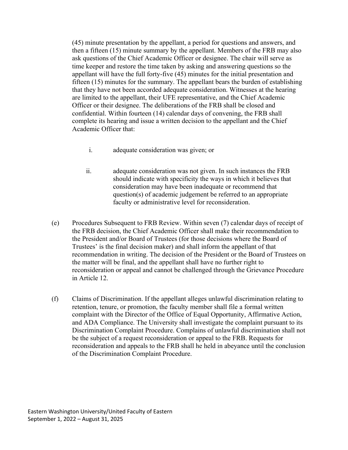(45) minute presentation by the appellant, a period for questions and answers, and then a fifteen (15) minute summary by the appellant. Members of the FRB may also ask questions of the Chief Academic Officer or designee. The chair will serve as time keeper and restore the time taken by asking and answering questions so the appellant will have the full forty-five (45) minutes for the initial presentation and fifteen (15) minutes for the summary. The appellant bears the burden of establishing that they have not been accorded adequate consideration. Witnesses at the hearing are limited to the appellant, their UFE representative, and the Chief Academic Officer or their designee. The deliberations of the FRB shall be closed and confidential. Within fourteen (14) calendar days of convening, the FRB shall complete its hearing and issue a written decision to the appellant and the Chief Academic Officer that:

- i. adequate consideration was given; or
- ii. adequate consideration was not given. In such instances the FRB should indicate with specificity the ways in which it believes that consideration may have been inadequate or recommend that question(s) of academic judgement be referred to an appropriate faculty or administrative level for reconsideration.
- (e) Procedures Subsequent to FRB Review. Within seven (7) calendar days of receipt of the FRB decision, the Chief Academic Officer shall make their recommendation to the President and/or Board of Trustees (for those decisions where the Board of Trustees' is the final decision maker) and shall inform the appellant of that recommendation in writing. The decision of the President or the Board of Trustees on the matter will be final, and the appellant shall have no further right to reconsideration or appeal and cannot be challenged through the Grievance Procedure in Article 12.
- (f) Claims of Discrimination. If the appellant alleges unlawful discrimination relating to retention, tenure, or promotion, the faculty member shall file a formal written complaint with the Director of the Office of Equal Opportunity, Affirmative Action, and ADA Compliance. The University shall investigate the complaint pursuant to its Discrimination Complaint Procedure. Complains of unlawful discrimination shall not be the subject of a request reconsideration or appeal to the FRB. Requests for reconsideration and appeals to the FRB shall he held in abeyance until the conclusion of the Discrimination Complaint Procedure.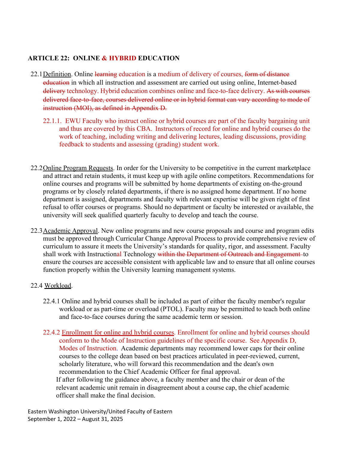## **ARTICLE 22: ONLINE & HYBRID EDUCATION**

- 22.1 Definition. Online learning education is a medium of delivery of courses, form of distance education in which all instruction and assessment are carried out using online, Internet-based delivery technology. Hybrid education combines online and face-to-face delivery. As with courses delivered face-to-face, courses delivered online or in hybrid format can vary according to mode of instruction (MOI), as defined in Appendix D.
	- 22.1.1. EWU Faculty who instruct online or hybrid courses are part of the faculty bargaining unit and thus are covered by this CBA. Instructors of record for online and hybrid courses do the work of teaching, including writing and delivering lectures, leading discussions, providing feedback to students and assessing (grading) student work.
- 22.2Online Program Requests. In order for the University to be competitive in the current marketplace and attract and retain students, it must keep up with agile online competitors. Recommendations for online courses and programs will be submitted by home departments of existing on-the-ground programs or by closely related departments, if there is no assigned home department. If no home department is assigned, departments and faculty with relevant expertise will be given right of first refusal to offer courses or programs. Should no department or faculty be interested or available, the university will seek qualified quarterly faculty to develop and teach the course.
- 22.3 Academic Approval. New online programs and new course proposals and course and program edits must be approved through Curricular Change Approval Process to provide comprehensive review of curriculum to assure it meets the University's standards for quality, rigor, and assessment. Faculty shall work with Instructional Technology within the Department of Outreach and Engagement to ensure the courses are accessible consistent with applicable law and to ensure that all online courses function properly within the University learning management systems.

## 22.4 Workload.

- 22.4.1 Online and hybrid courses shall be included as part of either the faculty member's regular workload or as part-time or overload (PTOL). Faculty may be permitted to teach both online and face-to-face courses during the same academic term or session.
- 22.4.2 Enrollment for online and hybrid courses. Enrollment for online and hybrid courses should conform to the Mode of Instruction guidelines of the specific course. See Appendix D, Modes of Instruction. Academic departments may recommend lower caps for their online courses to the college dean based on best practices articulated in peer-reviewed, current, scholarly literature, who will forward this recommendation and the dean's own recommendation to the Chief Academic Officer for final approval. If after following the guidance above, a faculty member and the chair or dean of the relevant academic unit remain in disagreement about a course cap, the chief academic officer shall make the final decision.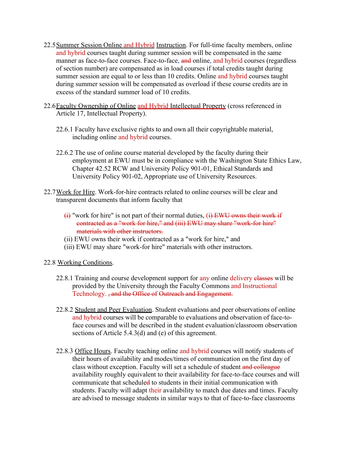- 22.5 Summer Session Online and Hybrid Instruction. For full-time faculty members, online and hybrid courses taught during summer session will be compensated in the same manner as face-to-face courses. Face-to-face, and online, and hybrid courses (regardless of section number) are compensated as in load courses if total credits taught during summer session are equal to or less than 10 credits. Online and hybrid courses taught during summer session will be compensated as overload if these course credits are in excess of the standard summer load of 10 credits.
- 22.6Faculty Ownership of Online and Hybrid Intellectual Property (cross referenced in Article 17, Intellectual Property).
	- 22.6.1 Faculty have exclusive rights to and own all their copyrightable material, including online and hybrid courses.
	- 22.6.2 The use of online course material developed by the faculty during their employment at EWU must be in compliance with the Washington State Ethics Law, Chapter 42.52 RCW and University Policy 901-01, Ethical Standards and University Policy 901-02, Appropriate use of University Resources.
- 22.7 Work for Hire. Work-for-hire contracts related to online courses will be clear and transparent documents that inform faculty that
	- $\overrightarrow{(i)}$  "work for hire" is not part of their normal duties,  $\overrightarrow{(i)}$  EWU owns their work if contracted as a "work for hire," and (iii) EWU may share "work-for hire" materials with other instructors.
	- (ii) EWU owns their work if contracted as a "work for hire," and
	- (iii) EWU may share "work-for hire" materials with other instructors.
- 22.8 Working Conditions.
	- 22.8.1 Training and course development support for any online delivery elasses will be provided by the University through the Faculty Commons and Instructional Technology. , and the Office of Outreach and Engagement.
	- 22.8.2 Student and Peer Evaluation. Student evaluations and peer observations of online and hybrid courses will be comparable to evaluations and observation of face-toface courses and will be described in the student evaluation/classroom observation sections of Article 5.4.3(d) and (e) of this agreement.
	- 22.8.3 Office Hours. Faculty teaching online and hybrid courses will notify students of their hours of availability and modes/times of communication on the first day of class without exception. Faculty will set a schedule of student and colleague availability roughly equivalent to their availability for face-to-face courses and will communicate that scheduled to students in their initial communication with students. Faculty will adapt their availability to match due dates and times. Faculty are advised to message students in similar ways to that of face-to-face classrooms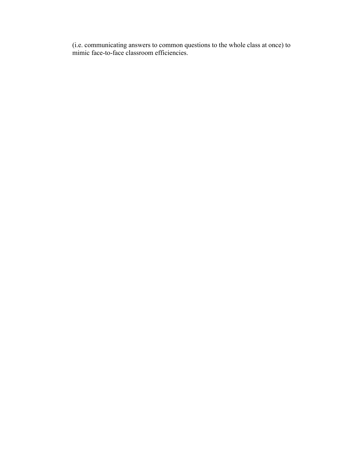(i.e. communicating answers to common questions to the whole class at once) to mimic face-to-face classroom efficiencies.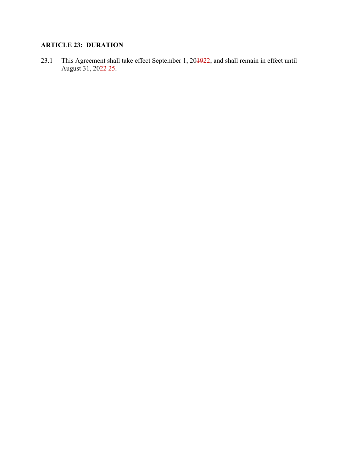# **ARTICLE 23: DURATION**

23.1 This Agreement shall take effect September 1, 20<del>19</del>22, and shall remain in effect until August 31, 20<del>22</del> 25.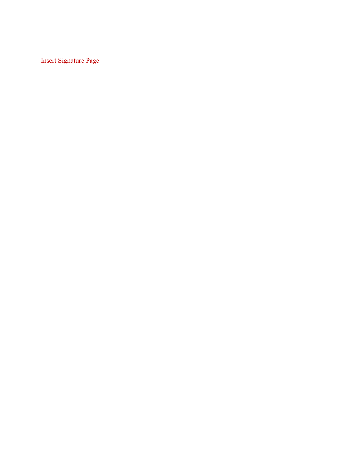Insert Signature Page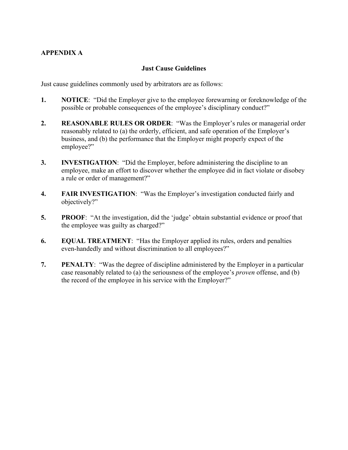## **APPENDIX A**

#### **Just Cause Guidelines**

Just cause guidelines commonly used by arbitrators are as follows:

- **1. NOTICE**: "Did the Employer give to the employee forewarning or foreknowledge of the possible or probable consequences of the employee's disciplinary conduct?"
- **2. REASONABLE RULES OR ORDER**: "Was the Employer's rules or managerial order reasonably related to (a) the orderly, efficient, and safe operation of the Employer's business, and (b) the performance that the Employer might properly expect of the employee?"
- **3. INVESTIGATION**: "Did the Employer, before administering the discipline to an employee, make an effort to discover whether the employee did in fact violate or disobey a rule or order of management?"
- **4. FAIR INVESTIGATION**: "Was the Employer's investigation conducted fairly and objectively?"
- **5. PROOF**: "At the investigation, did the 'judge' obtain substantial evidence or proof that the employee was guilty as charged?"
- **6. EQUAL TREATMENT**: "Has the Employer applied its rules, orders and penalties even-handedly and without discrimination to all employees?"
- **7. PENALTY**: "Was the degree of discipline administered by the Employer in a particular case reasonably related to (a) the seriousness of the employee's *proven* offense, and (b) the record of the employee in his service with the Employer?"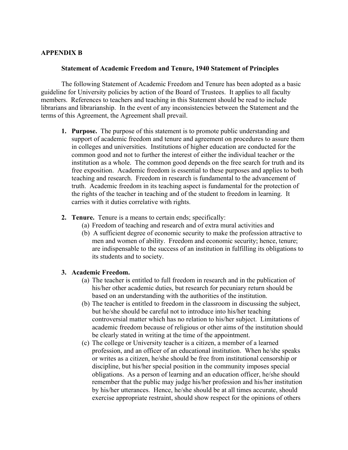#### **APPENDIX B**

#### **Statement of Academic Freedom and Tenure, 1940 Statement of Principles**

The following Statement of Academic Freedom and Tenure has been adopted as a basic guideline for University policies by action of the Board of Trustees. It applies to all faculty members. References to teachers and teaching in this Statement should be read to include librarians and librarianship. In the event of any inconsistencies between the Statement and the terms of this Agreement, the Agreement shall prevail.

- **1. Purpose.** The purpose of this statement is to promote public understanding and support of academic freedom and tenure and agreement on procedures to assure them in colleges and universities. Institutions of higher education are conducted for the common good and not to further the interest of either the individual teacher or the institution as a whole. The common good depends on the free search for truth and its free exposition. Academic freedom is essential to these purposes and applies to both teaching and research. Freedom in research is fundamental to the advancement of truth. Academic freedom in its teaching aspect is fundamental for the protection of the rights of the teacher in teaching and of the student to freedom in learning. It carries with it duties correlative with rights.
- **2. Tenure.** Tenure is a means to certain ends; specifically:
	- (a) Freedom of teaching and research and of extra mural activities and
	- (b) A sufficient degree of economic security to make the profession attractive to men and women of ability. Freedom and economic security; hence, tenure; are indispensable to the success of an institution in fulfilling its obligations to its students and to society.

#### **3. Academic Freedom.**

- (a) The teacher is entitled to full freedom in research and in the publication of his/her other academic duties, but research for pecuniary return should be based on an understanding with the authorities of the institution.
- (b) The teacher is entitled to freedom in the classroom in discussing the subject, but he/she should be careful not to introduce into his/her teaching controversial matter which has no relation to his/her subject. Limitations of academic freedom because of religious or other aims of the institution should be clearly stated in writing at the time of the appointment.
- (c) The college or University teacher is a citizen, a member of a learned profession, and an officer of an educational institution. When he/she speaks or writes as a citizen, he/she should be free from institutional censorship or discipline, but his/her special position in the community imposes special obligations. As a person of learning and an education officer, he/she should remember that the public may judge his/her profession and his/her institution by his/her utterances. Hence, he/she should be at all times accurate, should exercise appropriate restraint, should show respect for the opinions of others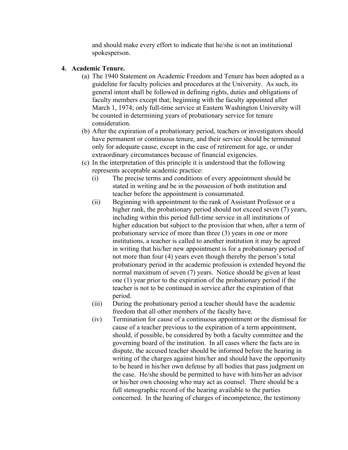and should make every effort to indicate that he/she is not an institutional spokesperson.

### **4. Academic Tenure.**

- (a) The 1940 Statement on Academic Freedom and Tenure has been adopted as a guideline for faculty policies and procedures at the University. As such, its general intent shall be followed in defining rights, duties and obligations of faculty members except that; beginning with the faculty appointed after March 1, 1974; only full-time service at Eastern Washington University will be counted in determining years of probationary service for tenure consideration.
- (b) After the expiration of a probationary period, teachers or investigators should have permanent or continuous tenure, and their service should be terminated only for adequate cause, except in the case of retirement for age, or under extraordinary circumstances because of financial exigencies.
- (c) In the interpretation of this principle it is understood that the following represents acceptable academic practice:
	- (i) The precise terms and conditions of every appointment should be stated in writing and be in the possession of both institution and teacher before the appointment is consummated.
	- (ii) Beginning with appointment to the rank of Assistant Professor or a higher rank, the probationary period should not exceed seven (7) years, including within this period full-time service in all institutions of higher education but subject to the provision that when, after a term of probationary service of more than three (3) years in one or more institutions, a teacher is called to another institution it may be agreed in writing that his/her new appointment is for a probationary period of not more than four (4) years even though thereby the person's total probationary period in the academic profession is extended beyond the normal maximum of seven (7) years. Notice should be given at least one (1) year prior to the expiration of the probationary period if the teacher is not to be continued in service after the expiration of that period.
	- (iii) During the probationary period a teacher should have the academic freedom that all other members of the faculty have.
	- (iv) Termination for cause of a continuous appointment or the dismissal for cause of a teacher previous to the expiration of a term appointment, should, if possible, be considered by both a faculty committee and the governing board of the institution. In all cases where the facts are in dispute, the accused teacher should be informed before the hearing in writing of the charges against him/her and should have the opportunity to be heard in his/her own defense by all bodies that pass judgment on the case. He/she should be permitted to have with him/her an advisor or his/her own choosing who may act as counsel. There should be a full stenographic record of the hearing available to the parties concerned. In the hearing of charges of incompetence, the testimony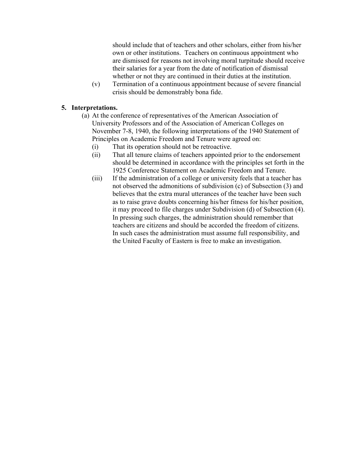should include that of teachers and other scholars, either from his/her own or other institutions. Teachers on continuous appointment who are dismissed for reasons not involving moral turpitude should receive their salaries for a year from the date of notification of dismissal whether or not they are continued in their duties at the institution.

(v) Termination of a continuous appointment because of severe financial crisis should be demonstrably bona fide.

#### **5. Interpretations.**

- (a) At the conference of representatives of the American Association of University Professors and of the Association of American Colleges on November 7-8, 1940, the following interpretations of the 1940 Statement of Principles on Academic Freedom and Tenure were agreed on:
	- (i) That its operation should not be retroactive.
	- (ii) That all tenure claims of teachers appointed prior to the endorsement should be determined in accordance with the principles set forth in the 1925 Conference Statement on Academic Freedom and Tenure.
	- (iii) If the administration of a college or university feels that a teacher has not observed the admonitions of subdivision (c) of Subsection (3) and believes that the extra mural utterances of the teacher have been such as to raise grave doubts concerning his/her fitness for his/her position, it may proceed to file charges under Subdivision (d) of Subsection (4). In pressing such charges, the administration should remember that teachers are citizens and should be accorded the freedom of citizens. In such cases the administration must assume full responsibility, and the United Faculty of Eastern is free to make an investigation.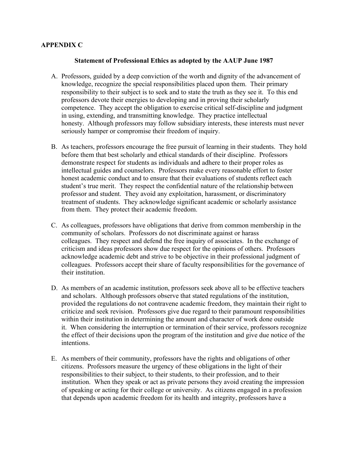#### **APPENDIX C**

#### **Statement of Professional Ethics as adopted by the AAUP June 1987**

- A. Professors, guided by a deep conviction of the worth and dignity of the advancement of knowledge, recognize the special responsibilities placed upon them. Their primary responsibility to their subject is to seek and to state the truth as they see it. To this end professors devote their energies to developing and in proving their scholarly competence. They accept the obligation to exercise critical self-discipline and judgment in using, extending, and transmitting knowledge. They practice intellectual honesty. Although professors may follow subsidiary interests, these interests must never seriously hamper or compromise their freedom of inquiry.
- B. As teachers, professors encourage the free pursuit of learning in their students. They hold before them that best scholarly and ethical standards of their discipline. Professors demonstrate respect for students as individuals and adhere to their proper roles as intellectual guides and counselors. Professors make every reasonable effort to foster honest academic conduct and to ensure that their evaluations of students reflect each student's true merit. They respect the confidential nature of the relationship between professor and student. They avoid any exploitation, harassment, or discriminatory treatment of students. They acknowledge significant academic or scholarly assistance from them. They protect their academic freedom.
- C. As colleagues, professors have obligations that derive from common membership in the community of scholars. Professors do not discriminate against or harass colleagues. They respect and defend the free inquiry of associates. In the exchange of criticism and ideas professors show due respect for the opinions of others. Professors acknowledge academic debt and strive to be objective in their professional judgment of colleagues. Professors accept their share of faculty responsibilities for the governance of their institution.
- D. As members of an academic institution, professors seek above all to be effective teachers and scholars. Although professors observe that stated regulations of the institution, provided the regulations do not contravene academic freedom, they maintain their right to criticize and seek revision. Professors give due regard to their paramount responsibilities within their institution in determining the amount and character of work done outside it. When considering the interruption or termination of their service, professors recognize the effect of their decisions upon the program of the institution and give due notice of the intentions.
- E. As members of their community, professors have the rights and obligations of other citizens. Professors measure the urgency of these obligations in the light of their responsibilities to their subject, to their students, to their profession, and to their institution. When they speak or act as private persons they avoid creating the impression of speaking or acting for their college or university. As citizens engaged in a profession that depends upon academic freedom for its health and integrity, professors have a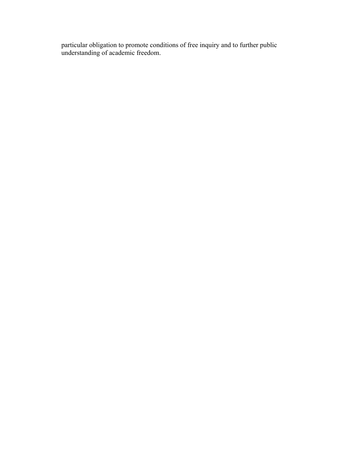particular obligation to promote conditions of free inquiry and to further public understanding of academic freedom.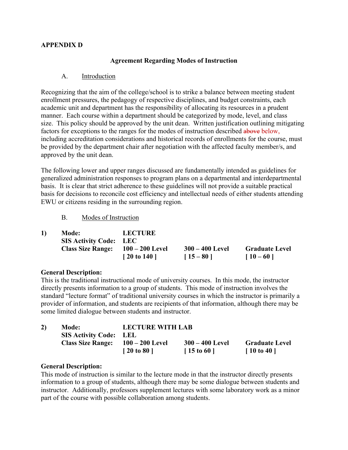# **APPENDIX D**

## **Agreement Regarding Modes of Instruction**

### A. Introduction

Recognizing that the aim of the college/school is to strike a balance between meeting student enrollment pressures, the pedagogy of respective disciplines, and budget constraints, each academic unit and department has the responsibility of allocating its resources in a prudent manner. Each course within a department should be categorized by mode, level, and class size. This policy should be approved by the unit dean. Written justification outlining mitigating factors for exceptions to the ranges for the modes of instruction described above below, including accreditation considerations and historical records of enrollments for the course, must be provided by the department chair after negotiation with the affected faculty member/s, and approved by the unit dean.

The following lower and upper ranges discussed are fundamentally intended as guidelines for generalized administration responses to program plans on a departmental and interdepartmental basis. It is clear that strict adherence to these guidelines will not provide a suitable practical basis for decisions to reconcile cost efficiency and intellectual needs of either students attending EWU or citizens residing in the surrounding region.

B. Modes of Instruction

| 1) | Mode:                             | <b>LECTURE</b> |                   |                       |
|----|-----------------------------------|----------------|-------------------|-----------------------|
|    | <b>SIS Activity Code: LEC</b>     |                |                   |                       |
|    | Class Size Range: 100 – 200 Level |                | $300 - 400$ Level | <b>Graduate Level</b> |
|    |                                   | [ 20 to 140 ]  | $[15 - 80]$       | $[10 - 60]$           |

### **General Description:**

This is the traditional instructional mode of university courses. In this mode, the instructor directly presents information to a group of students. This mode of instruction involves the standard "lecture format" of traditional university courses in which the instructor is primarily a provider of information, and students are recipients of that information, although there may be some limited dialogue between students and instructor.

| 2) | Mode:                               | <b>LECTURE WITH LAB</b> |                       |                       |  |
|----|-------------------------------------|-------------------------|-----------------------|-----------------------|--|
|    | <b>SIS Activity Code: LEL</b>       |                         |                       |                       |  |
|    | Class Size Range: $100 - 200$ Level |                         | $300 - 400$ Level     | <b>Graduate Level</b> |  |
|    |                                     | [ 20 to 80 ]            | $[15 \text{ to } 60]$ | $[10 \text{ to } 40]$ |  |

#### **General Description:**

This mode of instruction is similar to the lecture mode in that the instructor directly presents information to a group of students, although there may be some dialogue between students and instructor. Additionally, professors supplement lectures with some laboratory work as a minor part of the course with possible collaboration among students.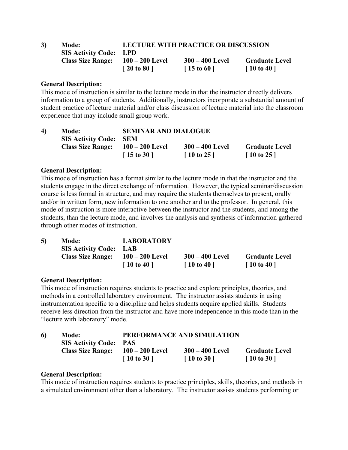| 3) | <b>Mode:</b>                        | <b>LECTURE WITH PRACTICE OR DISCUSSION</b> |                       |                       |  |
|----|-------------------------------------|--------------------------------------------|-----------------------|-----------------------|--|
|    | <b>SIS Activity Code: LPD</b>       |                                            |                       |                       |  |
|    | Class Size Range: $100 - 200$ Level |                                            | $300 - 400$ Level     | <b>Graduate Level</b> |  |
|    |                                     | $[20 \text{ to } 80]$                      | $[15 \text{ to } 60]$ | $[10 \text{ to } 40]$ |  |

### **General Description:**

This mode of instruction is similar to the lecture mode in that the instructor directly delivers information to a group of students. Additionally, instructors incorporate a substantial amount of student practice of lecture material and/or class discussion of lecture material into the classroom experience that may include small group work.

| 4) | <b>Mode:</b>                      | <b>SEMINAR AND DIALOGUE</b> |                       |                       |
|----|-----------------------------------|-----------------------------|-----------------------|-----------------------|
|    | <b>SIS Activity Code: SEM</b>     |                             |                       |                       |
|    | Class Size Range: 100 – 200 Level |                             | $300 - 400$ Level     | <b>Graduate Level</b> |
|    |                                   | $[15 \text{ to } 30]$       | $[10 \text{ to } 25]$ | $[10 \text{ to } 25]$ |

#### **General Description:**

This mode of instruction has a format similar to the lecture mode in that the instructor and the students engage in the direct exchange of information. However, the typical seminar/discussion course is less formal in structure, and may require the students themselves to present, orally and/or in written form, new information to one another and to the professor. In general, this mode of instruction is more interactive between the instructor and the students, and among the students, than the lecture mode, and involves the analysis and synthesis of information gathered through other modes of instruction.

| 5) | Mode:                             | <b>LABORATORY</b>     |                       |                       |
|----|-----------------------------------|-----------------------|-----------------------|-----------------------|
|    | <b>SIS Activity Code: LAB</b>     |                       |                       |                       |
|    | Class Size Range: 100 – 200 Level |                       | $300 - 400$ Level     | <b>Graduate Level</b> |
|    |                                   | $[10 \text{ to } 40]$ | $[10 \text{ to } 40]$ | $[10 \text{ to } 40]$ |

### **General Description:**

This mode of instruction requires students to practice and explore principles, theories, and methods in a controlled laboratory environment. The instructor assists students in using instrumentation specific to a discipline and helps students acquire applied skills. Students receive less direction from the instructor and have more independence in this mode than in the "lecture with laboratory" mode.

| 6 | <b>Mode:</b>                      | PERFORMANCE AND SIMULATION |                       |                       |  |
|---|-----------------------------------|----------------------------|-----------------------|-----------------------|--|
|   | <b>SIS Activity Code: PAS</b>     |                            |                       |                       |  |
|   | Class Size Range: 100 – 200 Level |                            | $300 - 400$ Level     | <b>Graduate Level</b> |  |
|   |                                   | $[10 \text{ to } 30]$      | $[10 \text{ to } 30]$ | $[10 \text{ to } 30]$ |  |

### **General Description:**

This mode of instruction requires students to practice principles, skills, theories, and methods in a simulated environment other than a laboratory. The instructor assists students performing or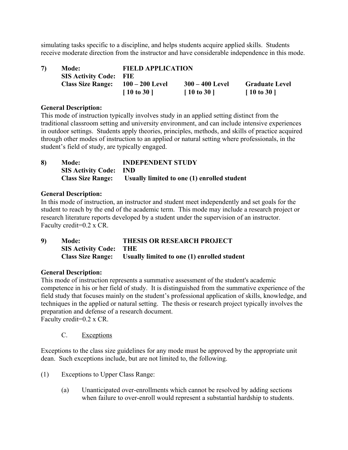simulating tasks specific to a discipline, and helps students acquire applied skills. Students receive moderate direction from the instructor and have considerable independence in this mode.

| 7) | Mode:                               | <b>FIELD APPLICATION</b> |                       |                       |
|----|-------------------------------------|--------------------------|-----------------------|-----------------------|
|    | <b>SIS Activity Code: FIE</b>       |                          |                       |                       |
|    | Class Size Range: $100 - 200$ Level |                          | $300 - 400$ Level     | <b>Graduate Level</b> |
|    |                                     | [10 to 30 ]              | $[10 \text{ to } 30]$ | $[10 \text{ to } 30]$ |

## **General Description:**

This mode of instruction typically involves study in an applied setting distinct from the traditional classroom setting and university environment, and can include intensive experiences in outdoor settings. Students apply theories, principles, methods, and skills of practice acquired through other modes of instruction to an applied or natural setting where professionals, in the student's field of study, are typically engaged.

| 8) | Mode:                         | <b>INDEPENDENT STUDY</b>                                      |
|----|-------------------------------|---------------------------------------------------------------|
|    | <b>SIS Activity Code: IND</b> |                                                               |
|    |                               | Class Size Range: Usually limited to one (1) enrolled student |

## **General Description:**

In this mode of instruction, an instructor and student meet independently and set goals for the student to reach by the end of the academic term. This mode may include a research project or research literature reports developed by a student under the supervision of an instructor. Faculty credit=0.2 x CR.

| Mode:                         | <b>THESIS OR RESEARCH PROJECT</b>           |
|-------------------------------|---------------------------------------------|
| <b>SIS Activity Code: THE</b> |                                             |
| <b>Class Size Range:</b>      | Usually limited to one (1) enrolled student |
|                               |                                             |

# **General Description:**

This mode of instruction represents a summative assessment of the student's academic competence in his or her field of study. It is distinguished from the summative experience of the field study that focuses mainly on the student's professional application of skills, knowledge, and techniques in the applied or natural setting. The thesis or research project typically involves the preparation and defense of a research document. Faculty credit=0.2 x CR.

C. Exceptions

Exceptions to the class size guidelines for any mode must be approved by the appropriate unit dean. Such exceptions include, but are not limited to, the following.

- (1) Exceptions to Upper Class Range:
	- (a) Unanticipated over-enrollments which cannot be resolved by adding sections when failure to over-enroll would represent a substantial hardship to students.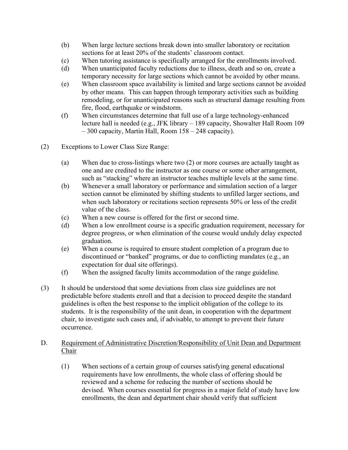- (b) When large lecture sections break down into smaller laboratory or recitation sections for at least 20% of the students' classroom contact.
- (c) When tutoring assistance is specifically arranged for the enrollments involved.
- (d) When unanticipated faculty reductions due to illness, death and so on, create a temporary necessity for large sections which cannot be avoided by other means.
- (e) When classroom space availability is limited and large sections cannot be avoided by other means. This can happen through temporary activities such as building remodeling, or for unanticipated reasons such as structural damage resulting from fire, flood, earthquake or windstorm.
- (f) When circumstances determine that full use of a large technology-enhanced lecture hall is needed (e.g., JFK library – 189 capacity, Showalter Hall Room 109 – 300 capacity, Martin Hall, Room 158 – 248 capacity).
- (2) Exceptions to Lower Class Size Range:
	- (a) When due to cross-listings where two (2) or more courses are actually taught as one and are credited to the instructor as one course or some other arrangement, such as "stacking" where an instructor teaches multiple levels at the same time.
	- (b) Whenever a small laboratory or performance and simulation section of a larger section cannot be eliminated by shifting students to unfilled larger sections, and when such laboratory or recitations section represents 50% or less of the credit value of the class.
	- (c) When a new course is offered for the first or second time.
	- (d) When a low enrollment course is a specific graduation requirement, necessary for degree progress, or when elimination of the course would unduly delay expected graduation.
	- (e) When a course is required to ensure student completion of a program due to discontinued or "banked" programs, or due to conflicting mandates (e.g., an expectation for dual site offerings).
	- (f) When the assigned faculty limits accommodation of the range guideline.
- (3) It should be understood that some deviations from class size guidelines are not predictable before students enroll and that a decision to proceed despite the standard guidelines is often the best response to the implicit obligation of the college to its students. It is the responsibility of the unit dean, in cooperation with the department chair, to investigate such cases and, if advisable, to attempt to prevent their future occurrence.

## D. Requirement of Administrative Discretion/Responsibility of Unit Dean and Department Chair

(1) When sections of a certain group of courses satisfying general educational requirements have low enrollments, the whole class of offering should be reviewed and a scheme for reducing the number of sections should be devised. When courses essential for progress in a major field of study have low enrollments, the dean and department chair should verify that sufficient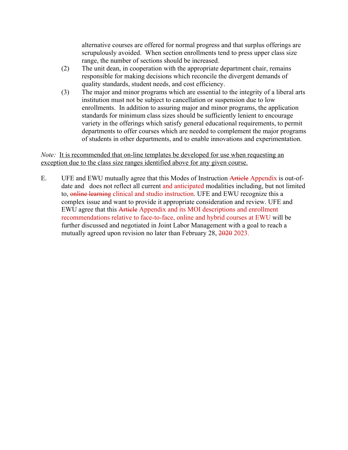alternative courses are offered for normal progress and that surplus offerings are scrupulously avoided. When section enrollments tend to press upper class size range, the number of sections should be increased.

- (2) The unit dean, in cooperation with the appropriate department chair, remains responsible for making decisions which reconcile the divergent demands of quality standards, student needs, and cost efficiency.
- (3) The major and minor programs which are essential to the integrity of a liberal arts institution must not be subject to cancellation or suspension due to low enrollments. In addition to assuring major and minor programs, the application standards for minimum class sizes should be sufficiently lenient to encourage variety in the offerings which satisfy general educational requirements, to permit departments to offer courses which are needed to complement the major programs of students in other departments, and to enable innovations and experimentation.

# *Note*: It is recommended that on-line templates be developed for use when requesting an exception due to the class size ranges identified above for any given course.

E. UFE and EWU mutually agree that this Modes of Instruction Article Appendix is out-ofdate and does not reflect all current and anticipated modalities including, but not limited to, online learning clinical and studio instruction. UFE and EWU recognize this a complex issue and want to provide it appropriate consideration and review. UFE and EWU agree that this Article Appendix and its MOI descriptions and enrollment recommendations relative to face-to-face, online and hybrid courses at EWU will be further discussed and negotiated in Joint Labor Management with a goal to reach a mutually agreed upon revision no later than February 28, 2020 2023.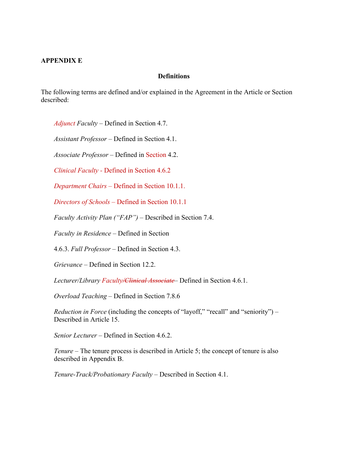### **APPENDIX E**

### **Definitions**

The following terms are defined and/or explained in the Agreement in the Article or Section described:

*Adjunct Faculty* – Defined in Section 4.7.

*Assistant Professor* – Defined in Section 4.1.

*Associate Professor* – Defined in Section 4.2.

*Clinical Faculty -* Defined in Section 4.6.2

*Department Chairs* – Defined in Section 10.1.1.

*Directors of Schools* – Defined in Section 10.1.1

*Faculty Activity Plan ("FAP")* – Described in Section 7.4.

*Faculty in Residence* – Defined in Section

4.6.3. *Full Professor* – Defined in Section 4.3.

*Grievance* – Defined in Section 12.2.

*Lecturer/Library Faculty/Clinical Associate*– Defined in Section 4.6.1.

*Overload Teaching* – Defined in Section 7.8.6

*Reduction in Force* (including the concepts of "layoff," "recall" and "seniority") – Described in Article 15.

*Senior Lecturer* – Defined in Section 4.6.2.

*Tenure* – The tenure process is described in Article 5; the concept of tenure is also described in Appendix B.

*Tenure-Track/Probationary Faculty* – Described in Section 4.1.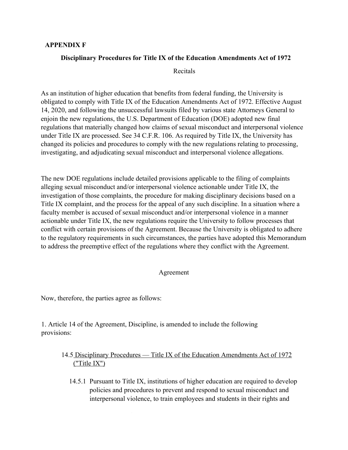#### **APPENDIX F**

### **Disciplinary Procedures for Title IX of the Education Amendments Act of 1972**

Recitals

As an institution of higher education that benefits from federal funding, the University is obligated to comply with Title IX of the Education Amendments Act of 1972. Effective August 14, 2020, and following the unsuccessful lawsuits filed by various state Attorneys General to enjoin the new regulations, the U.S. Department of Education (DOE) adopted new final regulations that materially changed how claims of sexual misconduct and interpersonal violence under Title IX are processed. See 34 C.F.R. 106. As required by Title IX, the University has changed its policies and procedures to comply with the new regulations relating to processing, investigating, and adjudicating sexual misconduct and interpersonal violence allegations.

The new DOE regulations include detailed provisions applicable to the filing of complaints alleging sexual misconduct and/or interpersonal violence actionable under Title IX, the investigation of those complaints, the procedure for making disciplinary decisions based on a Title IX complaint, and the process for the appeal of any such discipline. In a situation where a faculty member is accused of sexual misconduct and/or interpersonal violence in a manner actionable under Title IX, the new regulations require the University to follow processes that conflict with certain provisions of the Agreement. Because the University is obligated to adhere to the regulatory requirements in such circumstances, the parties have adopted this Memorandum to address the preemptive effect of the regulations where they conflict with the Agreement.

### Agreement

Now, therefore, the parties agree as follows:

1. Article 14 of the Agreement, Discipline, is amended to include the following provisions:

# 14.5 Disciplinary Procedures — Title IX of the Education Amendments Act of 1972 ("Title IX")

14.5.1 Pursuant to Title IX, institutions of higher education are required to develop policies and procedures to prevent and respond to sexual misconduct and interpersonal violence, to train employees and students in their rights and